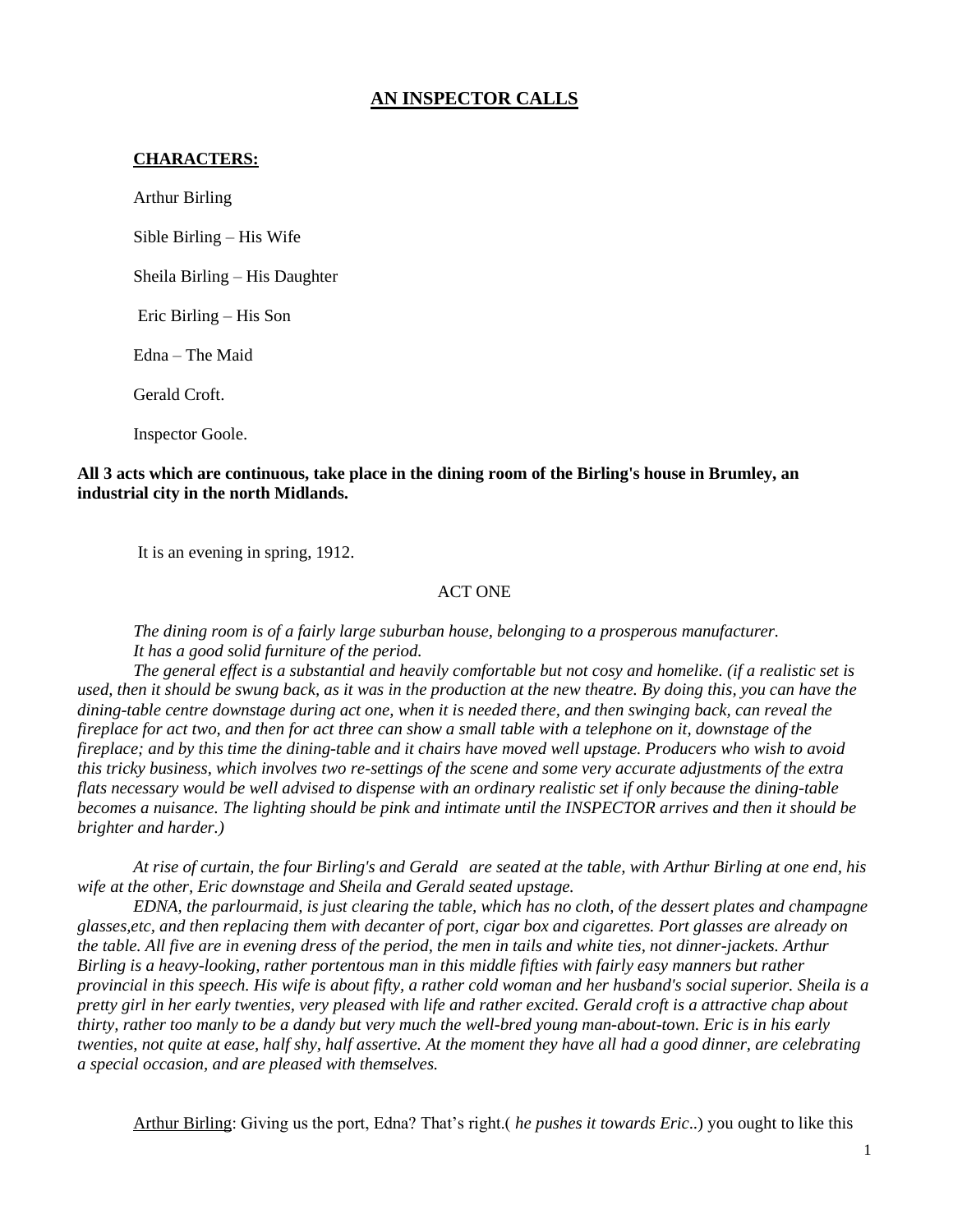# **AN INSPECTOR CALLS**

### **CHARACTERS:**

Arthur Birling Sible Birling – His Wife Sheila Birling – His Daughter Eric Birling – His Son Edna – The Maid Gerald Croft.

Inspector Goole.

### **All 3 acts which are continuous, take place in the dining room of the Birling's house in Brumley, an industrial city in the north Midlands.**

It is an evening in spring, 1912.

#### ACT ONE

*The dining room is of a fairly large suburban house, belonging to a prosperous manufacturer. It has a good solid furniture of the period.*

*The general effect is a substantial and heavily comfortable but not cosy and homelike. (if a realistic set is used, then it should be swung back, as it was in the production at the new theatre. By doing this, you can have the dining-table centre downstage during act one, when it is needed there, and then swinging back, can reveal the fireplace for act two, and then for act three can show a small table with a telephone on it, downstage of the fireplace; and by this time the dining-table and it chairs have moved well upstage. Producers who wish to avoid this tricky business, which involves two re-settings of the scene and some very accurate adjustments of the extra flats necessary would be well advised to dispense with an ordinary realistic set if only because the dining-table becomes a nuisance. The lighting should be pink and intimate until the INSPECTOR arrives and then it should be brighter and harder.)*

*At rise of curtain, the four Birling's and Gerald are seated at the table, with Arthur Birling at one end, his wife at the other, Eric downstage and Sheila and Gerald seated upstage.*

*EDNA, the parlourmaid, is just clearing the table, which has no cloth, of the dessert plates and champagne glasses,etc, and then replacing them with decanter of port, cigar box and cigarettes. Port glasses are already on the table. All five are in evening dress of the period, the men in tails and white ties, not dinner-jackets. Arthur Birling is a heavy-looking, rather portentous man in this middle fifties with fairly easy manners but rather provincial in this speech. His wife is about fifty, a rather cold woman and her husband's social superior. Sheila is a pretty girl in her early twenties, very pleased with life and rather excited. Gerald croft is a attractive chap about thirty, rather too manly to be a dandy but very much the well-bred young man-about-town. Eric is in his early twenties, not quite at ease, half shy, half assertive. At the moment they have all had a good dinner, are celebrating a special occasion, and are pleased with themselves.*

Arthur Birling: Giving us the port, Edna? That's right.( *he pushes it towards Eric*..) you ought to like this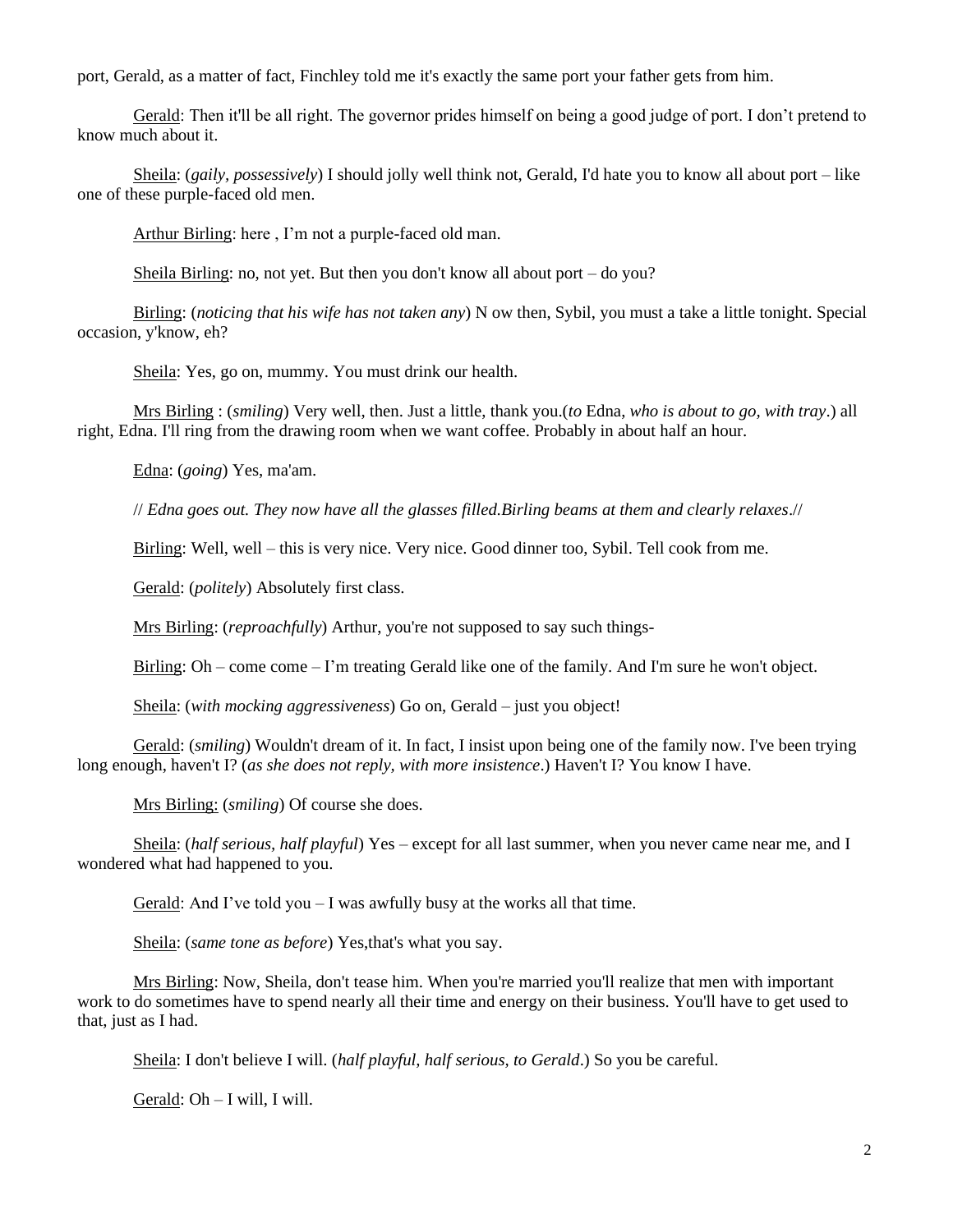port, Gerald, as a matter of fact, Finchley told me it's exactly the same port your father gets from him.

Gerald: Then it'll be all right. The governor prides himself on being a good judge of port. I don't pretend to know much about it.

Sheila: (*gaily, possessively*) I should jolly well think not, Gerald, I'd hate you to know all about port – like one of these purple-faced old men.

Arthur Birling: here , I'm not a purple-faced old man.

Sheila Birling: no, not yet. But then you don't know all about port – do you?

Birling: (*noticing that his wife has not taken any*) N ow then, Sybil, you must a take a little tonight. Special occasion, y'know, eh?

Sheila: Yes, go on, mummy. You must drink our health.

Mrs Birling : (*smiling*) Very well, then. Just a little, thank you.(*to* Edna, *who is about to go, with tray*.) all right, Edna. I'll ring from the drawing room when we want coffee. Probably in about half an hour.

Edna: (*going*) Yes, ma'am.

// *Edna goes out. They now have all the glasses filled.Birling beams at them and clearly relaxes*.//

Birling: Well, well – this is very nice. Very nice. Good dinner too, Sybil. Tell cook from me.

Gerald: (*politely*) Absolutely first class.

Mrs Birling: (*reproachfully*) Arthur, you're not supposed to say such things-

Birling: Oh – come come – I'm treating Gerald like one of the family. And I'm sure he won't object.

Sheila: (*with mocking aggressiveness*) Go on, Gerald – just you object!

Gerald: (*smiling*) Wouldn't dream of it. In fact, I insist upon being one of the family now. I've been trying long enough, haven't I? (*as she does not reply, with more insistence*.) Haven't I? You know I have.

Mrs Birling: (*smiling*) Of course she does.

Sheila: (*half serious, half playful*) Yes – except for all last summer, when you never came near me, and I wondered what had happened to you.

Gerald: And I've told you – I was awfully busy at the works all that time.

Sheila: (*same tone as before*) Yes,that's what you say.

Mrs Birling: Now, Sheila, don't tease him. When you're married you'll realize that men with important work to do sometimes have to spend nearly all their time and energy on their business. You'll have to get used to that, just as I had.

Sheila: I don't believe I will. (*half playful, half serious, to Gerald*.) So you be careful.

Gerald: Oh – I will, I will.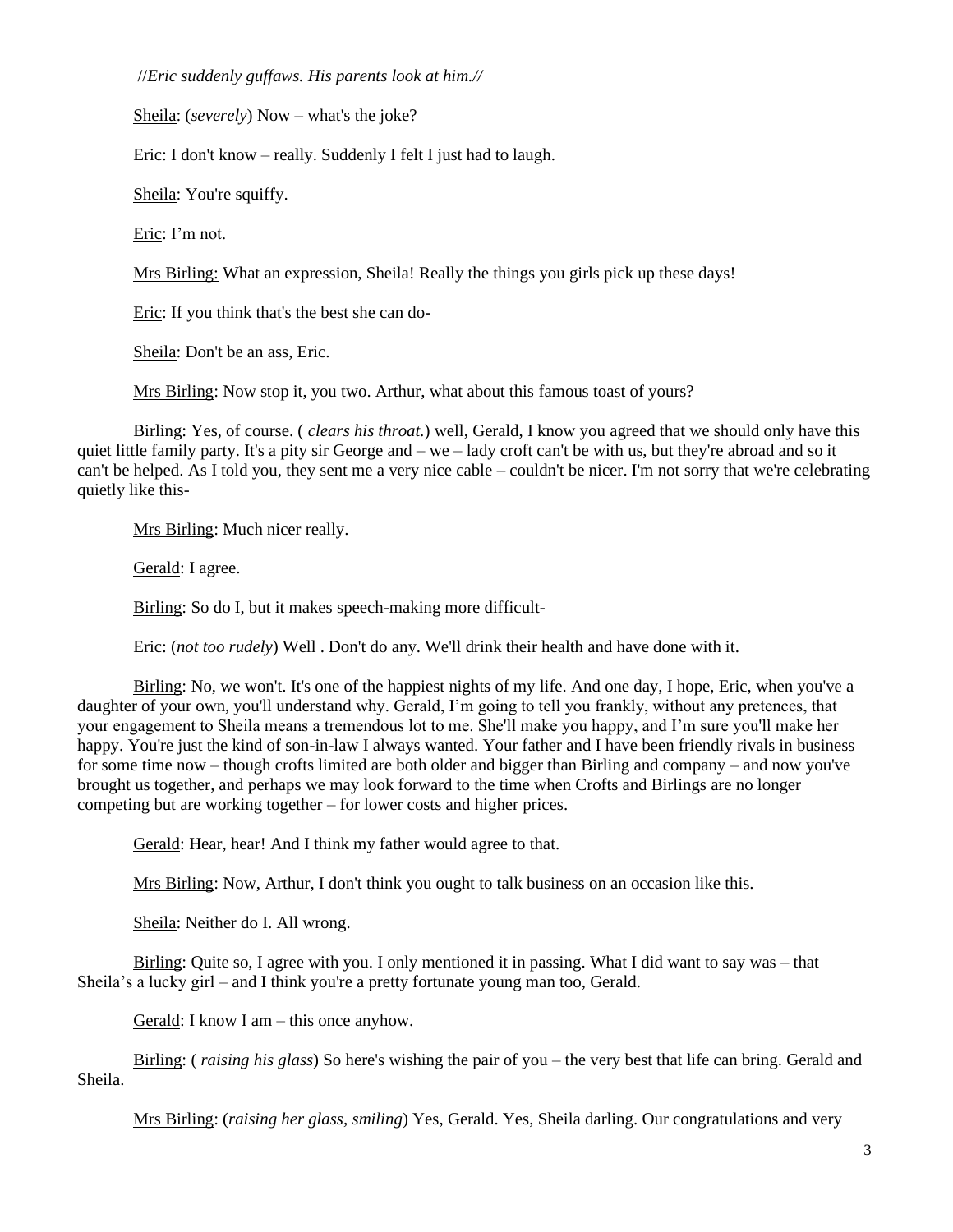//*Eric suddenly guffaws. His parents look at him.//*

Sheila: (*severely*) Now – what's the joke?

Eric: I don't know – really. Suddenly I felt I just had to laugh.

Sheila: You're squiffy.

Eric: I'm not.

Mrs Birling: What an expression, Sheila! Really the things you girls pick up these days!

Eric: If you think that's the best she can do-

Sheila: Don't be an ass, Eric.

Mrs Birling: Now stop it, you two. Arthur, what about this famous toast of yours?

Birling: Yes, of course. ( *clears his throat.*) well, Gerald, I know you agreed that we should only have this quiet little family party. It's a pity sir George and – we – lady croft can't be with us, but they're abroad and so it can't be helped. As I told you, they sent me a very nice cable – couldn't be nicer. I'm not sorry that we're celebrating quietly like this-

Mrs Birling: Much nicer really.

Gerald: I agree.

Birling: So do I, but it makes speech-making more difficult-

Eric: (*not too rudely*) Well . Don't do any. We'll drink their health and have done with it.

Birling: No, we won't. It's one of the happiest nights of my life. And one day, I hope, Eric, when you've a daughter of your own, you'll understand why. Gerald, I'm going to tell you frankly, without any pretences, that your engagement to Sheila means a tremendous lot to me. She'll make you happy, and I'm sure you'll make her happy. You're just the kind of son-in-law I always wanted. Your father and I have been friendly rivals in business for some time now – though crofts limited are both older and bigger than Birling and company – and now you've brought us together, and perhaps we may look forward to the time when Crofts and Birlings are no longer competing but are working together – for lower costs and higher prices.

Gerald: Hear, hear! And I think my father would agree to that.

Mrs Birling: Now, Arthur, I don't think you ought to talk business on an occasion like this.

Sheila: Neither do I. All wrong.

Birling: Quite so, I agree with you. I only mentioned it in passing. What I did want to say was – that Sheila's a lucky girl – and I think you're a pretty fortunate young man too, Gerald.

Gerald: I know I am – this once anyhow.

Birling: ( *raising his glass*) So here's wishing the pair of you – the very best that life can bring. Gerald and Sheila.

Mrs Birling: (*raising her glass, smiling*) Yes, Gerald. Yes, Sheila darling. Our congratulations and very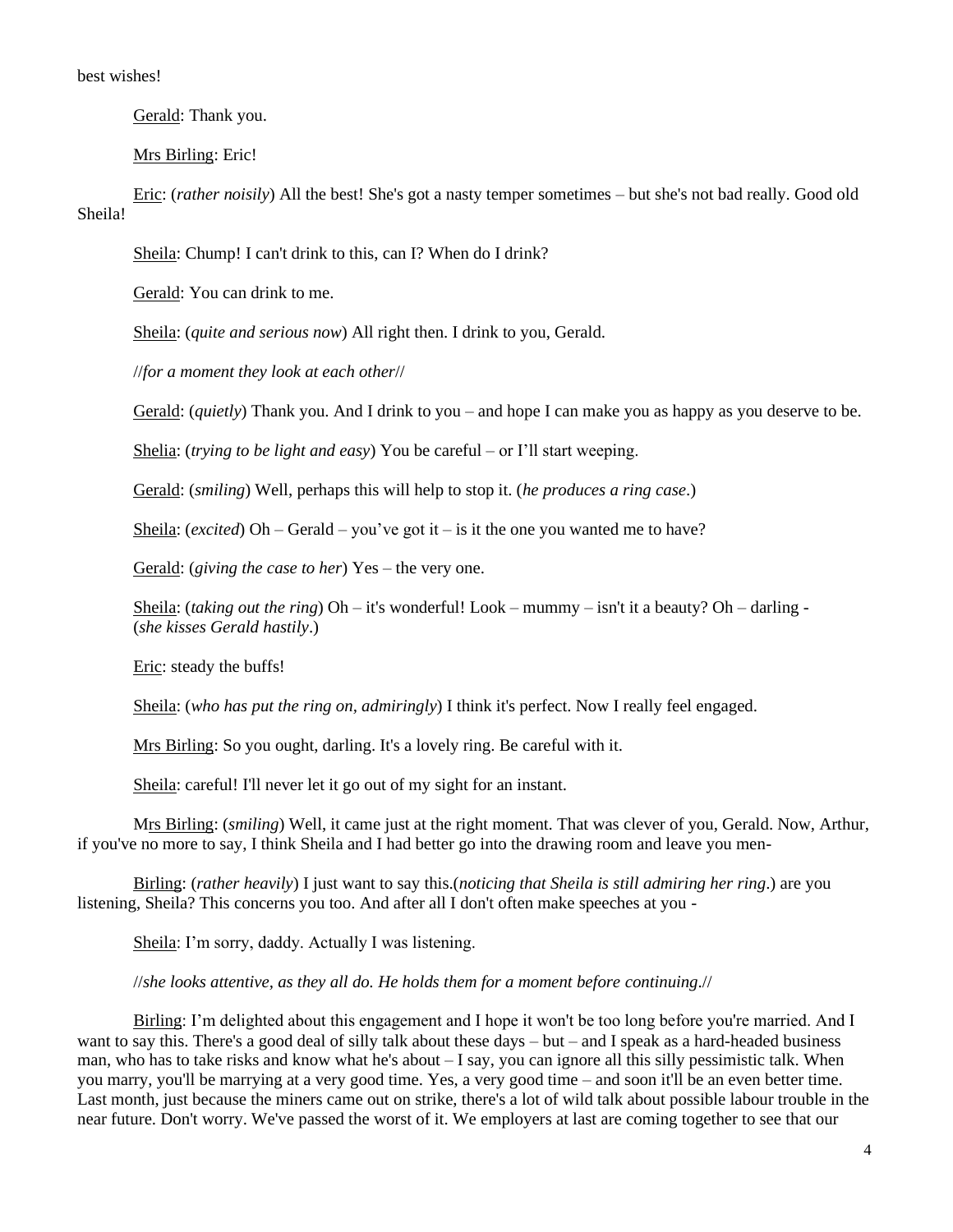Gerald: Thank you.

Mrs Birling: Eric!

Eric: (*rather noisily*) All the best! She's got a nasty temper sometimes – but she's not bad really. Good old Sheila!

Sheila: Chump! I can't drink to this, can I? When do I drink?

Gerald: You can drink to me.

Sheila: (*quite and serious now*) All right then. I drink to you, Gerald.

//*for a moment they look at each other*//

Gerald: (*quietly*) Thank you. And I drink to you – and hope I can make you as happy as you deserve to be.

Shelia: (*trying to be light and easy*) You be careful – or I'll start weeping.

Gerald: (*smiling*) Well, perhaps this will help to stop it. (*he produces a ring case*.)

Sheila: (*excited*) Oh – Gerald – you've got it – is it the one you wanted me to have?

Gerald: (*giving the case to her*) Yes – the very one.

Sheila: (*taking out the ring*) Oh – it's wonderful! Look – mummy – isn't it a beauty? Oh – darling - (*she kisses Gerald hastily*.)

Eric: steady the buffs!

Sheila: (*who has put the ring on, admiringly*) I think it's perfect. Now I really feel engaged.

Mrs Birling: So you ought, darling. It's a lovely ring. Be careful with it.

Sheila: careful! I'll never let it go out of my sight for an instant.

Mrs Birling: (*smiling*) Well, it came just at the right moment. That was clever of you, Gerald. Now, Arthur, if you've no more to say, I think Sheila and I had better go into the drawing room and leave you men-

Birling: (*rather heavily*) I just want to say this.(*noticing that Sheila is still admiring her ring*.) are you listening, Sheila? This concerns you too. And after all I don't often make speeches at you -

Sheila: I'm sorry, daddy. Actually I was listening.

//*she looks attentive, as they all do. He holds them for a moment before continuing*.//

Birling: I'm delighted about this engagement and I hope it won't be too long before you're married. And I want to say this. There's a good deal of silly talk about these days – but – and I speak as a hard-headed business man, who has to take risks and know what he's about – I say, you can ignore all this silly pessimistic talk. When you marry, you'll be marrying at a very good time. Yes, a very good time – and soon it'll be an even better time. Last month, just because the miners came out on strike, there's a lot of wild talk about possible labour trouble in the near future. Don't worry. We've passed the worst of it. We employers at last are coming together to see that our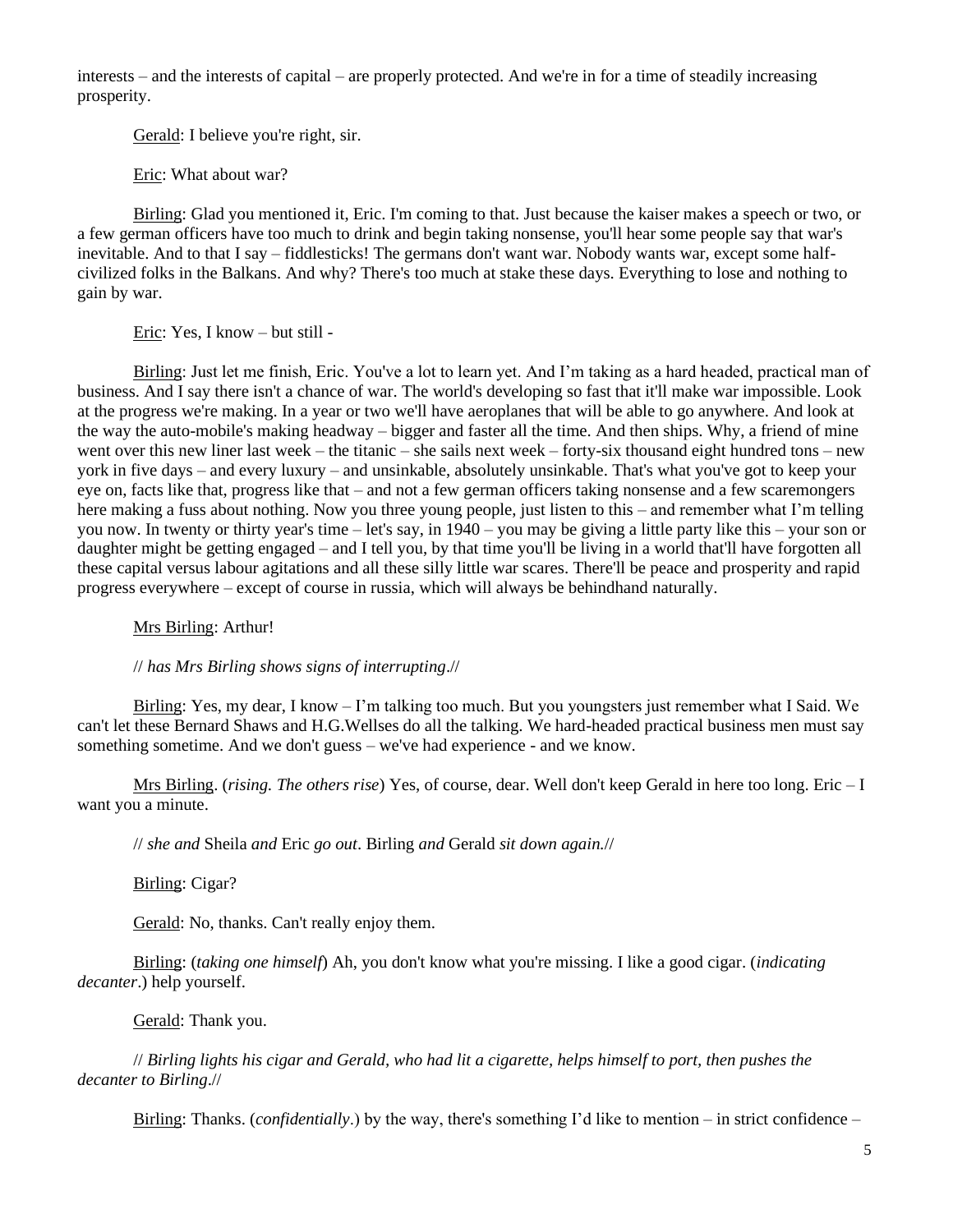interests – and the interests of capital – are properly protected. And we're in for a time of steadily increasing prosperity.

Gerald: I believe you're right, sir.

Eric: What about war?

Birling: Glad you mentioned it, Eric. I'm coming to that. Just because the kaiser makes a speech or two, or a few german officers have too much to drink and begin taking nonsense, you'll hear some people say that war's inevitable. And to that I say – fiddlesticks! The germans don't want war. Nobody wants war, except some halfcivilized folks in the Balkans. And why? There's too much at stake these days. Everything to lose and nothing to gain by war.

Eric: Yes, I know – but still -

Birling: Just let me finish, Eric. You've a lot to learn yet. And I'm taking as a hard headed, practical man of business. And I say there isn't a chance of war. The world's developing so fast that it'll make war impossible. Look at the progress we're making. In a year or two we'll have aeroplanes that will be able to go anywhere. And look at the way the auto-mobile's making headway – bigger and faster all the time. And then ships. Why, a friend of mine went over this new liner last week – the titanic – she sails next week – forty-six thousand eight hundred tons – new york in five days – and every luxury – and unsinkable, absolutely unsinkable. That's what you've got to keep your eye on, facts like that, progress like that – and not a few german officers taking nonsense and a few scaremongers here making a fuss about nothing. Now you three young people, just listen to this – and remember what I'm telling you now. In twenty or thirty year's time – let's say, in 1940 – you may be giving a little party like this – your son or daughter might be getting engaged – and I tell you, by that time you'll be living in a world that'll have forgotten all these capital versus labour agitations and all these silly little war scares. There'll be peace and prosperity and rapid progress everywhere – except of course in russia, which will always be behindhand naturally.

Mrs Birling: Arthur!

// *has Mrs Birling shows signs of interrupting*.//

Birling: Yes, my dear, I know – I'm talking too much. But you youngsters just remember what I Said. We can't let these Bernard Shaws and H.G.Wellses do all the talking. We hard-headed practical business men must say something sometime. And we don't guess – we've had experience - and we know.

Mrs Birling. (*rising. The others rise*) Yes, of course, dear. Well don't keep Gerald in here too long. Eric – I want you a minute.

// *she and* Sheila *and* Eric *go out*. Birling *and* Gerald *sit down again.*//

Birling: Cigar?

Gerald: No, thanks. Can't really enjoy them.

Birling: (*taking one himself*) Ah, you don't know what you're missing. I like a good cigar. (*indicating decanter*.) help yourself.

Gerald: Thank you.

// *Birling lights his cigar and Gerald, who had lit a cigarette, helps himself to port, then pushes the decanter to Birling*.//

Birling: Thanks. (*confidentially*.) by the way, there's something I'd like to mention – in strict confidence –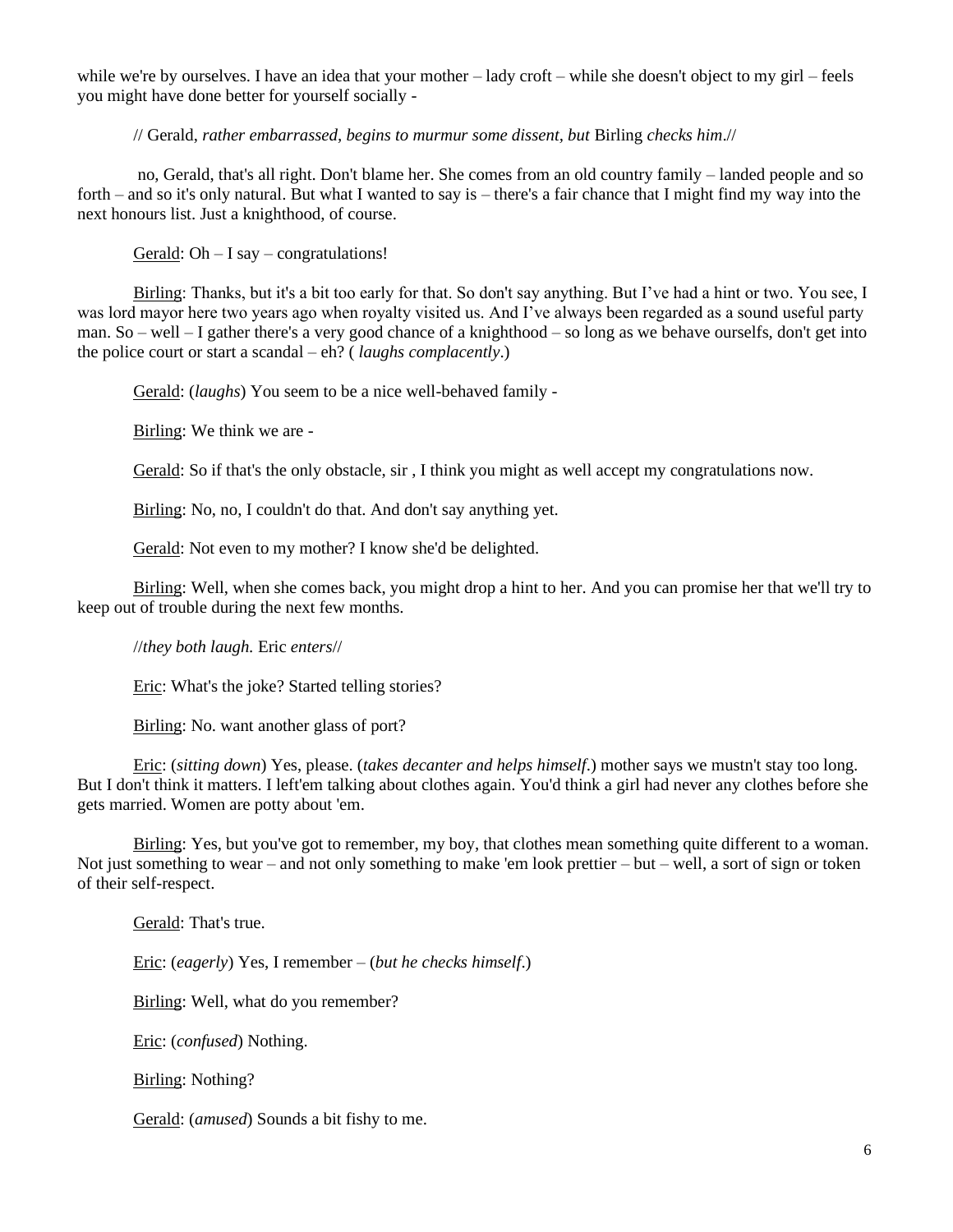while we're by ourselves. I have an idea that your mother – lady croft – while she doesn't object to my girl – feels you might have done better for yourself socially -

// Gerald, *rather embarrassed, begins to murmur some dissent, but* Birling *checks him*.//

no, Gerald, that's all right. Don't blame her. She comes from an old country family – landed people and so forth – and so it's only natural. But what I wanted to say is – there's a fair chance that I might find my way into the next honours list. Just a knighthood, of course.

Gerald:  $Oh - I$  say – congratulations!

Birling: Thanks, but it's a bit too early for that. So don't say anything. But I've had a hint or two. You see, I was lord mayor here two years ago when royalty visited us. And I've always been regarded as a sound useful party man. So – well – I gather there's a very good chance of a knighthood – so long as we behave ourselfs, don't get into the police court or start a scandal – eh? ( *laughs complacently*.)

Gerald: (*laughs*) You seem to be a nice well-behaved family -

Birling: We think we are -

Gerald: So if that's the only obstacle, sir, I think you might as well accept my congratulations now.

Birling: No, no, I couldn't do that. And don't say anything yet.

Gerald: Not even to my mother? I know she'd be delighted.

Birling: Well, when she comes back, you might drop a hint to her. And you can promise her that we'll try to keep out of trouble during the next few months.

//*they both laugh.* Eric *enters*//

Eric: What's the joke? Started telling stories?

Birling: No. want another glass of port?

Eric: (*sitting down*) Yes, please. (*takes decanter and helps himself*.) mother says we mustn't stay too long. But I don't think it matters. I left'em talking about clothes again. You'd think a girl had never any clothes before she gets married. Women are potty about 'em.

Birling: Yes, but you've got to remember, my boy, that clothes mean something quite different to a woman. Not just something to wear – and not only something to make 'em look prettier – but – well, a sort of sign or token of their self-respect.

Gerald: That's true. Eric: (*eagerly*) Yes, I remember – (*but he checks himself*.) Birling: Well, what do you remember? Eric: (*confused*) Nothing. Birling: Nothing?

Gerald: (*amused*) Sounds a bit fishy to me.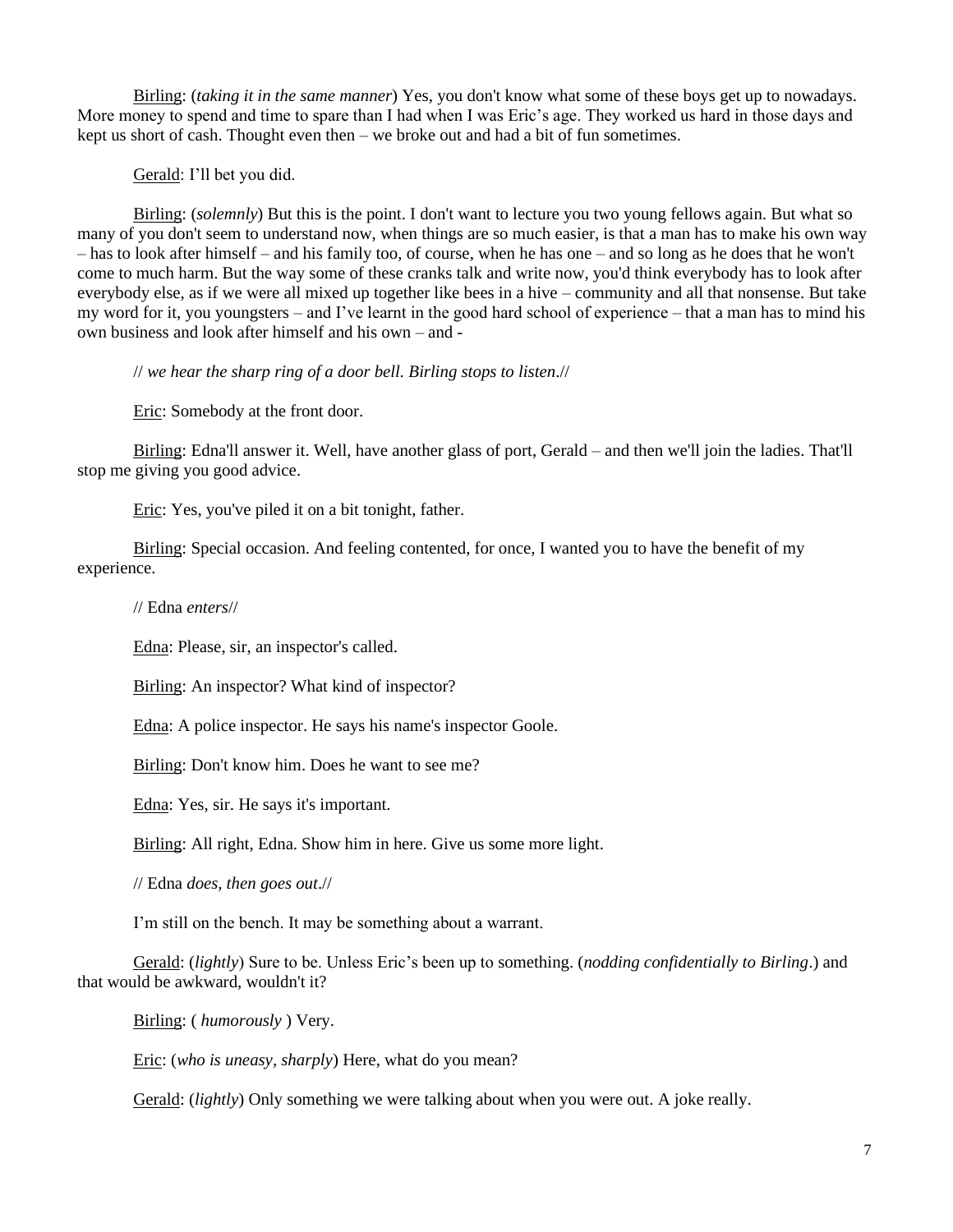Birling: (*taking it in the same manner*) Yes, you don't know what some of these boys get up to nowadays. More money to spend and time to spare than I had when I was Eric's age. They worked us hard in those days and kept us short of cash. Thought even then – we broke out and had a bit of fun sometimes.

Gerald: I'll bet you did.

Birling: (*solemnly*) But this is the point. I don't want to lecture you two young fellows again. But what so many of you don't seem to understand now, when things are so much easier, is that a man has to make his own way – has to look after himself – and his family too, of course, when he has one – and so long as he does that he won't come to much harm. But the way some of these cranks talk and write now, you'd think everybody has to look after everybody else, as if we were all mixed up together like bees in a hive – community and all that nonsense. But take my word for it, you youngsters – and I've learnt in the good hard school of experience – that a man has to mind his own business and look after himself and his own – and -

// *we hear the sharp ring of a door bell. Birling stops to listen*.//

Eric: Somebody at the front door.

Birling: Edna'll answer it. Well, have another glass of port, Gerald – and then we'll join the ladies. That'll stop me giving you good advice.

Eric: Yes, you've piled it on a bit tonight, father.

Birling: Special occasion. And feeling contented, for once, I wanted you to have the benefit of my experience.

// Edna *enters*//

Edna: Please, sir, an inspector's called.

Birling: An inspector? What kind of inspector?

Edna: A police inspector. He says his name's inspector Goole.

Birling: Don't know him. Does he want to see me?

Edna: Yes, sir. He says it's important.

Birling: All right, Edna. Show him in here. Give us some more light.

// Edna *does, then goes out*.//

I'm still on the bench. It may be something about a warrant.

Gerald: (*lightly*) Sure to be. Unless Eric's been up to something. (*nodding confidentially to Birling*.) and that would be awkward, wouldn't it?

Birling: ( *humorously* ) Very.

Eric: (*who is uneasy, sharply*) Here, what do you mean?

Gerald: (*lightly*) Only something we were talking about when you were out. A joke really.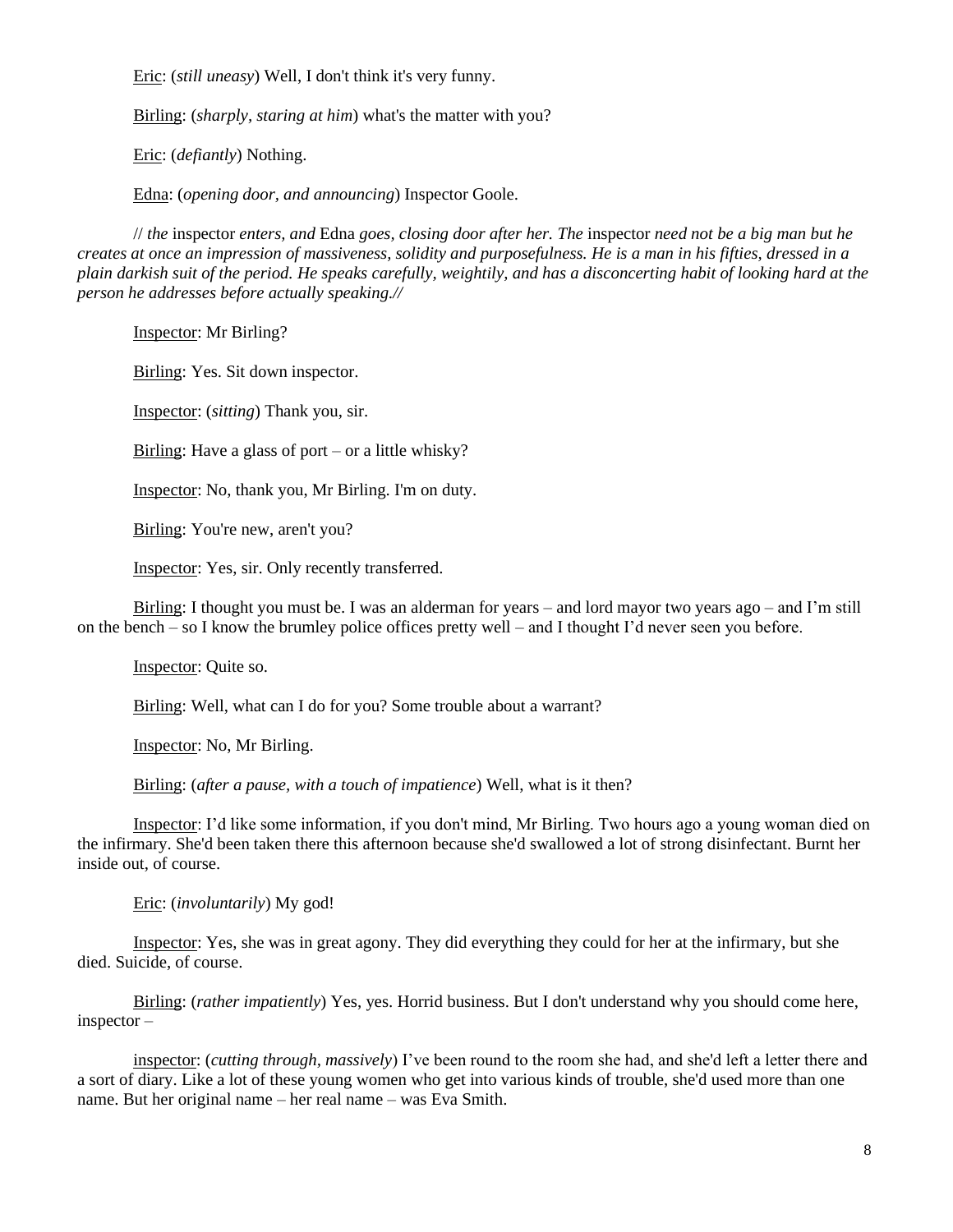Eric: (*still uneasy*) Well, I don't think it's very funny.

Birling: (*sharply, staring at him*) what's the matter with you?

Eric: (*defiantly*) Nothing.

Edna: (*opening door, and announcing*) Inspector Goole.

// *the* inspector *enters, and* Edna *goes, closing door after her. The* inspector *need not be a big man but he creates at once an impression of massiveness, solidity and purposefulness. He is a man in his fifties, dressed in a plain darkish suit of the period. He speaks carefully, weightily, and has a disconcerting habit of looking hard at the person he addresses before actually speaking.//*

Inspector: Mr Birling?

Birling: Yes. Sit down inspector.

Inspector: (*sitting*) Thank you, sir.

Birling: Have a glass of port – or a little whisky?

Inspector: No, thank you, Mr Birling. I'm on duty.

Birling: You're new, aren't you?

Inspector: Yes, sir. Only recently transferred.

Birling: I thought you must be. I was an alderman for years – and lord mayor two years ago – and I'm still on the bench – so I know the brumley police offices pretty well – and I thought I'd never seen you before.

Inspector: Quite so.

Birling: Well, what can I do for you? Some trouble about a warrant?

Inspector: No, Mr Birling.

Birling: (*after a pause, with a touch of impatience*) Well, what is it then?

Inspector: I'd like some information, if you don't mind, Mr Birling. Two hours ago a young woman died on the infirmary. She'd been taken there this afternoon because she'd swallowed a lot of strong disinfectant. Burnt her inside out, of course.

Eric: (*involuntarily*) My god!

Inspector: Yes, she was in great agony. They did everything they could for her at the infirmary, but she died. Suicide, of course.

Birling: (*rather impatiently*) Yes, yes. Horrid business. But I don't understand why you should come here, inspector –

inspector: (*cutting through, massively*) I've been round to the room she had, and she'd left a letter there and a sort of diary. Like a lot of these young women who get into various kinds of trouble, she'd used more than one name. But her original name – her real name – was Eva Smith.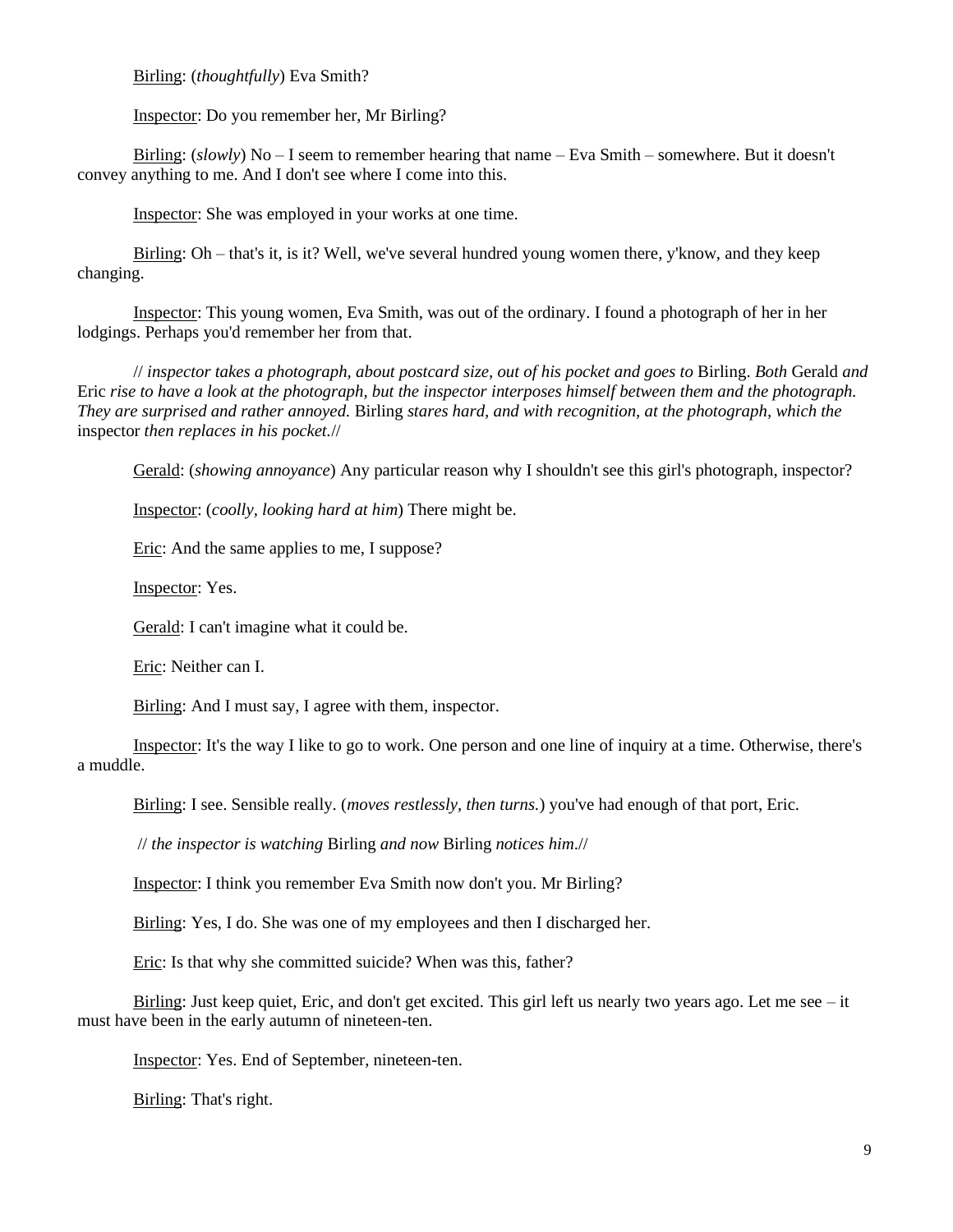Birling: (*thoughtfully*) Eva Smith?

Inspector: Do you remember her, Mr Birling?

Birling: (*slowly*) No – I seem to remember hearing that name – Eva Smith – somewhere. But it doesn't convey anything to me. And I don't see where I come into this.

Inspector: She was employed in your works at one time.

Birling: Oh – that's it, is it? Well, we've several hundred young women there, y'know, and they keep changing.

Inspector: This young women, Eva Smith, was out of the ordinary. I found a photograph of her in her lodgings. Perhaps you'd remember her from that.

// *inspector takes a photograph, about postcard size, out of his pocket and goes to* Birling. *Both* Gerald *and* Eric *rise to have a look at the photograph, but the inspector interposes himself between them and the photograph. They are surprised and rather annoyed.* Birling *stares hard, and with recognition, at the photograph, which the*  inspector *then replaces in his pocket.*//

Gerald: (*showing annoyance*) Any particular reason why I shouldn't see this girl's photograph, inspector?

Inspector: (*coolly, looking hard at him*) There might be.

Eric: And the same applies to me, I suppose?

Inspector: Yes.

Gerald: I can't imagine what it could be.

Eric: Neither can I.

Birling: And I must say, I agree with them, inspector.

Inspector: It's the way I like to go to work. One person and one line of inquiry at a time. Otherwise, there's a muddle.

Birling: I see. Sensible really. (*moves restlessly, then turns.*) you've had enough of that port, Eric.

// *the inspector is watching* Birling *and now* Birling *notices him*.//

Inspector: I think you remember Eva Smith now don't you. Mr Birling?

Birling: Yes, I do. She was one of my employees and then I discharged her.

Eric: Is that why she committed suicide? When was this, father?

Birling: Just keep quiet, Eric, and don't get excited. This girl left us nearly two years ago. Let me see  $-$  it must have been in the early autumn of nineteen-ten.

Inspector: Yes. End of September, nineteen-ten.

Birling: That's right.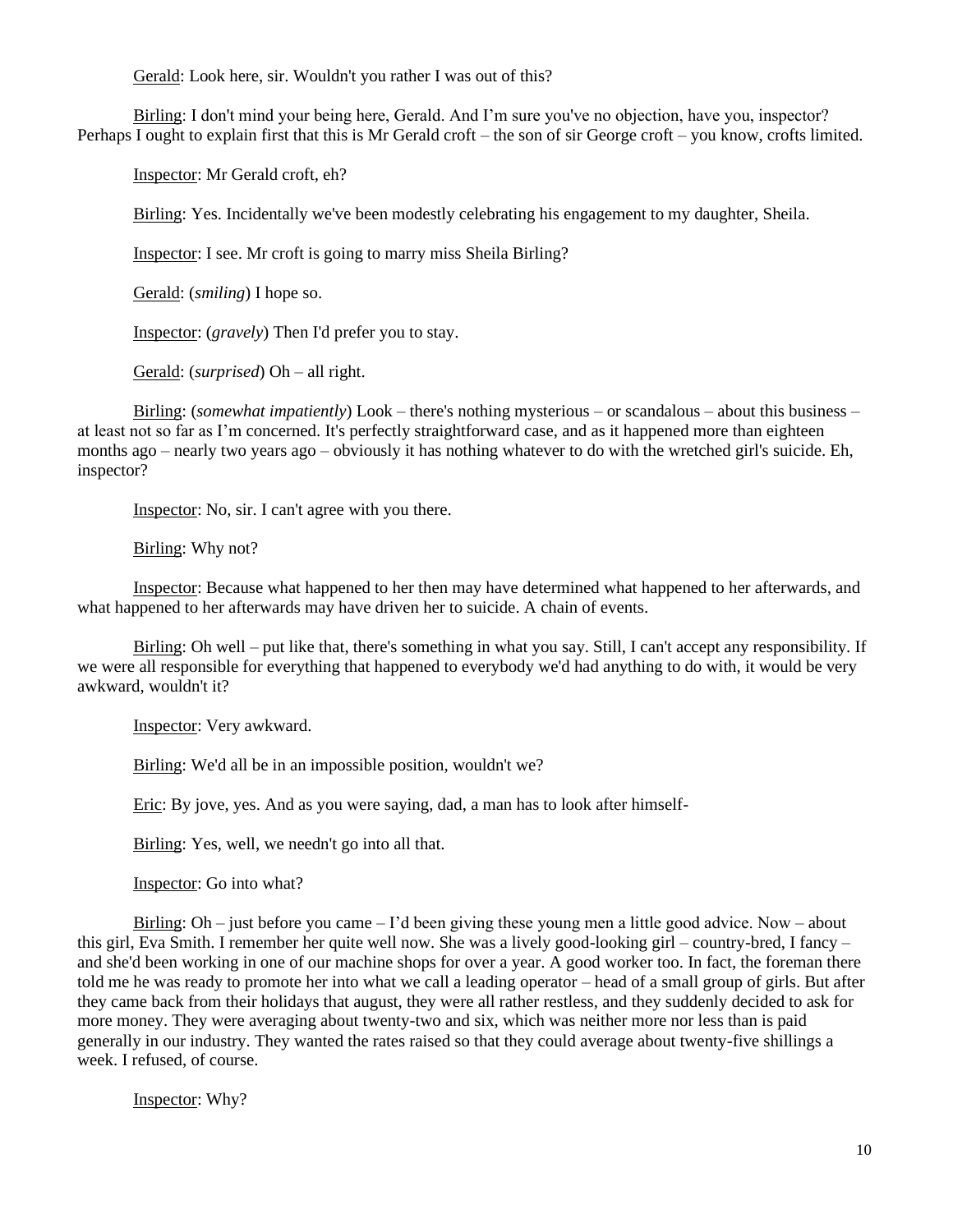Gerald: Look here, sir. Wouldn't you rather I was out of this?

Birling: I don't mind your being here, Gerald. And I'm sure you've no objection, have you, inspector? Perhaps I ought to explain first that this is Mr Gerald croft – the son of sir George croft – you know, crofts limited.

Inspector: Mr Gerald croft, eh?

Birling: Yes. Incidentally we've been modestly celebrating his engagement to my daughter, Sheila.

Inspector: I see. Mr croft is going to marry miss Sheila Birling?

Gerald: (*smiling*) I hope so.

Inspector: (*gravely*) Then I'd prefer you to stay.

Gerald: (*surprised*) Oh – all right.

Birling: (*somewhat impatiently*) Look – there's nothing mysterious – or scandalous – about this business – at least not so far as I'm concerned. It's perfectly straightforward case, and as it happened more than eighteen months ago – nearly two years ago – obviously it has nothing whatever to do with the wretched girl's suicide. Eh, inspector?

Inspector: No, sir. I can't agree with you there.

Birling: Why not?

Inspector: Because what happened to her then may have determined what happened to her afterwards, and what happened to her afterwards may have driven her to suicide. A chain of events.

Birling: Oh well – put like that, there's something in what you say. Still, I can't accept any responsibility. If we were all responsible for everything that happened to everybody we'd had anything to do with, it would be very awkward, wouldn't it?

Inspector: Very awkward.

Birling: We'd all be in an impossible position, wouldn't we?

Eric: By jove, yes. And as you were saying, dad, a man has to look after himself-

Birling: Yes, well, we needn't go into all that.

Inspector: Go into what?

Birling: Oh – just before you came – I'd been giving these young men a little good advice. Now – about this girl, Eva Smith. I remember her quite well now. She was a lively good-looking girl – country-bred, I fancy – and she'd been working in one of our machine shops for over a year. A good worker too. In fact, the foreman there told me he was ready to promote her into what we call a leading operator – head of a small group of girls. But after they came back from their holidays that august, they were all rather restless, and they suddenly decided to ask for more money. They were averaging about twenty-two and six, which was neither more nor less than is paid generally in our industry. They wanted the rates raised so that they could average about twenty-five shillings a week. I refused, of course.

Inspector: Why?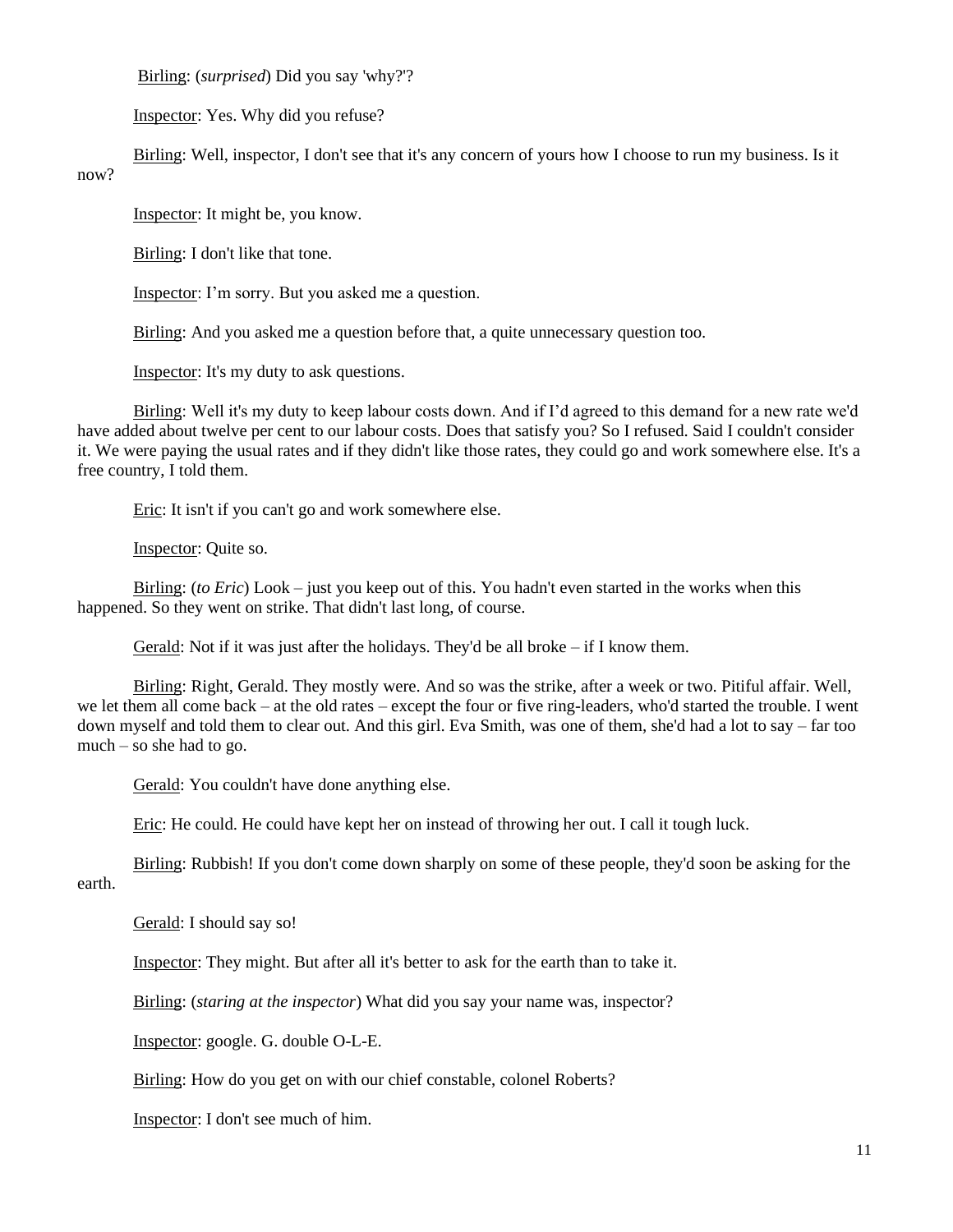Birling: (*surprised*) Did you say 'why?'?

Inspector: Yes. Why did you refuse?

Birling: Well, inspector, I don't see that it's any concern of yours how I choose to run my business. Is it

# now?

Inspector: It might be, you know.

Birling: I don't like that tone.

Inspector: I'm sorry. But you asked me a question.

Birling: And you asked me a question before that, a quite unnecessary question too.

Inspector: It's my duty to ask questions.

Birling: Well it's my duty to keep labour costs down. And if I'd agreed to this demand for a new rate we'd have added about twelve per cent to our labour costs. Does that satisfy you? So I refused. Said I couldn't consider it. We were paying the usual rates and if they didn't like those rates, they could go and work somewhere else. It's a free country, I told them.

Eric: It isn't if you can't go and work somewhere else.

Inspector: Quite so.

Birling: (*to Eric*) Look – just you keep out of this. You hadn't even started in the works when this happened. So they went on strike. That didn't last long, of course.

Gerald: Not if it was just after the holidays. They'd be all broke – if I know them.

Birling: Right, Gerald. They mostly were. And so was the strike, after a week or two. Pitiful affair. Well, we let them all come back – at the old rates – except the four or five ring-leaders, who'd started the trouble. I went down myself and told them to clear out. And this girl. Eva Smith, was one of them, she'd had a lot to say – far too much – so she had to go.

Gerald: You couldn't have done anything else.

Eric: He could. He could have kept her on instead of throwing her out. I call it tough luck.

Birling: Rubbish! If you don't come down sharply on some of these people, they'd soon be asking for the earth.

Gerald: I should say so!

Inspector: They might. But after all it's better to ask for the earth than to take it.

Birling: (*staring at the inspector*) What did you say your name was, inspector?

Inspector: google. G. double O-L-E.

Birling: How do you get on with our chief constable, colonel Roberts?

Inspector: I don't see much of him.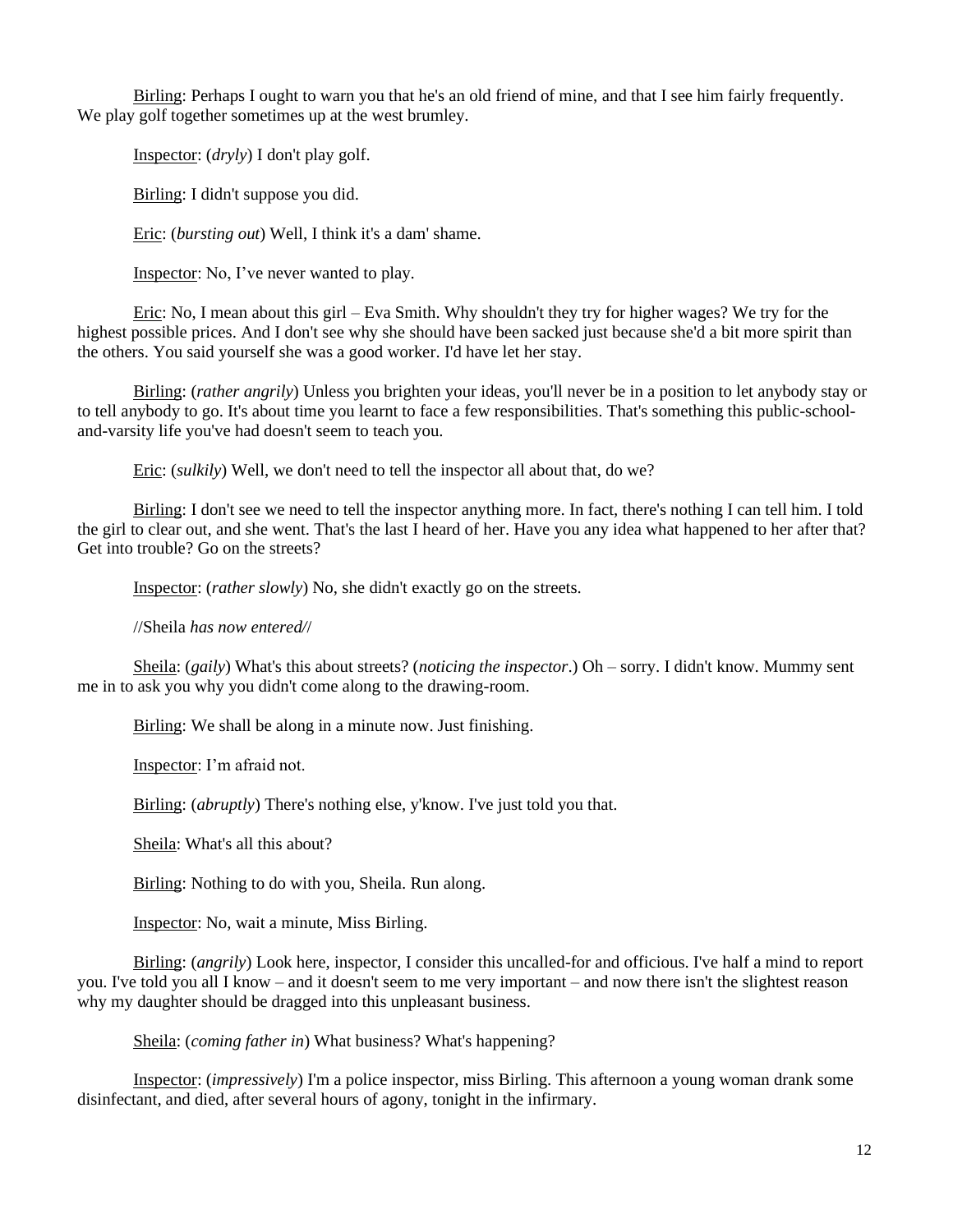Birling: Perhaps I ought to warn you that he's an old friend of mine, and that I see him fairly frequently. We play golf together sometimes up at the west brumley.

Inspector: (*dryly*) I don't play golf.

Birling: I didn't suppose you did.

Eric: (*bursting out*) Well, I think it's a dam' shame.

Inspector: No, I've never wanted to play.

Eric: No, I mean about this girl – Eva Smith. Why shouldn't they try for higher wages? We try for the highest possible prices. And I don't see why she should have been sacked just because she'd a bit more spirit than the others. You said yourself she was a good worker. I'd have let her stay.

Birling: (*rather angrily*) Unless you brighten your ideas, you'll never be in a position to let anybody stay or to tell anybody to go. It's about time you learnt to face a few responsibilities. That's something this public-schooland-varsity life you've had doesn't seem to teach you.

Eric: (*sulkily*) Well, we don't need to tell the inspector all about that, do we?

Birling: I don't see we need to tell the inspector anything more. In fact, there's nothing I can tell him. I told the girl to clear out, and she went. That's the last I heard of her. Have you any idea what happened to her after that? Get into trouble? Go on the streets?

Inspector: (*rather slowly*) No, she didn't exactly go on the streets.

//Sheila *has now entered/*/

Sheila: (*gaily*) What's this about streets? (*noticing the inspector*.) Oh – sorry. I didn't know. Mummy sent me in to ask you why you didn't come along to the drawing-room.

Birling: We shall be along in a minute now. Just finishing.

Inspector: I'm afraid not.

Birling: (*abruptly*) There's nothing else, y'know. I've just told you that.

Sheila: What's all this about?

Birling: Nothing to do with you, Sheila. Run along.

Inspector: No, wait a minute, Miss Birling.

Birling: (*angrily*) Look here, inspector, I consider this uncalled-for and officious. I've half a mind to report you. I've told you all I know – and it doesn't seem to me very important – and now there isn't the slightest reason why my daughter should be dragged into this unpleasant business.

Sheila: (*coming father in*) What business? What's happening?

Inspector: (*impressively*) I'm a police inspector, miss Birling. This afternoon a young woman drank some disinfectant, and died, after several hours of agony, tonight in the infirmary.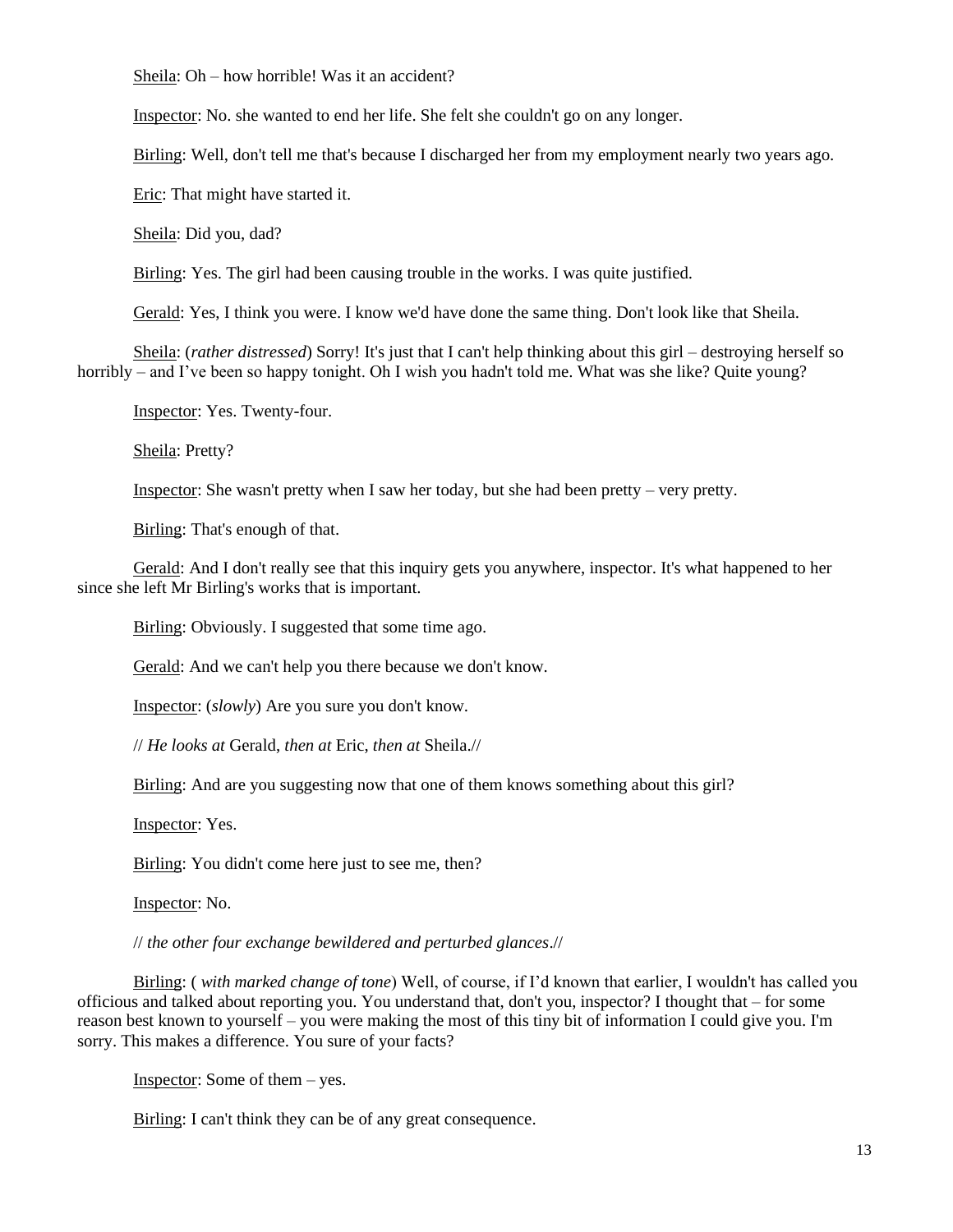Sheila: Oh – how horrible! Was it an accident?

Inspector: No. she wanted to end her life. She felt she couldn't go on any longer.

Birling: Well, don't tell me that's because I discharged her from my employment nearly two years ago.

Eric: That might have started it.

Sheila: Did you, dad?

Birling: Yes. The girl had been causing trouble in the works. I was quite justified.

Gerald: Yes, I think you were. I know we'd have done the same thing. Don't look like that Sheila.

Sheila: (*rather distressed*) Sorry! It's just that I can't help thinking about this girl – destroying herself so horribly – and I've been so happy tonight. Oh I wish you hadn't told me. What was she like? Ouite young?

Inspector: Yes. Twenty-four.

Sheila: Pretty?

Inspector: She wasn't pretty when I saw her today, but she had been pretty – very pretty.

Birling: That's enough of that.

Gerald: And I don't really see that this inquiry gets you anywhere, inspector. It's what happened to her since she left Mr Birling's works that is important.

Birling: Obviously. I suggested that some time ago.

Gerald: And we can't help you there because we don't know.

Inspector: (*slowly*) Are you sure you don't know.

// *He looks at* Gerald, *then at* Eric, *then at* Sheila.//

Birling: And are you suggesting now that one of them knows something about this girl?

Inspector: Yes.

Birling: You didn't come here just to see me, then?

Inspector: No.

// *the other four exchange bewildered and perturbed glances*.//

Birling: ( *with marked change of tone*) Well, of course, if I'd known that earlier, I wouldn't has called you officious and talked about reporting you. You understand that, don't you, inspector? I thought that – for some reason best known to yourself – you were making the most of this tiny bit of information I could give you. I'm sorry. This makes a difference. You sure of your facts?

Inspector: Some of them – yes.

Birling: I can't think they can be of any great consequence.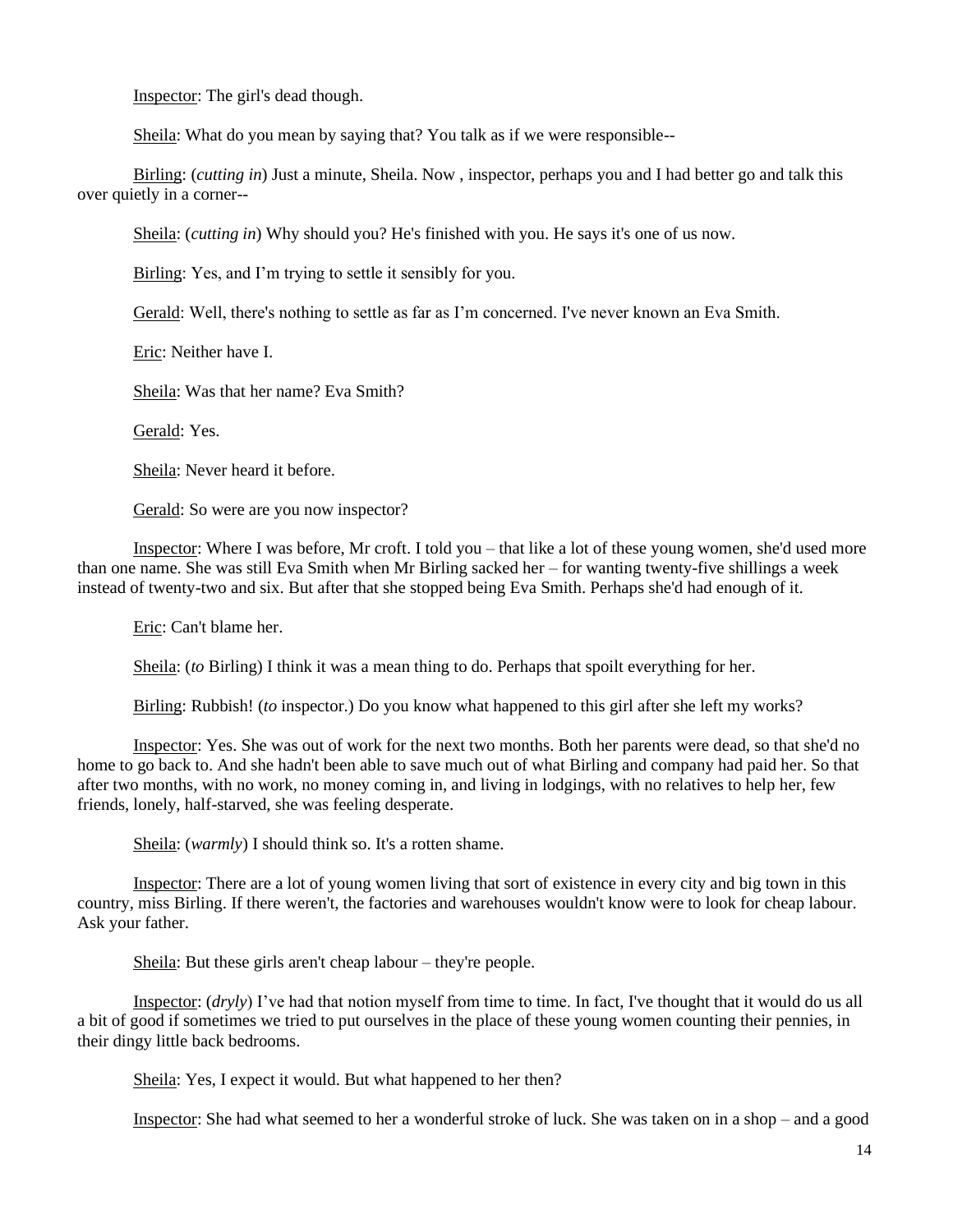Inspector: The girl's dead though.

Sheila: What do you mean by saying that? You talk as if we were responsible--

Birling: (*cutting in*) Just a minute, Sheila. Now , inspector, perhaps you and I had better go and talk this over quietly in a corner--

Sheila: (*cutting in*) Why should you? He's finished with you. He says it's one of us now.

Birling: Yes, and I'm trying to settle it sensibly for you.

Gerald: Well, there's nothing to settle as far as I'm concerned. I've never known an Eva Smith.

Eric: Neither have I.

Sheila: Was that her name? Eva Smith?

Gerald: Yes.

Sheila: Never heard it before.

Gerald: So were are you now inspector?

Inspector: Where I was before, Mr croft. I told you – that like a lot of these young women, she'd used more than one name. She was still Eva Smith when Mr Birling sacked her – for wanting twenty-five shillings a week instead of twenty-two and six. But after that she stopped being Eva Smith. Perhaps she'd had enough of it.

Eric: Can't blame her.

Sheila: (*to* Birling) I think it was a mean thing to do. Perhaps that spoilt everything for her.

Birling: Rubbish! (*to* inspector.) Do you know what happened to this girl after she left my works?

Inspector: Yes. She was out of work for the next two months. Both her parents were dead, so that she'd no home to go back to. And she hadn't been able to save much out of what Birling and company had paid her. So that after two months, with no work, no money coming in, and living in lodgings, with no relatives to help her, few friends, lonely, half-starved, she was feeling desperate.

Sheila: (*warmly*) I should think so. It's a rotten shame.

Inspector: There are a lot of young women living that sort of existence in every city and big town in this country, miss Birling. If there weren't, the factories and warehouses wouldn't know were to look for cheap labour. Ask your father.

Sheila: But these girls aren't cheap labour – they're people.

Inspector: (*dryly*) I've had that notion myself from time to time. In fact, I've thought that it would do us all a bit of good if sometimes we tried to put ourselves in the place of these young women counting their pennies, in their dingy little back bedrooms.

Sheila: Yes, I expect it would. But what happened to her then?

Inspector: She had what seemed to her a wonderful stroke of luck. She was taken on in a shop – and a good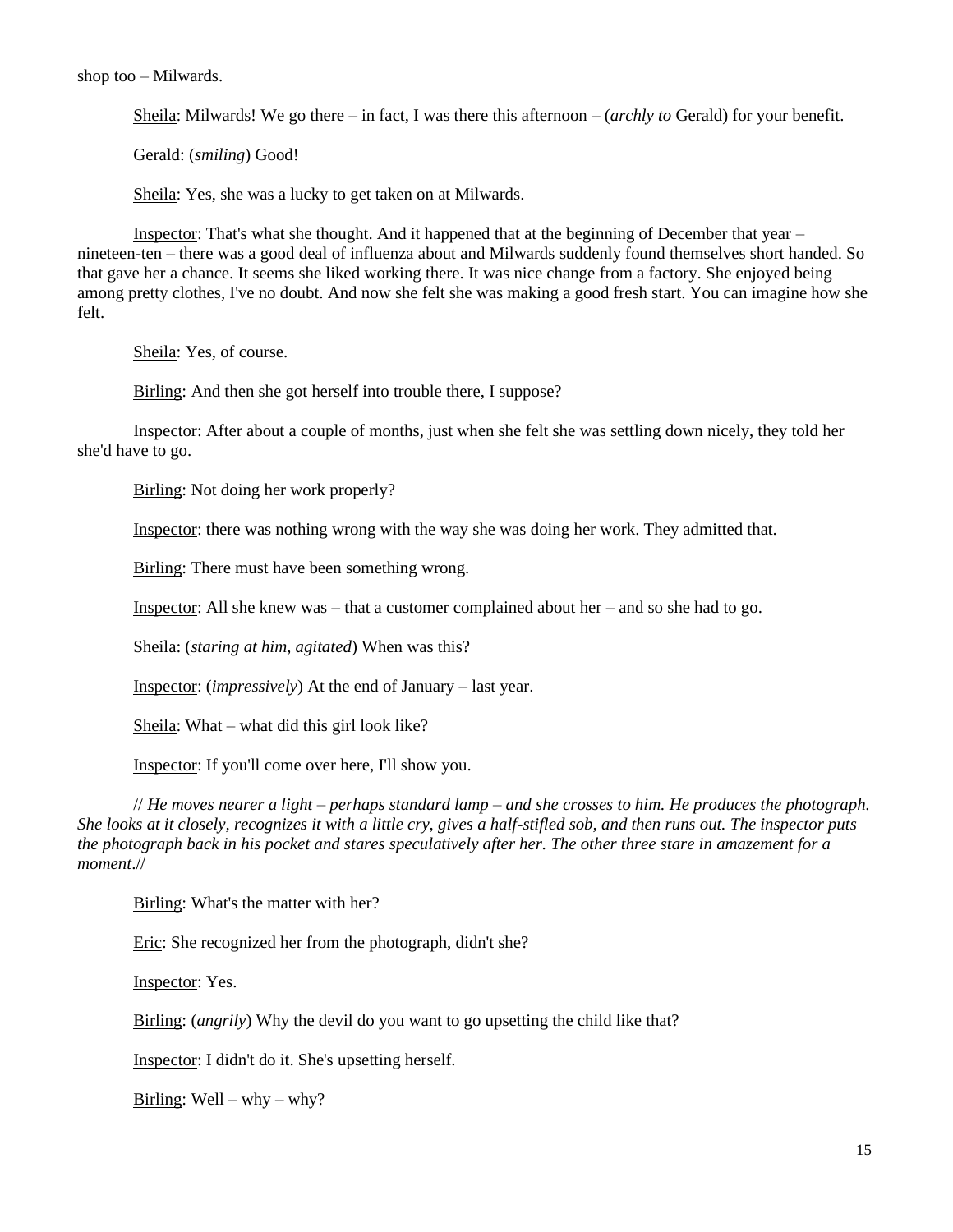shop too – Milwards.

Sheila: Milwards! We go there – in fact, I was there this afternoon – (*archly to* Gerald) for your benefit.

Gerald: (*smiling*) Good!

Sheila: Yes, she was a lucky to get taken on at Milwards.

Inspector: That's what she thought. And it happened that at the beginning of December that year – nineteen-ten – there was a good deal of influenza about and Milwards suddenly found themselves short handed. So that gave her a chance. It seems she liked working there. It was nice change from a factory. She enjoyed being among pretty clothes, I've no doubt. And now she felt she was making a good fresh start. You can imagine how she felt.

Sheila: Yes, of course.

Birling: And then she got herself into trouble there, I suppose?

Inspector: After about a couple of months, just when she felt she was settling down nicely, they told her she'd have to go.

Birling: Not doing her work properly?

Inspector: there was nothing wrong with the way she was doing her work. They admitted that.

Birling: There must have been something wrong.

Inspector: All she knew was – that a customer complained about her – and so she had to go.

Sheila: (*staring at him, agitated*) When was this?

Inspector: (*impressively*) At the end of January – last year.

Sheila: What – what did this girl look like?

Inspector: If you'll come over here, I'll show you.

// *He moves nearer a light – perhaps standard lamp – and she crosses to him. He produces the photograph. She looks at it closely, recognizes it with a little cry, gives a half-stifled sob, and then runs out. The inspector puts the photograph back in his pocket and stares speculatively after her. The other three stare in amazement for a moment*.//

Birling: What's the matter with her?

Eric: She recognized her from the photograph, didn't she?

Inspector: Yes.

Birling: (*angrily*) Why the devil do you want to go upsetting the child like that?

Inspector: I didn't do it. She's upsetting herself.

Birling:  $Well - why - why?$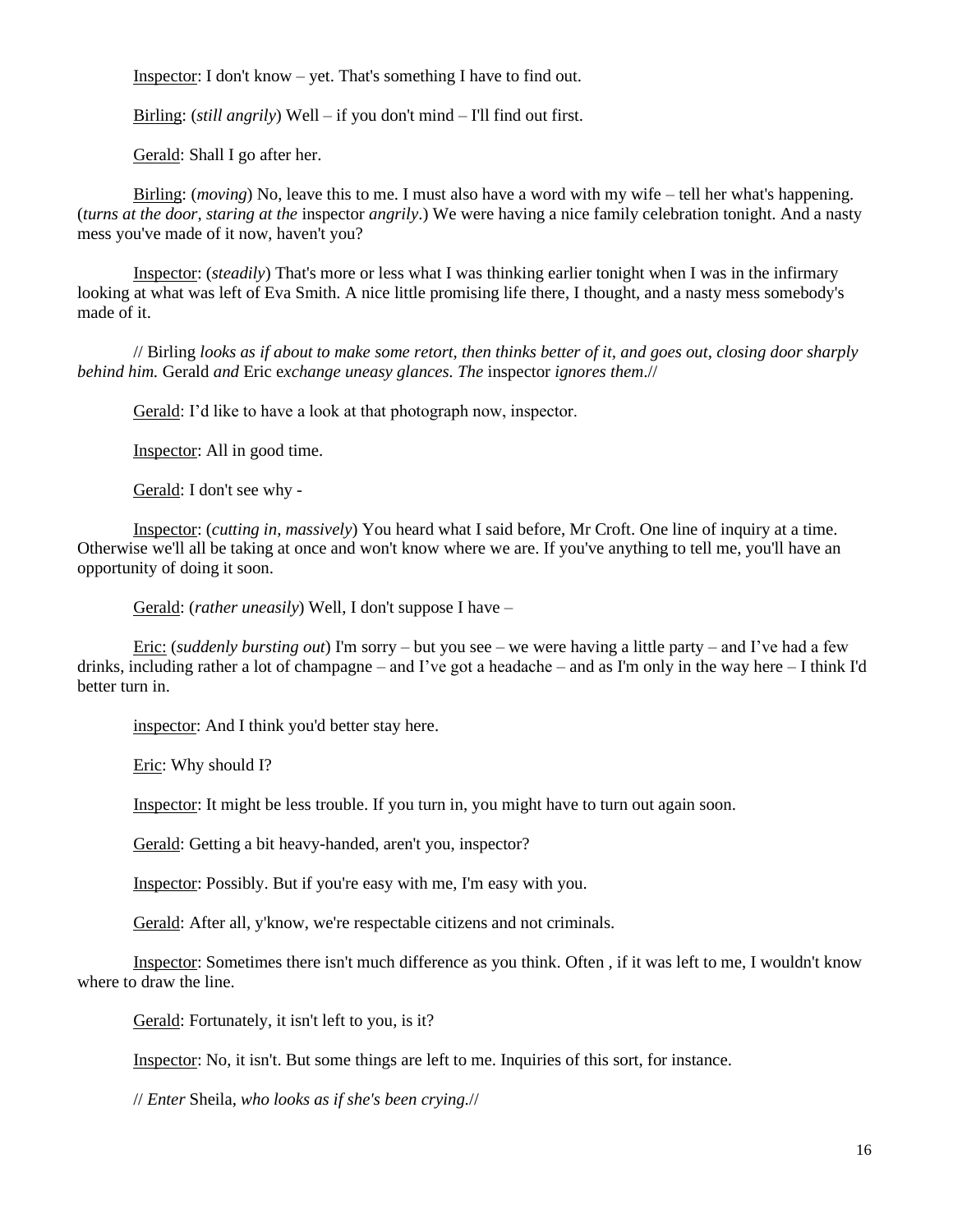Inspector: I don't know – yet. That's something I have to find out.

Birling: (*still angrily*) Well – if you don't mind – I'll find out first.

Gerald: Shall I go after her.

Birling: (*moving*) No, leave this to me. I must also have a word with my wife – tell her what's happening. (*turns at the door, staring at the* inspector *angrily*.) We were having a nice family celebration tonight. And a nasty mess you've made of it now, haven't you?

Inspector: (*steadily*) That's more or less what I was thinking earlier tonight when I was in the infirmary looking at what was left of Eva Smith. A nice little promising life there, I thought, and a nasty mess somebody's made of it.

// Birling *looks as if about to make some retort, then thinks better of it, and goes out, closing door sharply behind him.* Gerald *and* Eric e*xchange uneasy glances. The* inspector *ignores them*.//

Gerald: I'd like to have a look at that photograph now, inspector.

Inspector: All in good time.

Gerald: I don't see why -

Inspector: (*cutting in, massively*) You heard what I said before, Mr Croft. One line of inquiry at a time. Otherwise we'll all be taking at once and won't know where we are. If you've anything to tell me, you'll have an opportunity of doing it soon.

Gerald: (*rather uneasily*) Well, I don't suppose I have –

Eric: (*suddenly bursting out*) I'm sorry – but you see – we were having a little party – and I've had a few drinks, including rather a lot of champagne – and I've got a headache – and as I'm only in the way here – I think I'd better turn in.

inspector: And I think you'd better stay here.

Eric: Why should I?

Inspector: It might be less trouble. If you turn in, you might have to turn out again soon.

Gerald: Getting a bit heavy-handed, aren't you, inspector?

Inspector: Possibly. But if you're easy with me, I'm easy with you.

Gerald: After all, y'know, we're respectable citizens and not criminals.

Inspector: Sometimes there isn't much difference as you think. Often , if it was left to me, I wouldn't know where to draw the line.

Gerald: Fortunately, it isn't left to you, is it?

Inspector: No, it isn't. But some things are left to me. Inquiries of this sort, for instance.

// *Enter* Sheila, *who looks as if she's been crying.*//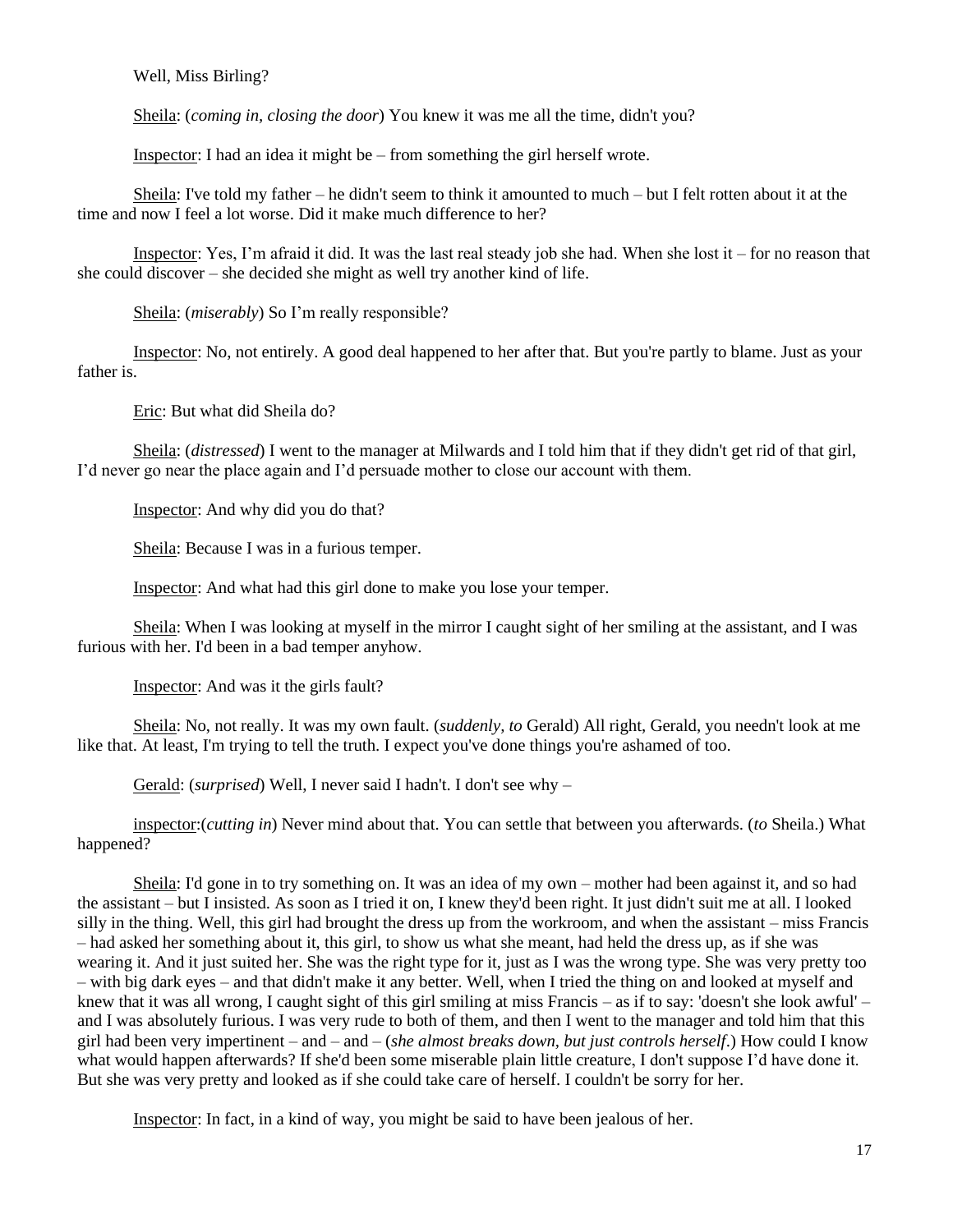Well, Miss Birling?

Sheila: (*coming in, closing the door*) You knew it was me all the time, didn't you?

Inspector: I had an idea it might be – from something the girl herself wrote.

Sheila: I've told my father – he didn't seem to think it amounted to much – but I felt rotten about it at the time and now I feel a lot worse. Did it make much difference to her?

Inspector: Yes, I'm afraid it did. It was the last real steady job she had. When she lost it – for no reason that she could discover – she decided she might as well try another kind of life.

Sheila: (*miserably*) So I'm really responsible?

Inspector: No, not entirely. A good deal happened to her after that. But you're partly to blame. Just as your father is.

Eric: But what did Sheila do?

Sheila: (*distressed*) I went to the manager at Milwards and I told him that if they didn't get rid of that girl, I'd never go near the place again and I'd persuade mother to close our account with them.

Inspector: And why did you do that?

Sheila: Because I was in a furious temper.

Inspector: And what had this girl done to make you lose your temper.

Sheila: When I was looking at myself in the mirror I caught sight of her smiling at the assistant, and I was furious with her. I'd been in a bad temper anyhow.

Inspector: And was it the girls fault?

Sheila: No, not really. It was my own fault. (*suddenly, to* Gerald) All right, Gerald, you needn't look at me like that. At least, I'm trying to tell the truth. I expect you've done things you're ashamed of too.

Gerald: (*surprised*) Well, I never said I hadn't. I don't see why –

inspector:(*cutting in*) Never mind about that. You can settle that between you afterwards. (*to* Sheila.) What happened?

Sheila: I'd gone in to try something on. It was an idea of my own – mother had been against it, and so had the assistant – but I insisted. As soon as I tried it on, I knew they'd been right. It just didn't suit me at all. I looked silly in the thing. Well, this girl had brought the dress up from the workroom, and when the assistant – miss Francis – had asked her something about it, this girl, to show us what she meant, had held the dress up, as if she was wearing it. And it just suited her. She was the right type for it, just as I was the wrong type. She was very pretty too – with big dark eyes – and that didn't make it any better. Well, when I tried the thing on and looked at myself and knew that it was all wrong, I caught sight of this girl smiling at miss Francis – as if to say: 'doesn't she look awful' – and I was absolutely furious. I was very rude to both of them, and then I went to the manager and told him that this girl had been very impertinent – and – and – (*she almost breaks down, but just controls herself*.) How could I know what would happen afterwards? If she'd been some miserable plain little creature, I don't suppose I'd have done it. But she was very pretty and looked as if she could take care of herself. I couldn't be sorry for her.

Inspector: In fact, in a kind of way, you might be said to have been jealous of her.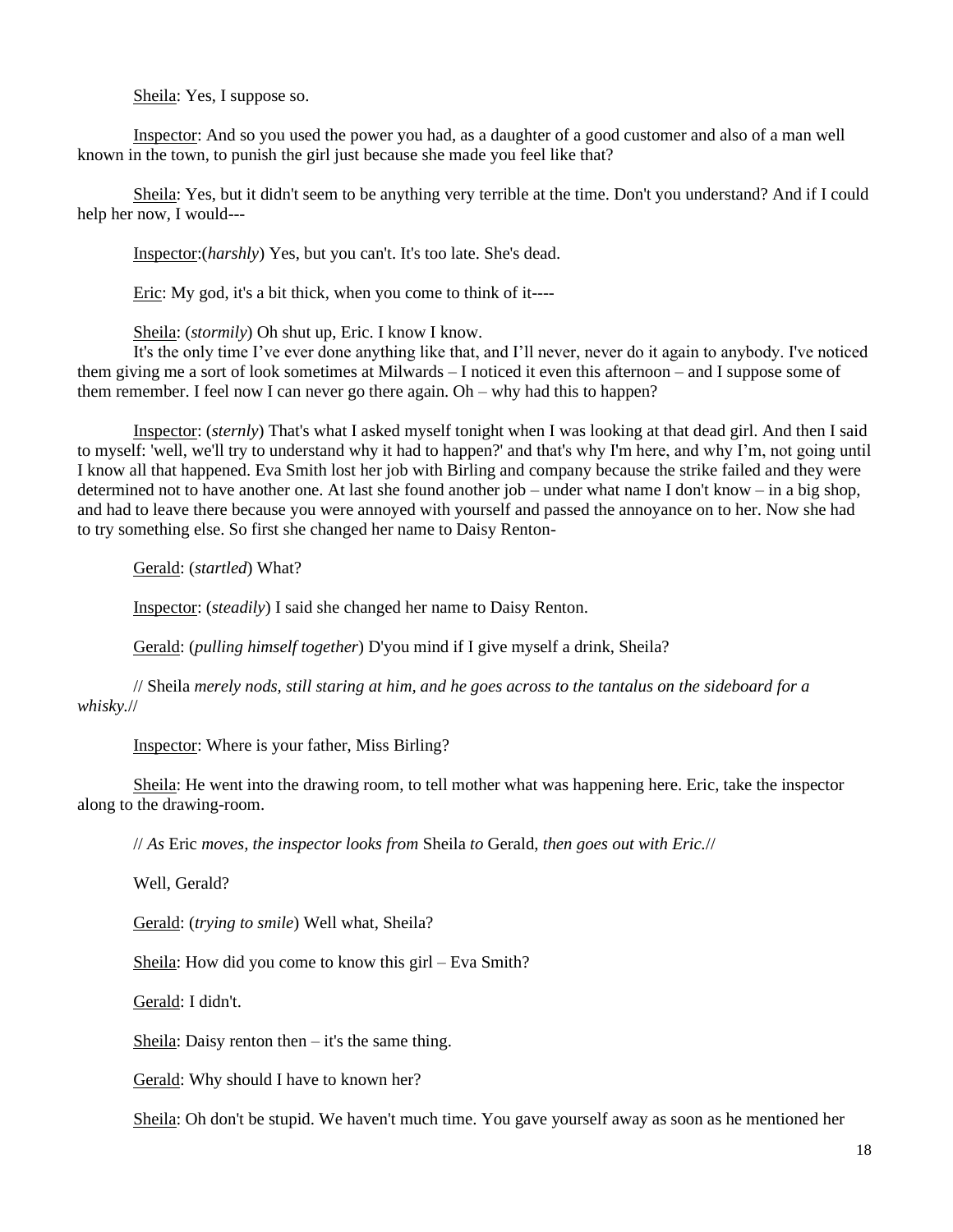Sheila: Yes, I suppose so.

Inspector: And so you used the power you had, as a daughter of a good customer and also of a man well known in the town, to punish the girl just because she made you feel like that?

Sheila: Yes, but it didn't seem to be anything very terrible at the time. Don't you understand? And if I could help her now, I would---

Inspector:(*harshly*) Yes, but you can't. It's too late. She's dead.

Eric: My god, it's a bit thick, when you come to think of it----

Sheila: (*stormily*) Oh shut up, Eric. I know I know.

It's the only time I've ever done anything like that, and I'll never, never do it again to anybody. I've noticed them giving me a sort of look sometimes at Milwards – I noticed it even this afternoon – and I suppose some of them remember. I feel now I can never go there again. Oh – why had this to happen?

Inspector: (*sternly*) That's what I asked myself tonight when I was looking at that dead girl. And then I said to myself: 'well, we'll try to understand why it had to happen?' and that's why I'm here, and why I'm, not going until I know all that happened. Eva Smith lost her job with Birling and company because the strike failed and they were determined not to have another one. At last she found another job – under what name I don't know – in a big shop, and had to leave there because you were annoyed with yourself and passed the annoyance on to her. Now she had to try something else. So first she changed her name to Daisy Renton-

Gerald: (*startled*) What?

Inspector: (*steadily*) I said she changed her name to Daisy Renton.

Gerald: (*pulling himself together*) D'you mind if I give myself a drink, Sheila?

// Sheila *merely nods, still staring at him, and he goes across to the tantalus on the sideboard for a whisky.*//

Inspector: Where is your father, Miss Birling?

Sheila: He went into the drawing room, to tell mother what was happening here. Eric, take the inspector along to the drawing-room.

// *As* Eric *moves, the inspector looks from* Sheila *to* Gerald, *then goes out with Eric.*//

Well, Gerald?

Gerald: (*trying to smile*) Well what, Sheila?

Sheila: How did you come to know this girl – Eva Smith?

Gerald: I didn't.

Sheila: Daisy renton then  $-$  it's the same thing.

Gerald: Why should I have to known her?

Sheila: Oh don't be stupid. We haven't much time. You gave yourself away as soon as he mentioned her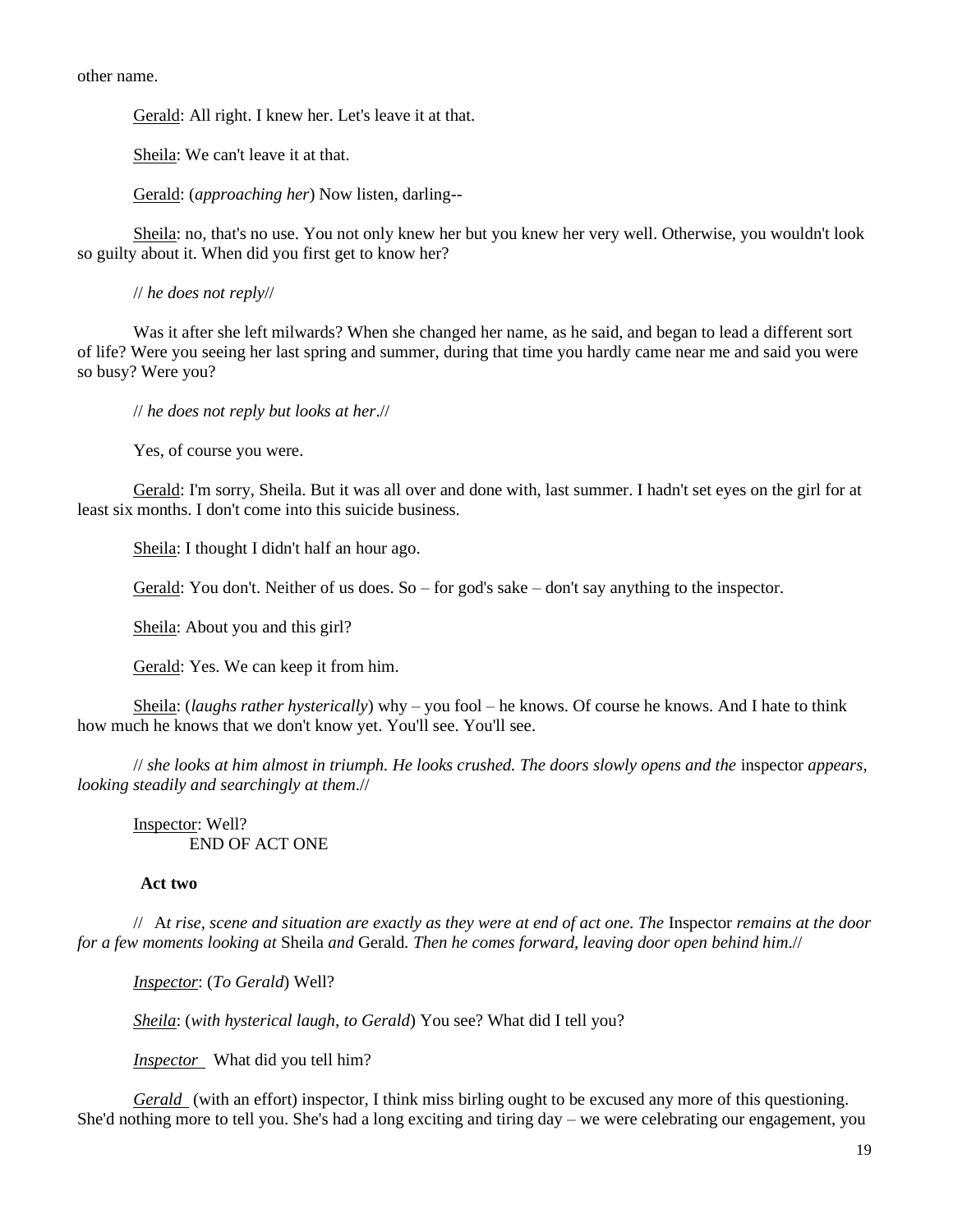other name.

Gerald: All right. I knew her. Let's leave it at that.

Sheila: We can't leave it at that.

Gerald: (*approaching her*) Now listen, darling--

Sheila: no, that's no use. You not only knew her but you knew her very well. Otherwise, you wouldn't look so guilty about it. When did you first get to know her?

// *he does not reply*//

Was it after she left milwards? When she changed her name, as he said, and began to lead a different sort of life? Were you seeing her last spring and summer, during that time you hardly came near me and said you were so busy? Were you?

// *he does not reply but looks at her*.//

Yes, of course you were.

Gerald: I'm sorry, Sheila. But it was all over and done with, last summer. I hadn't set eyes on the girl for at least six months. I don't come into this suicide business.

Sheila: I thought I didn't half an hour ago.

Gerald: You don't. Neither of us does. So – for god's sake – don't say anything to the inspector.

Sheila: About you and this girl?

Gerald: Yes. We can keep it from him.

Sheila: (*laughs rather hysterically*) why – you fool – he knows. Of course he knows. And I hate to think how much he knows that we don't know yet. You'll see. You'll see.

// *she looks at him almost in triumph. He looks crushed. The doors slowly opens and the* inspector *appears, looking steadily and searchingly at them*.//

Inspector: Well? END OF ACT ONE

#### **Act two**

// A*t rise, scene and situation are exactly as they were at end of act one. The* Inspector *remains at the door for a few moments looking at* Sheila *and* Gerald*. Then he comes forward, leaving door open behind him*.//

*Inspector*: (*To Gerald*) Well?

*Sheila*: (*with hysterical laugh, to Gerald*) You see? What did I tell you?

*Inspector* What did you tell him?

*Gerald* (with an effort) inspector, I think miss birling ought to be excused any more of this questioning. She'd nothing more to tell you. She's had a long exciting and tiring day – we were celebrating our engagement, you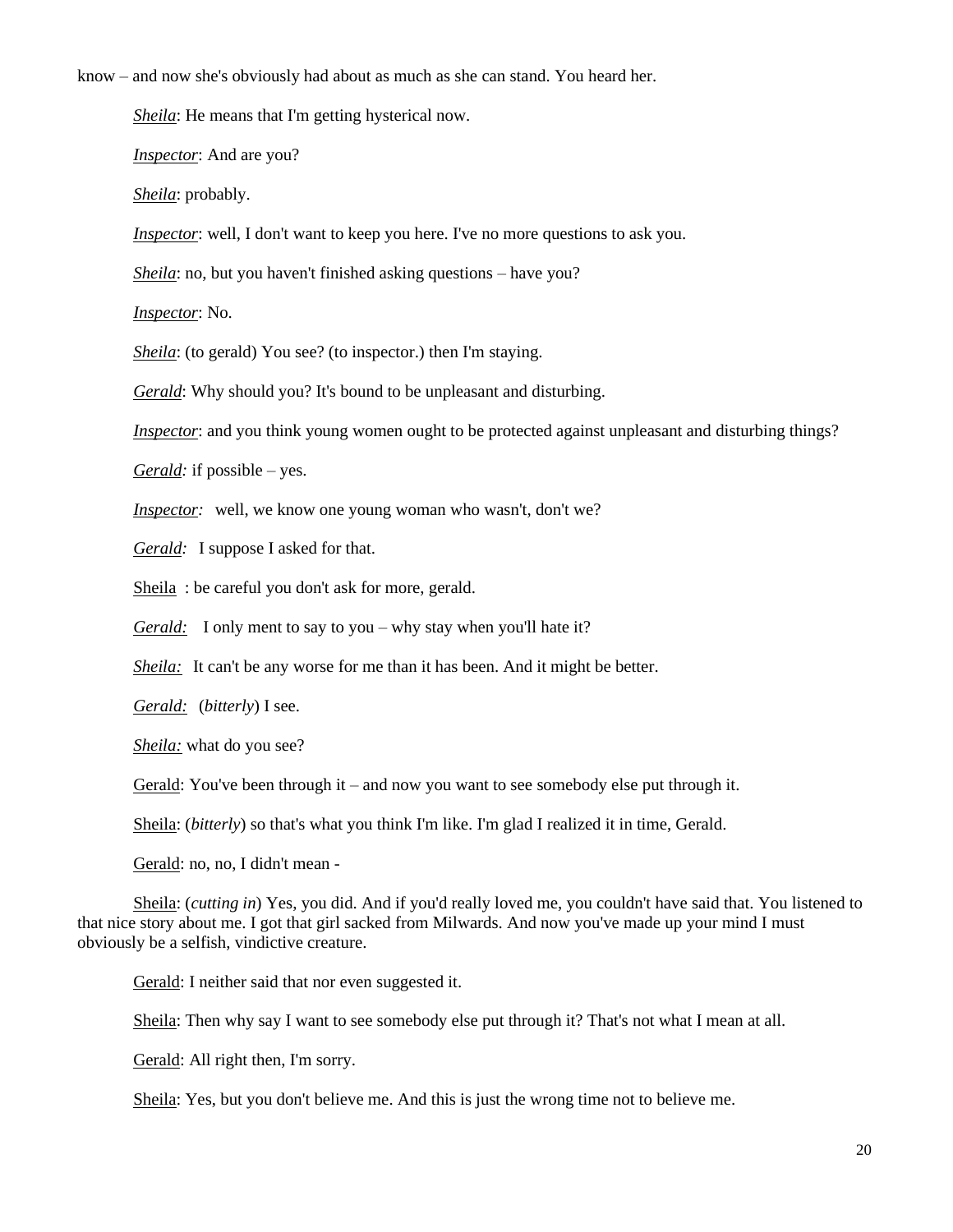know – and now she's obviously had about as much as she can stand. You heard her.

*Sheila*: He means that I'm getting hysterical now.

*Inspector*: And are you?

*Sheila*: probably.

*Inspector*: well, I don't want to keep you here. I've no more questions to ask you.

*Sheila*: no, but you haven't finished asking questions – have you?

*Inspector*: No.

*Sheila*: (to gerald) You see? (to inspector.) then I'm staying.

*Gerald*: Why should you? It's bound to be unpleasant and disturbing.

*Inspector*: and you think young women ought to be protected against unpleasant and disturbing things?

*Gerald:* if possible – yes.

*Inspector:* well, we know one young woman who wasn't, don't we?

*Gerald:* I suppose I asked for that.

Sheila : be careful you don't ask for more, gerald.

*Gerald:* I only ment to say to you – why stay when you'll hate it?

*Sheila:* It can't be any worse for me than it has been. And it might be better.

*Gerald:* (*bitterly*) I see.

*Sheila:* what do you see?

Gerald: You've been through it – and now you want to see somebody else put through it.

Sheila: (*bitterly*) so that's what you think I'm like. I'm glad I realized it in time, Gerald.

Gerald: no, no, I didn't mean -

Sheila: (*cutting in*) Yes, you did. And if you'd really loved me, you couldn't have said that. You listened to that nice story about me. I got that girl sacked from Milwards. And now you've made up your mind I must obviously be a selfish, vindictive creature.

Gerald: I neither said that nor even suggested it.

Sheila: Then why say I want to see somebody else put through it? That's not what I mean at all.

Gerald: All right then, I'm sorry.

Sheila: Yes, but you don't believe me. And this is just the wrong time not to believe me.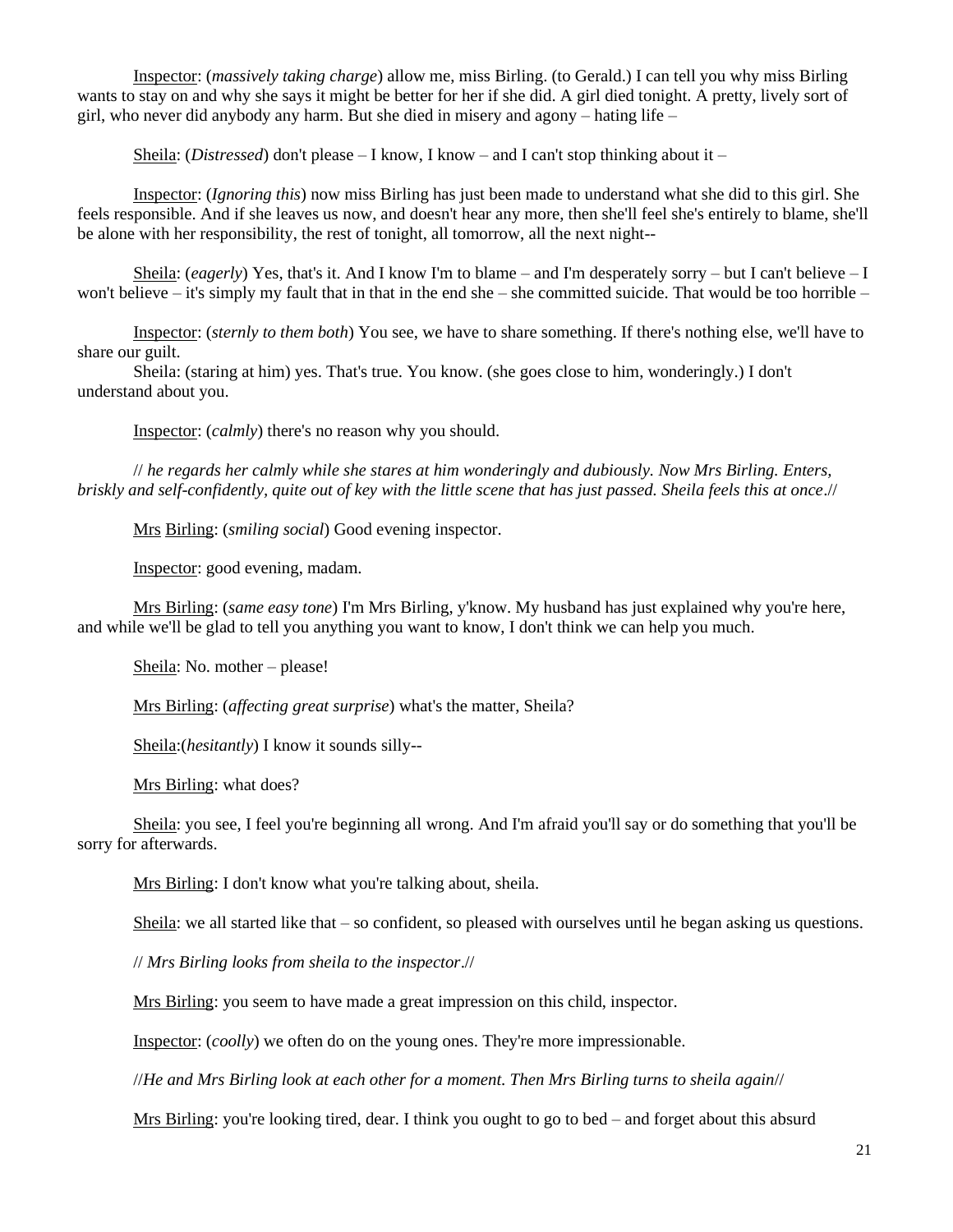Inspector: (*massively taking charge*) allow me, miss Birling. (to Gerald.) I can tell you why miss Birling wants to stay on and why she says it might be better for her if she did. A girl died tonight. A pretty, lively sort of girl, who never did anybody any harm. But she died in misery and agony – hating life –

Sheila: (*Distressed*) don't please – I know, I know – and I can't stop thinking about it –

Inspector: (*Ignoring this*) now miss Birling has just been made to understand what she did to this girl. She feels responsible. And if she leaves us now, and doesn't hear any more, then she'll feel she's entirely to blame, she'll be alone with her responsibility, the rest of tonight, all tomorrow, all the next night--

Sheila: (*eagerly*) Yes, that's it. And I know I'm to blame – and I'm desperately sorry – but I can't believe – I won't believe – it's simply my fault that in that in the end she – she committed suicide. That would be too horrible –

Inspector: (*sternly to them both*) You see, we have to share something. If there's nothing else, we'll have to share our guilt.

Sheila: (staring at him) yes. That's true. You know. (she goes close to him, wonderingly.) I don't understand about you.

Inspector: (*calmly*) there's no reason why you should.

// *he regards her calmly while she stares at him wonderingly and dubiously. Now Mrs Birling. Enters, briskly and self-confidently, quite out of key with the little scene that has just passed. Sheila feels this at once*.//

Mrs Birling: (*smiling social*) Good evening inspector.

Inspector: good evening, madam.

Mrs Birling: (*same easy tone*) I'm Mrs Birling, y'know. My husband has just explained why you're here, and while we'll be glad to tell you anything you want to know, I don't think we can help you much.

Sheila: No. mother – please!

Mrs Birling: (*affecting great surprise*) what's the matter, Sheila?

Sheila:(*hesitantly*) I know it sounds silly--

Mrs Birling: what does?

Sheila: you see, I feel you're beginning all wrong. And I'm afraid you'll say or do something that you'll be sorry for afterwards.

Mrs Birling: I don't know what you're talking about, sheila.

Sheila: we all started like that – so confident, so pleased with ourselves until he began asking us questions.

// *Mrs Birling looks from sheila to the inspector*.//

Mrs Birling: you seem to have made a great impression on this child, inspector.

Inspector: (*coolly*) we often do on the young ones. They're more impressionable.

//*He and Mrs Birling look at each other for a moment. Then Mrs Birling turns to sheila again*//

Mrs Birling: you're looking tired, dear. I think you ought to go to bed – and forget about this absurd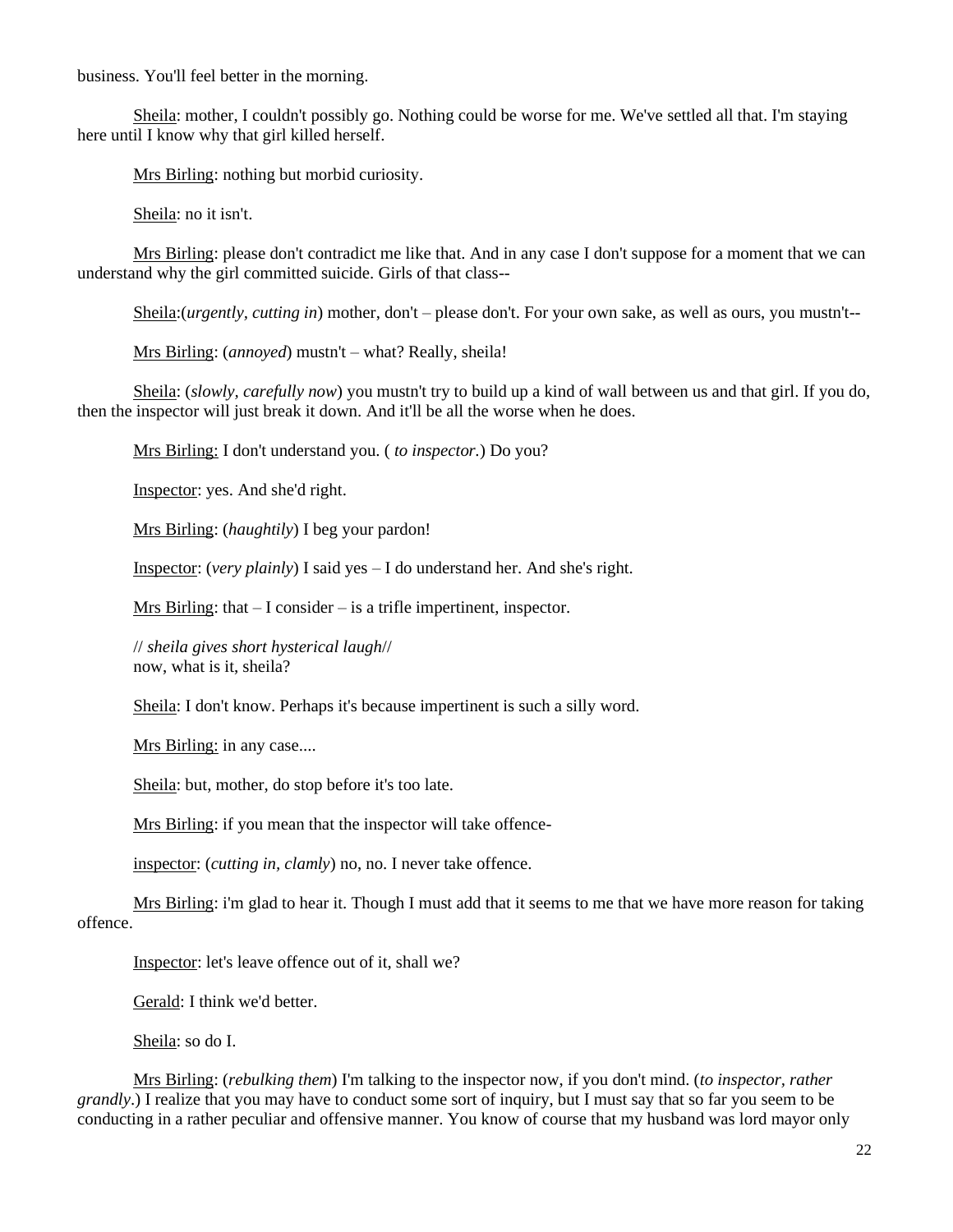business. You'll feel better in the morning.

Sheila: mother, I couldn't possibly go. Nothing could be worse for me. We've settled all that. I'm staying here until I know why that girl killed herself.

Mrs Birling: nothing but morbid curiosity.

Sheila: no it isn't.

Mrs Birling: please don't contradict me like that. And in any case I don't suppose for a moment that we can understand why the girl committed suicide. Girls of that class--

Sheila:(*urgently, cutting in*) mother, don't – please don't. For your own sake, as well as ours, you mustn't--

Mrs Birling: (*annoyed*) mustn't – what? Really, sheila!

Sheila: (*slowly, carefully now*) you mustn't try to build up a kind of wall between us and that girl. If you do, then the inspector will just break it down. And it'll be all the worse when he does.

Mrs Birling: I don't understand you. ( *to inspector.*) Do you?

Inspector: yes. And she'd right.

Mrs Birling: (*haughtily*) I beg your pardon!

Inspector: (*very plainly*) I said yes – I do understand her. And she's right.

Mrs Birling: that  $-1$  consider  $-$  is a trifle impertinent, inspector.

// *sheila gives short hysterical laugh*// now, what is it, sheila?

Sheila: I don't know. Perhaps it's because impertinent is such a silly word.

Mrs Birling: in any case....

Sheila: but, mother, do stop before it's too late.

Mrs Birling: if you mean that the inspector will take offence-

inspector: (*cutting in, clamly*) no, no. I never take offence.

Mrs Birling: i'm glad to hear it. Though I must add that it seems to me that we have more reason for taking offence.

Inspector: let's leave offence out of it, shall we?

Gerald: I think we'd better.

Sheila: so do I.

Mrs Birling: (*rebulking them*) I'm talking to the inspector now, if you don't mind. (*to inspector, rather grandly*.) I realize that you may have to conduct some sort of inquiry, but I must say that so far you seem to be conducting in a rather peculiar and offensive manner. You know of course that my husband was lord mayor only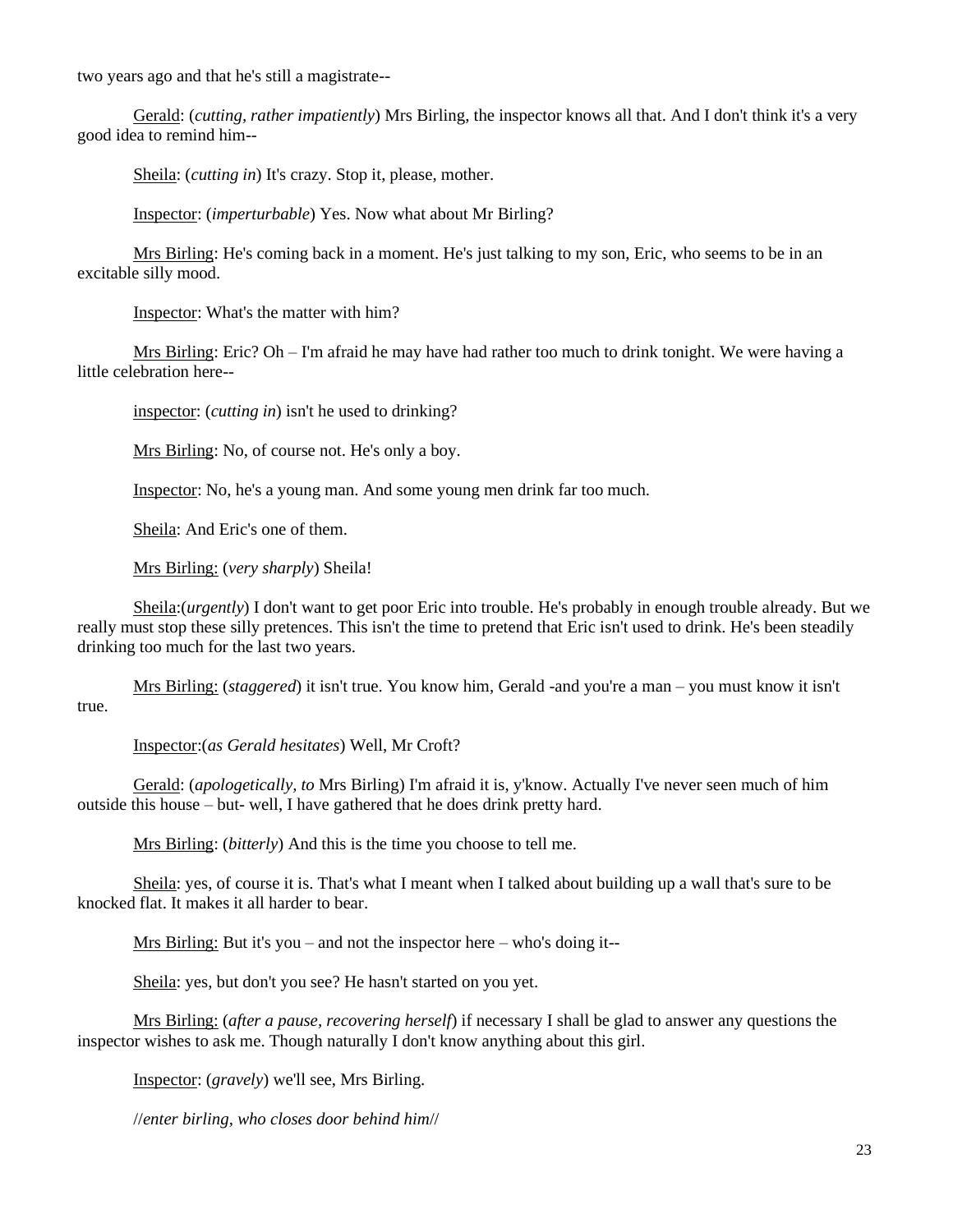two years ago and that he's still a magistrate--

Gerald: (*cutting, rather impatiently*) Mrs Birling, the inspector knows all that. And I don't think it's a very good idea to remind him--

Sheila: (*cutting in*) It's crazy. Stop it, please, mother.

Inspector: (*imperturbable*) Yes. Now what about Mr Birling?

Mrs Birling: He's coming back in a moment. He's just talking to my son, Eric, who seems to be in an excitable silly mood.

Inspector: What's the matter with him?

Mrs Birling: Eric? Oh – I'm afraid he may have had rather too much to drink tonight. We were having a little celebration here--

inspector: (*cutting in*) isn't he used to drinking?

Mrs Birling: No, of course not. He's only a boy.

Inspector: No, he's a young man. And some young men drink far too much.

Sheila: And Eric's one of them.

Mrs Birling: (*very sharply*) Sheila!

Sheila:(*urgently*) I don't want to get poor Eric into trouble. He's probably in enough trouble already. But we really must stop these silly pretences. This isn't the time to pretend that Eric isn't used to drink. He's been steadily drinking too much for the last two years.

Mrs Birling: (*staggered*) it isn't true. You know him, Gerald -and you're a man – you must know it isn't true.

Inspector:(*as Gerald hesitates*) Well, Mr Croft?

Gerald: (*apologetically, to* Mrs Birling) I'm afraid it is, y'know. Actually I've never seen much of him outside this house – but- well, I have gathered that he does drink pretty hard.

Mrs Birling: (*bitterly*) And this is the time you choose to tell me.

Sheila: yes, of course it is. That's what I meant when I talked about building up a wall that's sure to be knocked flat. It makes it all harder to bear.

Mrs Birling: But it's you – and not the inspector here – who's doing it--

Sheila: yes, but don't you see? He hasn't started on you yet.

Mrs Birling: (*after a pause, recovering herself*) if necessary I shall be glad to answer any questions the inspector wishes to ask me. Though naturally I don't know anything about this girl.

Inspector: (*gravely*) we'll see, Mrs Birling.

//*enter birling, who closes door behind him*//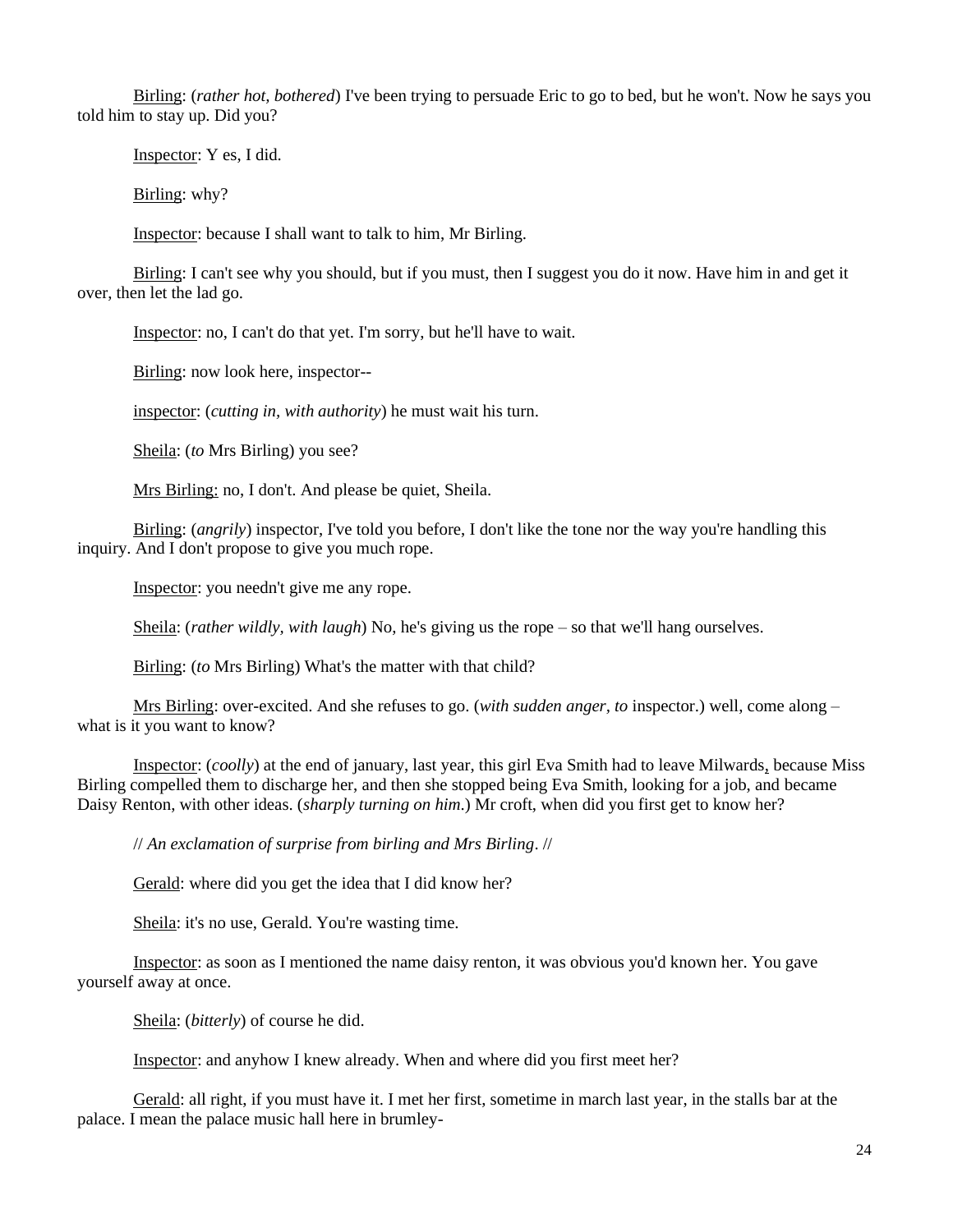Birling: (*rather hot, bothered*) I've been trying to persuade Eric to go to bed, but he won't. Now he says you told him to stay up. Did you?

Inspector: Y es, I did.

Birling: why?

Inspector: because I shall want to talk to him, Mr Birling.

Birling: I can't see why you should, but if you must, then I suggest you do it now. Have him in and get it over, then let the lad go.

Inspector: no, I can't do that yet. I'm sorry, but he'll have to wait.

Birling: now look here, inspector--

inspector: (*cutting in, with authority*) he must wait his turn.

Sheila: (*to* Mrs Birling) you see?

Mrs Birling: no, I don't. And please be quiet, Sheila.

Birling: (*angrily*) inspector, I've told you before, I don't like the tone nor the way you're handling this inquiry. And I don't propose to give you much rope.

Inspector: you needn't give me any rope.

Sheila: (*rather wildly, with laugh*) No, he's giving us the rope – so that we'll hang ourselves.

Birling: (*to* Mrs Birling) What's the matter with that child?

Mrs Birling: over-excited. And she refuses to go. (*with sudden anger, to* inspector.) well, come along – what is it you want to know?

Inspector: (*coolly*) at the end of january, last year, this girl Eva Smith had to leave Milwards, because Miss Birling compelled them to discharge her, and then she stopped being Eva Smith, looking for a job, and became Daisy Renton, with other ideas. (*sharply turning on him*.) Mr croft, when did you first get to know her?

// *An exclamation of surprise from birling and Mrs Birling*. //

Gerald: where did you get the idea that I did know her?

Sheila: it's no use, Gerald. You're wasting time.

Inspector: as soon as I mentioned the name daisy renton, it was obvious you'd known her. You gave yourself away at once.

Sheila: (*bitterly*) of course he did.

Inspector: and anyhow I knew already. When and where did you first meet her?

Gerald: all right, if you must have it. I met her first, sometime in march last year, in the stalls bar at the palace. I mean the palace music hall here in brumley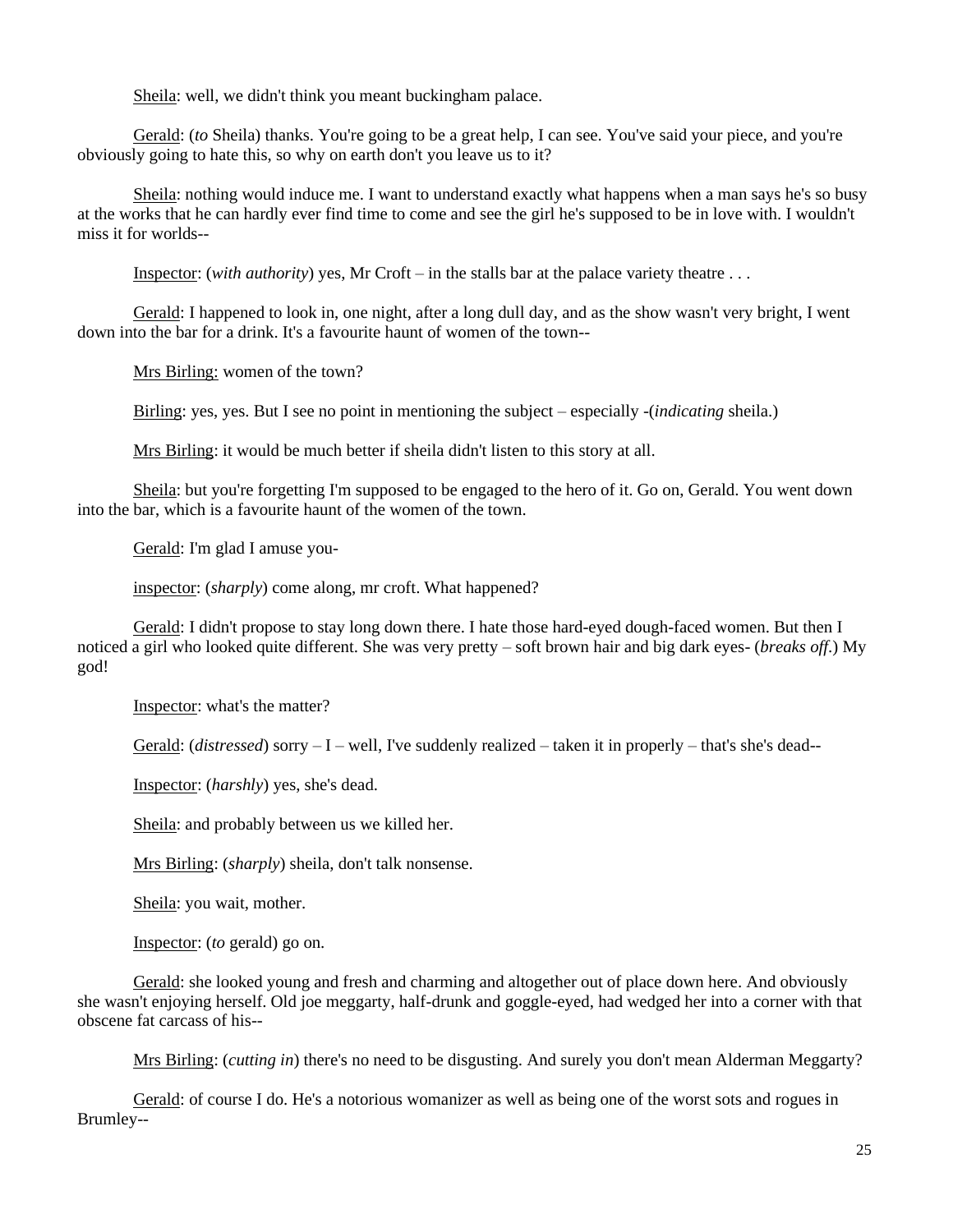Sheila: well, we didn't think you meant buckingham palace.

Gerald: (*to* Sheila) thanks. You're going to be a great help, I can see. You've said your piece, and you're obviously going to hate this, so why on earth don't you leave us to it?

Sheila: nothing would induce me. I want to understand exactly what happens when a man says he's so busy at the works that he can hardly ever find time to come and see the girl he's supposed to be in love with. I wouldn't miss it for worlds--

Inspector: (*with authority*) yes, Mr Croft – in the stalls bar at the palace variety theatre . . .

Gerald: I happened to look in, one night, after a long dull day, and as the show wasn't very bright, I went down into the bar for a drink. It's a favourite haunt of women of the town--

Mrs Birling: women of the town?

Birling: yes, yes. But I see no point in mentioning the subject – especially -(*indicating* sheila.)

Mrs Birling: it would be much better if sheila didn't listen to this story at all.

Sheila: but you're forgetting I'm supposed to be engaged to the hero of it. Go on, Gerald. You went down into the bar, which is a favourite haunt of the women of the town.

Gerald: I'm glad I amuse you-

inspector: (*sharply*) come along, mr croft. What happened?

Gerald: I didn't propose to stay long down there. I hate those hard-eyed dough-faced women. But then I noticed a girl who looked quite different. She was very pretty – soft brown hair and big dark eyes- (*breaks off*.) My god!

Inspector: what's the matter?

Gerald: (*distressed*) sorry – I – well, I've suddenly realized – taken it in properly – that's she's dead--

Inspector: (*harshly*) yes, she's dead.

Sheila: and probably between us we killed her.

Mrs Birling: (*sharply*) sheila, don't talk nonsense.

Sheila: you wait, mother.

Inspector: (*to* gerald) go on.

Gerald: she looked young and fresh and charming and altogether out of place down here. And obviously she wasn't enjoying herself. Old joe meggarty, half-drunk and goggle-eyed, had wedged her into a corner with that obscene fat carcass of his--

Mrs Birling: (*cutting in*) there's no need to be disgusting. And surely you don't mean Alderman Meggarty?

Gerald: of course I do. He's a notorious womanizer as well as being one of the worst sots and rogues in Brumley--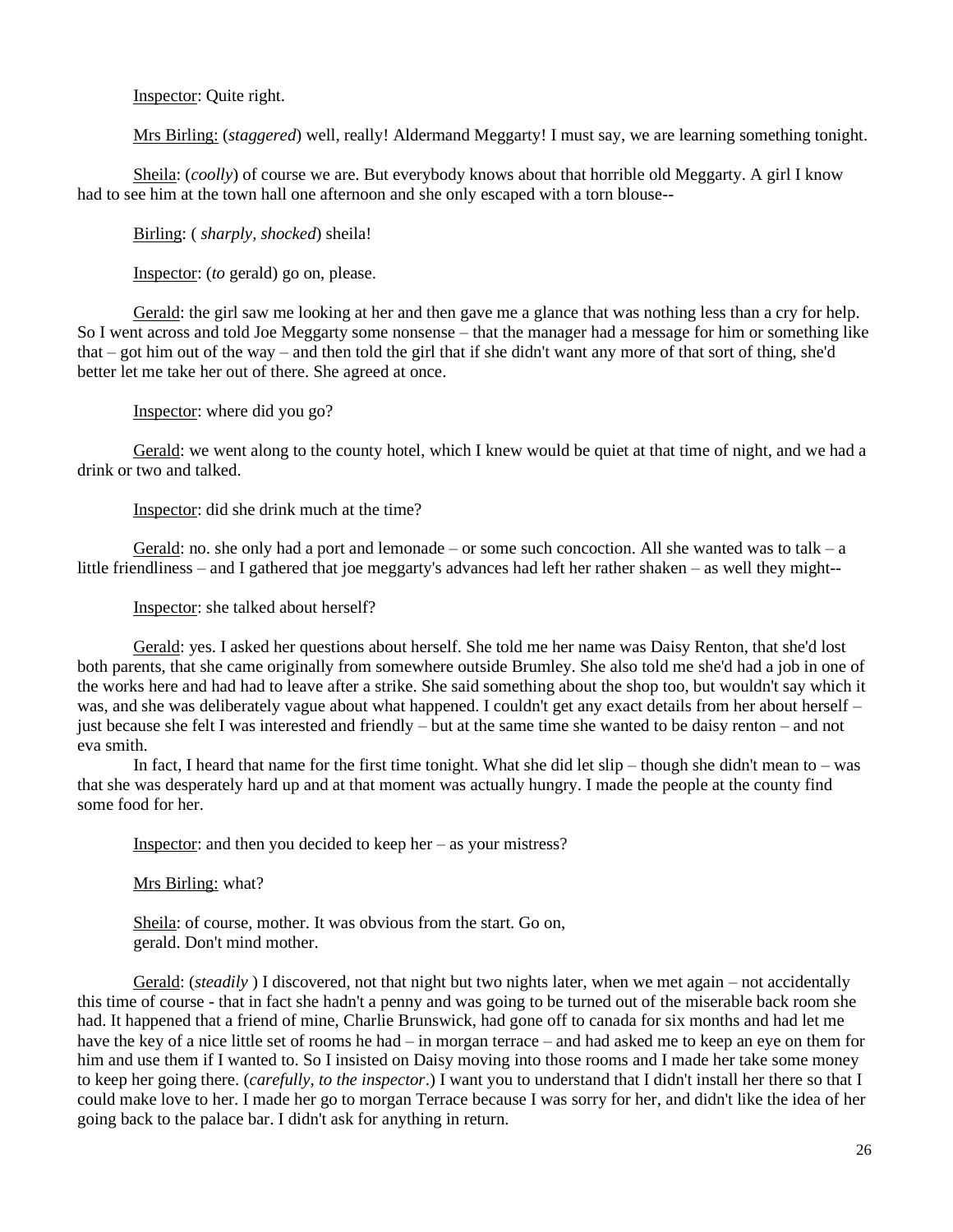Inspector: Quite right.

Mrs Birling: (*staggered*) well, really! Aldermand Meggarty! I must say, we are learning something tonight.

Sheila: (*coolly*) of course we are. But everybody knows about that horrible old Meggarty. A girl I know had to see him at the town hall one afternoon and she only escaped with a torn blouse--

Birling: ( *sharply, shocked*) sheila!

Inspector: (*to* gerald) go on, please.

Gerald: the girl saw me looking at her and then gave me a glance that was nothing less than a cry for help. So I went across and told Joe Meggarty some nonsense – that the manager had a message for him or something like that – got him out of the way – and then told the girl that if she didn't want any more of that sort of thing, she'd better let me take her out of there. She agreed at once.

Inspector: where did you go?

Gerald: we went along to the county hotel, which I knew would be quiet at that time of night, and we had a drink or two and talked.

Inspector: did she drink much at the time?

Gerald: no. she only had a port and lemonade – or some such concoction. All she wanted was to talk – a little friendliness – and I gathered that joe meggarty's advances had left her rather shaken – as well they might--

Inspector: she talked about herself?

Gerald: yes. I asked her questions about herself. She told me her name was Daisy Renton, that she'd lost both parents, that she came originally from somewhere outside Brumley. She also told me she'd had a job in one of the works here and had had to leave after a strike. She said something about the shop too, but wouldn't say which it was, and she was deliberately vague about what happened. I couldn't get any exact details from her about herself – just because she felt I was interested and friendly – but at the same time she wanted to be daisy renton – and not eva smith.

In fact, I heard that name for the first time tonight. What she did let  $slip$  – though she didn't mean to – was that she was desperately hard up and at that moment was actually hungry. I made the people at the county find some food for her.

Inspector: and then you decided to keep her – as your mistress?

Mrs Birling: what?

Sheila: of course, mother. It was obvious from the start. Go on, gerald. Don't mind mother.

Gerald: (*steadily* ) I discovered, not that night but two nights later, when we met again – not accidentally this time of course - that in fact she hadn't a penny and was going to be turned out of the miserable back room she had. It happened that a friend of mine, Charlie Brunswick, had gone off to canada for six months and had let me have the key of a nice little set of rooms he had – in morgan terrace – and had asked me to keep an eye on them for him and use them if I wanted to. So I insisted on Daisy moving into those rooms and I made her take some money to keep her going there. (*carefully, to the inspector*.) I want you to understand that I didn't install her there so that I could make love to her. I made her go to morgan Terrace because I was sorry for her, and didn't like the idea of her going back to the palace bar. I didn't ask for anything in return.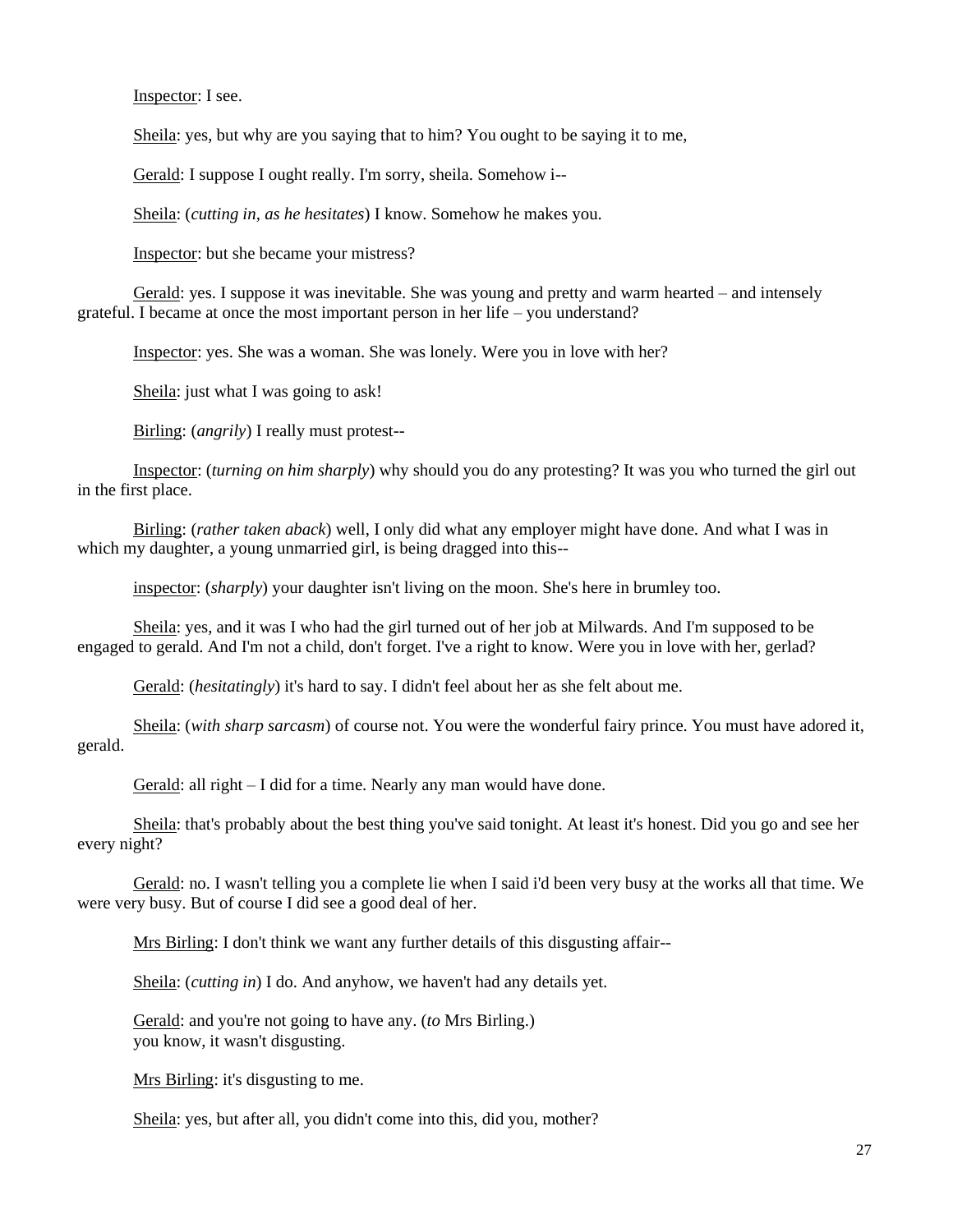Inspector: I see.

Sheila: yes, but why are you saying that to him? You ought to be saying it to me,

Gerald: I suppose I ought really. I'm sorry, sheila. Somehow i--

Sheila: (*cutting in, as he hesitates*) I know. Somehow he makes you.

Inspector: but she became your mistress?

Gerald: yes. I suppose it was inevitable. She was young and pretty and warm hearted – and intensely grateful. I became at once the most important person in her life – you understand?

Inspector: yes. She was a woman. She was lonely. Were you in love with her?

Sheila: just what I was going to ask!

Birling: (*angrily*) I really must protest--

Inspector: (*turning on him sharply*) why should you do any protesting? It was you who turned the girl out in the first place.

Birling: (*rather taken aback*) well, I only did what any employer might have done. And what I was in which my daughter, a young unmarried girl, is being dragged into this--

inspector: (*sharply*) your daughter isn't living on the moon. She's here in brumley too.

Sheila: yes, and it was I who had the girl turned out of her job at Milwards. And I'm supposed to be engaged to gerald. And I'm not a child, don't forget. I've a right to know. Were you in love with her, gerlad?

Gerald: (*hesitatingly*) it's hard to say. I didn't feel about her as she felt about me.

Sheila: (*with sharp sarcasm*) of course not. You were the wonderful fairy prince. You must have adored it, gerald.

Gerald: all right – I did for a time. Nearly any man would have done.

Sheila: that's probably about the best thing you've said tonight. At least it's honest. Did you go and see her every night?

Gerald: no. I wasn't telling you a complete lie when I said i'd been very busy at the works all that time. We were very busy. But of course I did see a good deal of her.

Mrs Birling: I don't think we want any further details of this disgusting affair--

Sheila: (*cutting in*) I do. And anyhow, we haven't had any details yet.

Gerald: and you're not going to have any. (*to* Mrs Birling.) you know, it wasn't disgusting.

Mrs Birling: it's disgusting to me.

Sheila: yes, but after all, you didn't come into this, did you, mother?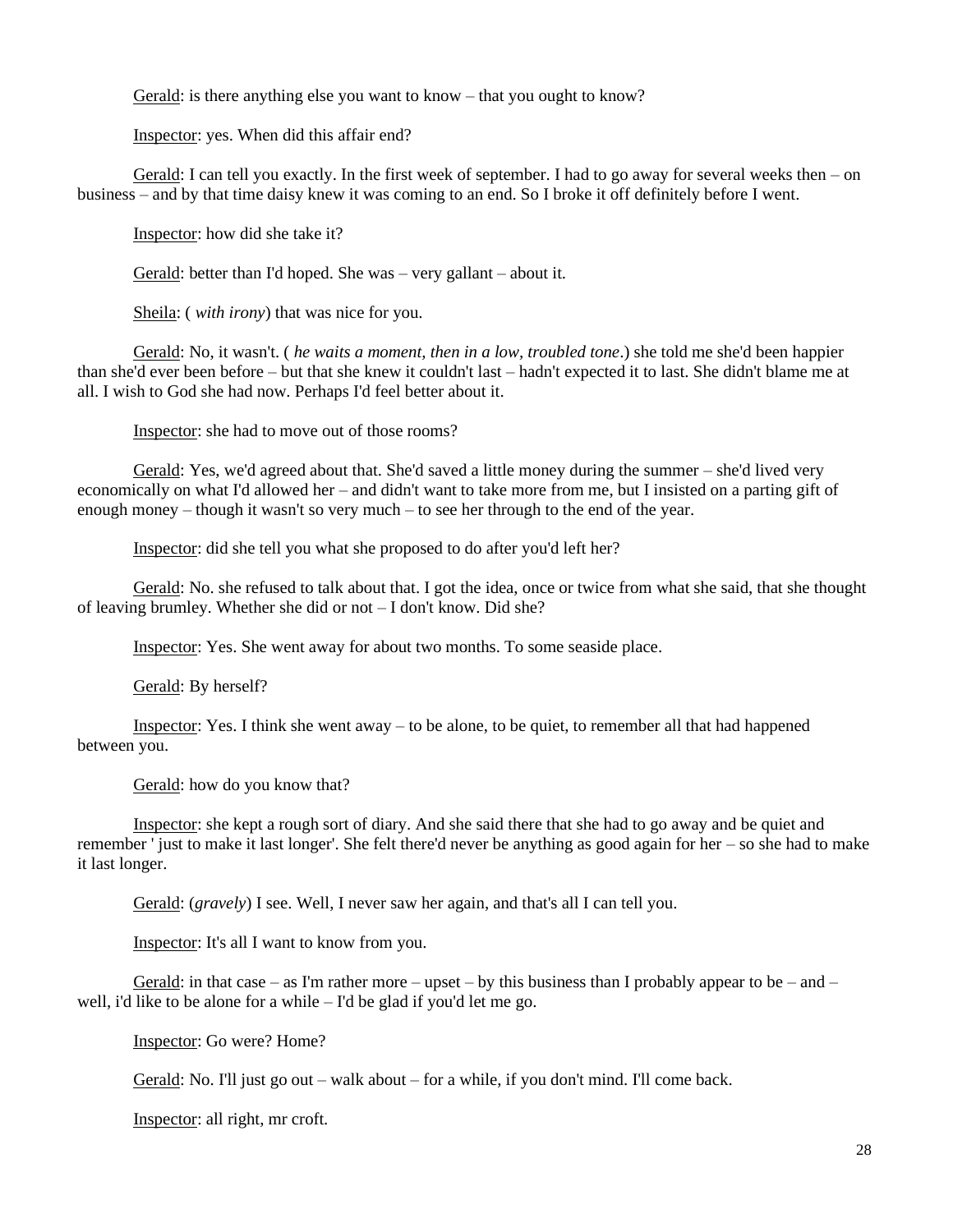Gerald: is there anything else you want to know – that you ought to know?

Inspector: yes. When did this affair end?

Gerald: I can tell you exactly. In the first week of september. I had to go away for several weeks then – on business – and by that time daisy knew it was coming to an end. So I broke it off definitely before I went.

Inspector: how did she take it?

Gerald: better than I'd hoped. She was – very gallant – about it.

Sheila: ( *with irony*) that was nice for you.

Gerald: No, it wasn't. ( *he waits a moment, then in a low, troubled tone*.) she told me she'd been happier than she'd ever been before – but that she knew it couldn't last – hadn't expected it to last. She didn't blame me at all. I wish to God she had now. Perhaps I'd feel better about it.

Inspector: she had to move out of those rooms?

Gerald: Yes, we'd agreed about that. She'd saved a little money during the summer – she'd lived very economically on what I'd allowed her – and didn't want to take more from me, but I insisted on a parting gift of enough money – though it wasn't so very much – to see her through to the end of the year.

Inspector: did she tell you what she proposed to do after you'd left her?

Gerald: No. she refused to talk about that. I got the idea, once or twice from what she said, that she thought of leaving brumley. Whether she did or not – I don't know. Did she?

Inspector: Yes. She went away for about two months. To some seaside place.

Gerald: By herself?

Inspector: Yes. I think she went away – to be alone, to be quiet, to remember all that had happened between you.

Gerald: how do you know that?

Inspector: she kept a rough sort of diary. And she said there that she had to go away and be quiet and remember ' just to make it last longer'. She felt there'd never be anything as good again for her – so she had to make it last longer.

Gerald: (*gravely*) I see. Well, I never saw her again, and that's all I can tell you.

Inspector: It's all I want to know from you.

Gerald: in that case – as I'm rather more – upset – by this business than I probably appear to be – and – well, i'd like to be alone for a while – I'd be glad if you'd let me go.

Inspector: Go were? Home?

Gerald: No. I'll just go out – walk about – for a while, if you don't mind. I'll come back.

Inspector: all right, mr croft.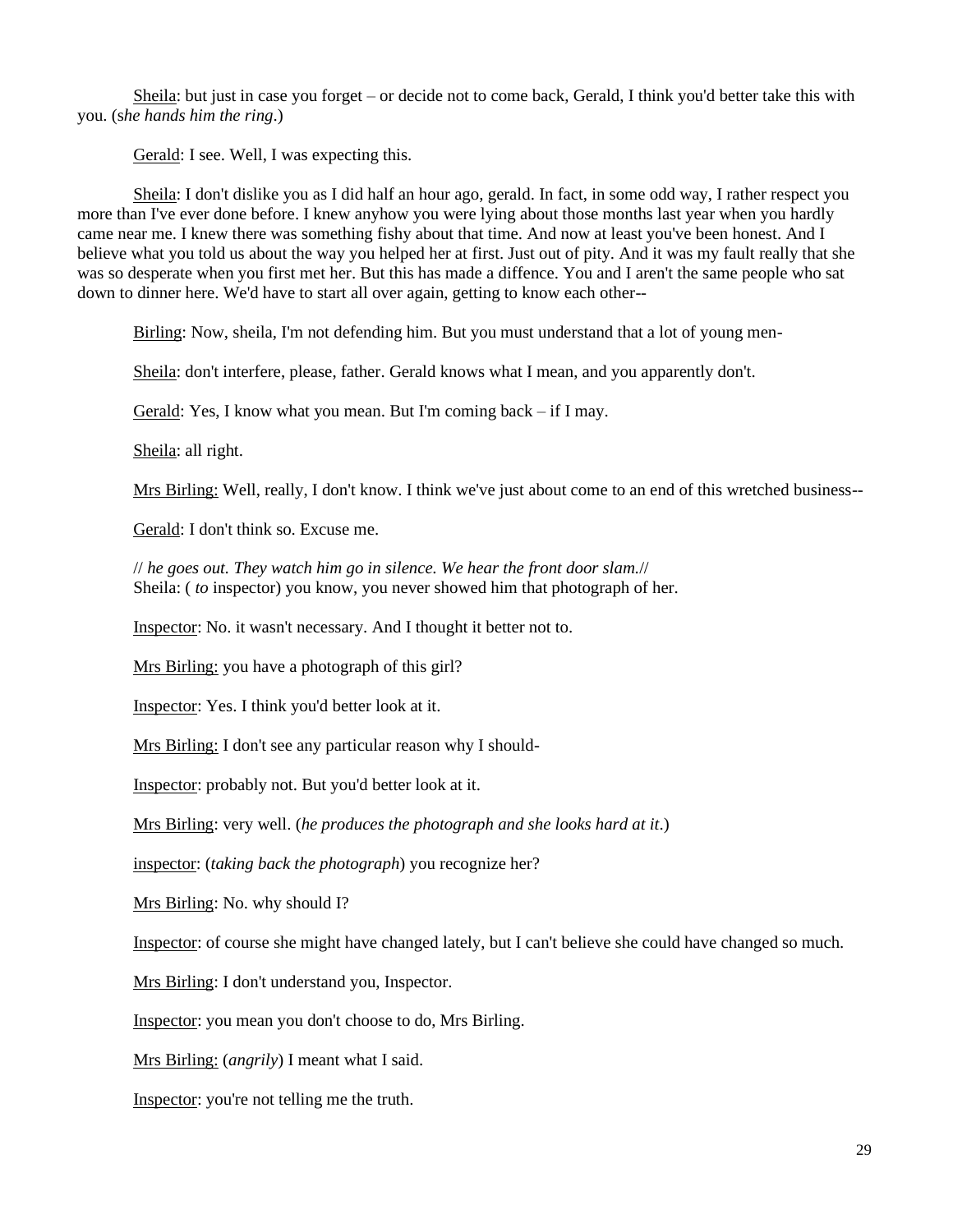Sheila: but just in case you forget – or decide not to come back, Gerald, I think you'd better take this with you. (s*he hands him the ring*.)

Gerald: I see. Well, I was expecting this.

Sheila: I don't dislike you as I did half an hour ago, gerald. In fact, in some odd way, I rather respect you more than I've ever done before. I knew anyhow you were lying about those months last year when you hardly came near me. I knew there was something fishy about that time. And now at least you've been honest. And I believe what you told us about the way you helped her at first. Just out of pity. And it was my fault really that she was so desperate when you first met her. But this has made a diffence. You and I aren't the same people who sat down to dinner here. We'd have to start all over again, getting to know each other--

Birling: Now, sheila, I'm not defending him. But you must understand that a lot of young men-

Sheila: don't interfere, please, father. Gerald knows what I mean, and you apparently don't.

Gerald: Yes, I know what you mean. But I'm coming back – if I may.

Sheila: all right.

Mrs Birling: Well, really, I don't know. I think we've just about come to an end of this wretched business--

Gerald: I don't think so. Excuse me.

// *he goes out. They watch him go in silence. We hear the front door slam.*// Sheila: ( *to* inspector) you know, you never showed him that photograph of her.

Inspector: No. it wasn't necessary. And I thought it better not to.

Mrs Birling: you have a photograph of this girl?

Inspector: Yes. I think you'd better look at it.

Mrs Birling: I don't see any particular reason why I should-

Inspector: probably not. But you'd better look at it.

Mrs Birling: very well. (*he produces the photograph and she looks hard at it*.)

inspector: (*taking back the photograph*) you recognize her?

Mrs Birling: No. why should I?

Inspector: of course she might have changed lately, but I can't believe she could have changed so much.

Mrs Birling: I don't understand you, Inspector.

Inspector: you mean you don't choose to do, Mrs Birling.

Mrs Birling: (*angrily*) I meant what I said.

Inspector: you're not telling me the truth.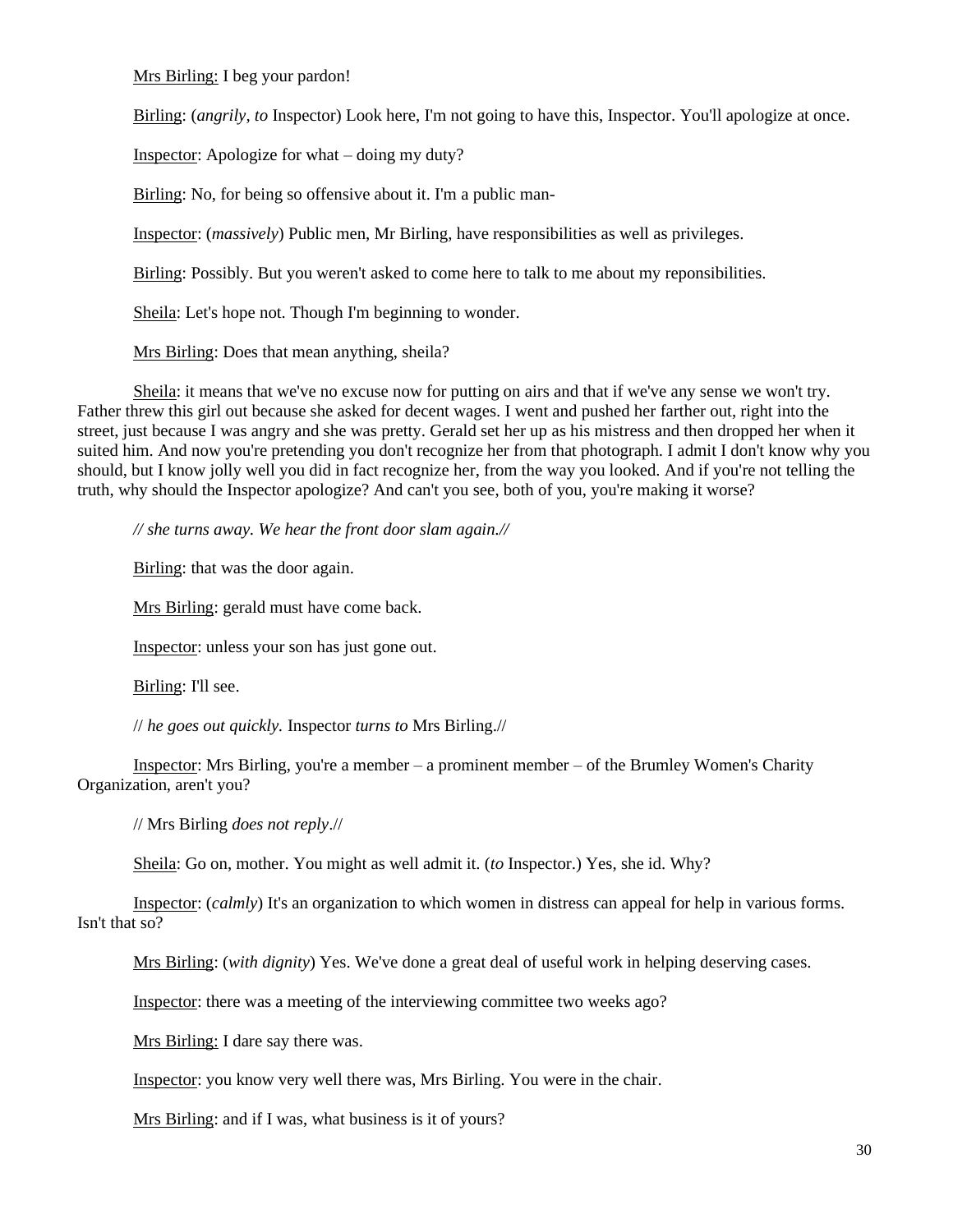Mrs Birling: I beg your pardon!

Birling: (*angrily, to* Inspector) Look here, I'm not going to have this, Inspector. You'll apologize at once.

Inspector: Apologize for what – doing my duty?

Birling: No, for being so offensive about it. I'm a public man-

Inspector: (*massively*) Public men, Mr Birling, have responsibilities as well as privileges.

Birling: Possibly. But you weren't asked to come here to talk to me about my reponsibilities.

Sheila: Let's hope not. Though I'm beginning to wonder.

Mrs Birling: Does that mean anything, sheila?

Sheila: it means that we've no excuse now for putting on airs and that if we've any sense we won't try. Father threw this girl out because she asked for decent wages. I went and pushed her farther out, right into the street, just because I was angry and she was pretty. Gerald set her up as his mistress and then dropped her when it suited him. And now you're pretending you don't recognize her from that photograph. I admit I don't know why you should, but I know jolly well you did in fact recognize her, from the way you looked. And if you're not telling the truth, why should the Inspector apologize? And can't you see, both of you, you're making it worse?

*// she turns away. We hear the front door slam again.//*

Birling: that was the door again.

Mrs Birling: gerald must have come back.

Inspector: unless your son has just gone out.

Birling: I'll see.

// *he goes out quickly.* Inspector *turns to* Mrs Birling.//

Inspector: Mrs Birling, you're a member – a prominent member – of the Brumley Women's Charity Organization, aren't you?

// Mrs Birling *does not reply*.//

Sheila: Go on, mother. You might as well admit it. (*to* Inspector.) Yes, she id. Why?

Inspector: (*calmly*) It's an organization to which women in distress can appeal for help in various forms. Isn't that so?

Mrs Birling: (*with dignity*) Yes. We've done a great deal of useful work in helping deserving cases.

Inspector: there was a meeting of the interviewing committee two weeks ago?

Mrs Birling: I dare say there was.

Inspector: you know very well there was, Mrs Birling. You were in the chair.

Mrs Birling: and if I was, what business is it of yours?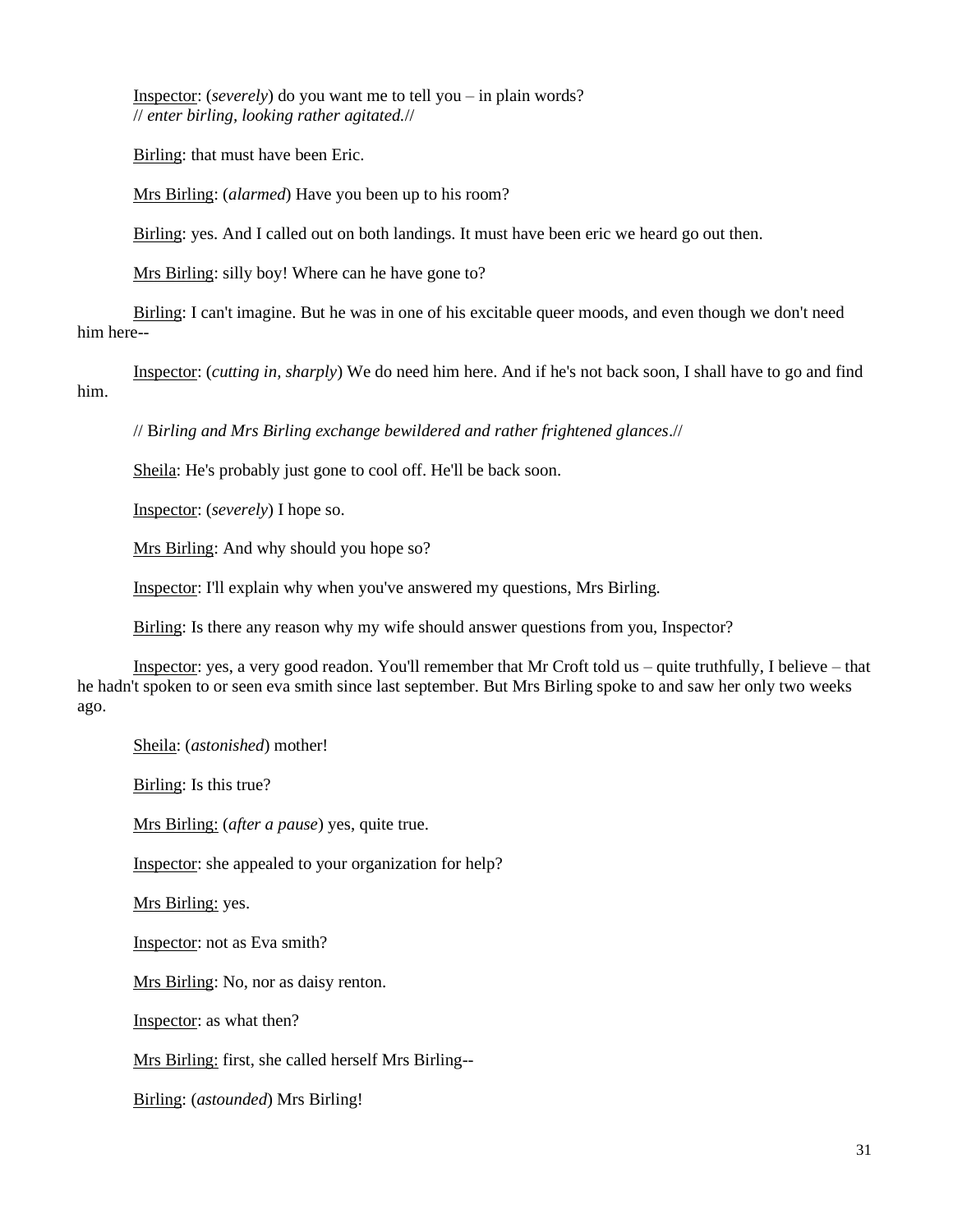Inspector: (*severely*) do you want me to tell you – in plain words? // *enter birling, looking rather agitated.*//

Birling: that must have been Eric.

Mrs Birling: (*alarmed*) Have you been up to his room?

Birling: yes. And I called out on both landings. It must have been eric we heard go out then.

Mrs Birling: silly boy! Where can he have gone to?

Birling: I can't imagine. But he was in one of his excitable queer moods, and even though we don't need him here--

Inspector: (*cutting in, sharply*) We do need him here. And if he's not back soon, I shall have to go and find him.

// B*irling and Mrs Birling exchange bewildered and rather frightened glances*.//

Sheila: He's probably just gone to cool off. He'll be back soon.

Inspector: (*severely*) I hope so.

Mrs Birling: And why should you hope so?

Inspector: I'll explain why when you've answered my questions, Mrs Birling.

Birling: Is there any reason why my wife should answer questions from you, Inspector?

Inspector: yes, a very good readon. You'll remember that Mr Croft told us – quite truthfully, I believe – that he hadn't spoken to or seen eva smith since last september. But Mrs Birling spoke to and saw her only two weeks ago.

Sheila: (*astonished*) mother!

Birling: Is this true?

Mrs Birling: (*after a pause*) yes, quite true.

Inspector: she appealed to your organization for help?

Mrs Birling: yes.

Inspector: not as Eva smith?

Mrs Birling: No, nor as daisy renton.

Inspector: as what then?

Mrs Birling: first, she called herself Mrs Birling--

Birling: (*astounded*) Mrs Birling!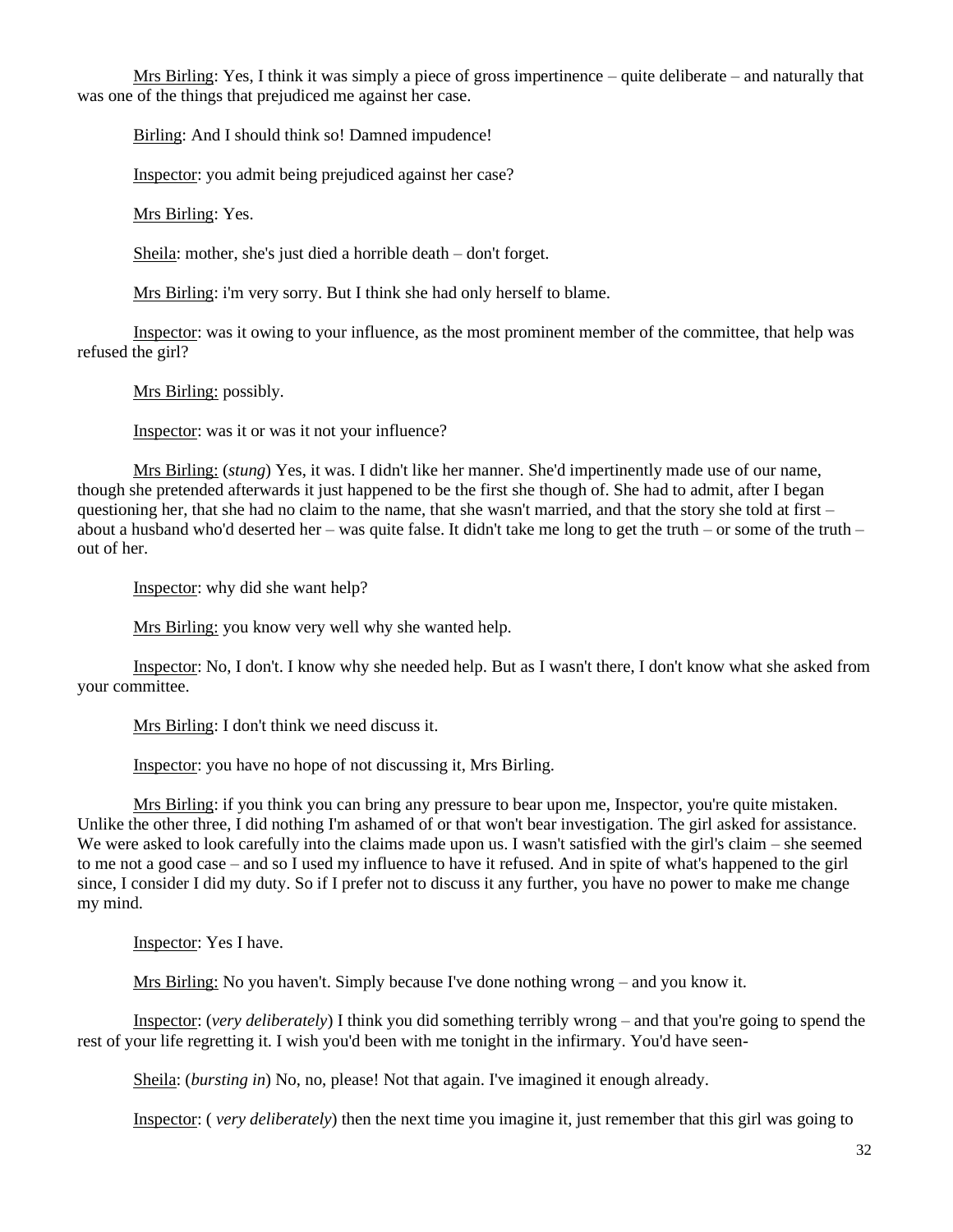Mrs Birling: Yes, I think it was simply a piece of gross impertinence – quite deliberate – and naturally that was one of the things that prejudiced me against her case.

Birling: And I should think so! Damned impudence!

Inspector: you admit being prejudiced against her case?

Mrs Birling: Yes.

Sheila: mother, she's just died a horrible death – don't forget.

Mrs Birling: i'm very sorry. But I think she had only herself to blame.

Inspector: was it owing to your influence, as the most prominent member of the committee, that help was refused the girl?

Mrs Birling: possibly.

Inspector: was it or was it not your influence?

Mrs Birling: (*stung*) Yes, it was. I didn't like her manner. She'd impertinently made use of our name, though she pretended afterwards it just happened to be the first she though of. She had to admit, after I began questioning her, that she had no claim to the name, that she wasn't married, and that the story she told at first – about a husband who'd deserted her – was quite false. It didn't take me long to get the truth – or some of the truth – out of her.

Inspector: why did she want help?

Mrs Birling: you know very well why she wanted help.

Inspector: No, I don't. I know why she needed help. But as I wasn't there, I don't know what she asked from your committee.

Mrs Birling: I don't think we need discuss it.

Inspector: you have no hope of not discussing it, Mrs Birling.

Mrs Birling: if you think you can bring any pressure to bear upon me, Inspector, you're quite mistaken. Unlike the other three, I did nothing I'm ashamed of or that won't bear investigation. The girl asked for assistance. We were asked to look carefully into the claims made upon us. I wasn't satisfied with the girl's claim – she seemed to me not a good case – and so I used my influence to have it refused. And in spite of what's happened to the girl since, I consider I did my duty. So if I prefer not to discuss it any further, you have no power to make me change my mind.

Inspector: Yes I have.

Mrs Birling: No you haven't. Simply because I've done nothing wrong – and you know it.

Inspector: (*very deliberately*) I think you did something terribly wrong – and that you're going to spend the rest of your life regretting it. I wish you'd been with me tonight in the infirmary. You'd have seen-

Sheila: (*bursting in*) No, no, please! Not that again. I've imagined it enough already.

Inspector: ( *very deliberately*) then the next time you imagine it, just remember that this girl was going to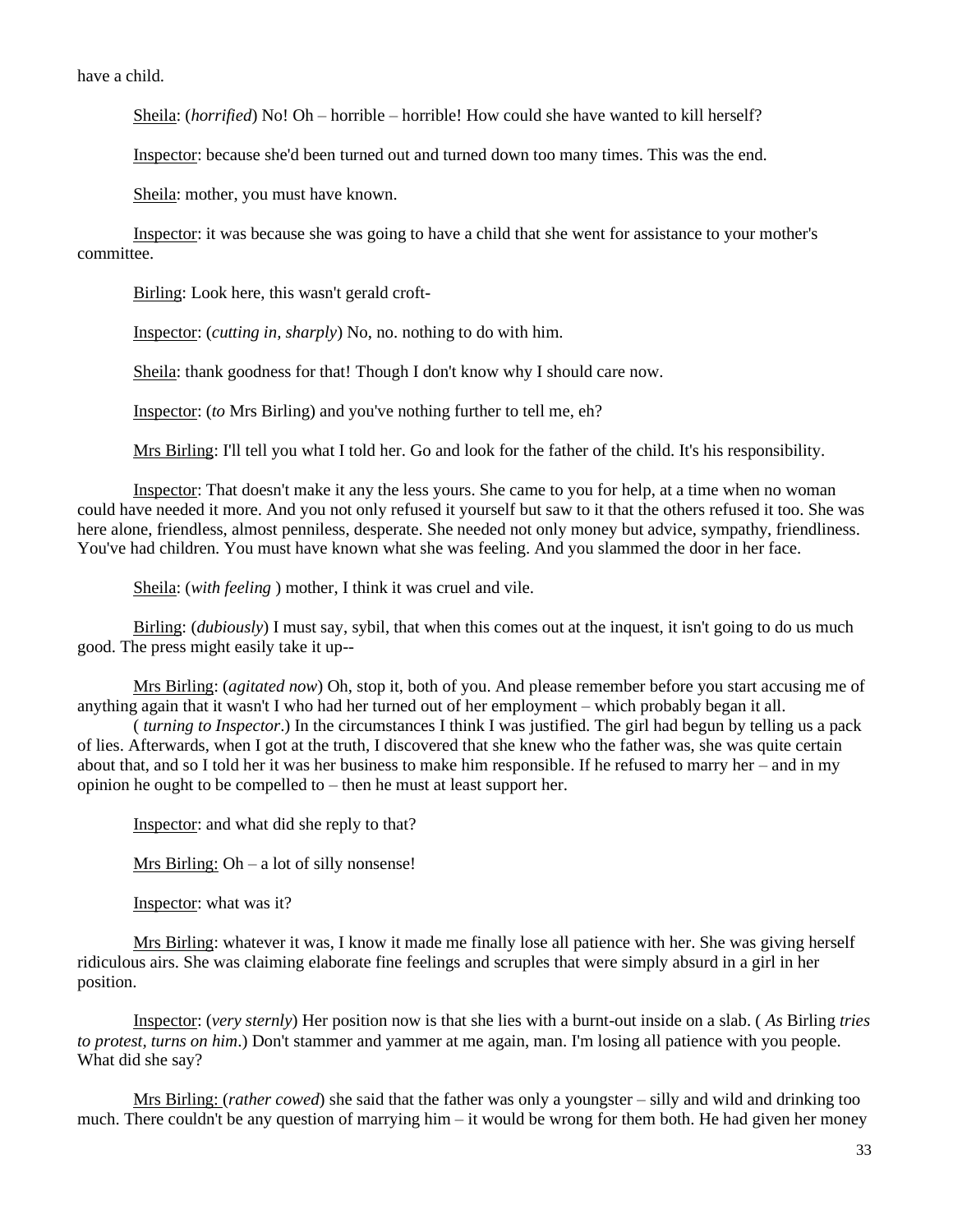have a child.

Sheila: (*horrified*) No! Oh – horrible – horrible! How could she have wanted to kill herself?

Inspector: because she'd been turned out and turned down too many times. This was the end.

Sheila: mother, you must have known.

Inspector: it was because she was going to have a child that she went for assistance to your mother's committee.

Birling: Look here, this wasn't gerald croft-

Inspector: (*cutting in, sharply*) No, no. nothing to do with him.

Sheila: thank goodness for that! Though I don't know why I should care now.

Inspector: (*to* Mrs Birling) and you've nothing further to tell me, eh?

Mrs Birling: I'll tell you what I told her. Go and look for the father of the child. It's his responsibility.

Inspector: That doesn't make it any the less yours. She came to you for help, at a time when no woman could have needed it more. And you not only refused it yourself but saw to it that the others refused it too. She was here alone, friendless, almost penniless, desperate. She needed not only money but advice, sympathy, friendliness. You've had children. You must have known what she was feeling. And you slammed the door in her face.

Sheila: (*with feeling* ) mother, I think it was cruel and vile.

Birling: (*dubiously*) I must say, sybil, that when this comes out at the inquest, it isn't going to do us much good. The press might easily take it up--

Mrs Birling: *(agitated now)* Oh, stop it, both of you. And please remember before you start accusing me of anything again that it wasn't I who had her turned out of her employment – which probably began it all.

( *turning to Inspector*.) In the circumstances I think I was justified. The girl had begun by telling us a pack of lies. Afterwards, when I got at the truth, I discovered that she knew who the father was, she was quite certain about that, and so I told her it was her business to make him responsible. If he refused to marry her – and in my opinion he ought to be compelled to – then he must at least support her.

Inspector: and what did she reply to that?

Mrs Birling: Oh – a lot of silly nonsense!

Inspector: what was it?

Mrs Birling: whatever it was, I know it made me finally lose all patience with her. She was giving herself ridiculous airs. She was claiming elaborate fine feelings and scruples that were simply absurd in a girl in her position.

Inspector: (*very sternly*) Her position now is that she lies with a burnt-out inside on a slab. ( *As* Birling *tries to protest, turns on him*.) Don't stammer and yammer at me again, man. I'm losing all patience with you people. What did she say?

Mrs Birling: (*rather cowed*) she said that the father was only a youngster – silly and wild and drinking too much. There couldn't be any question of marrying him – it would be wrong for them both. He had given her money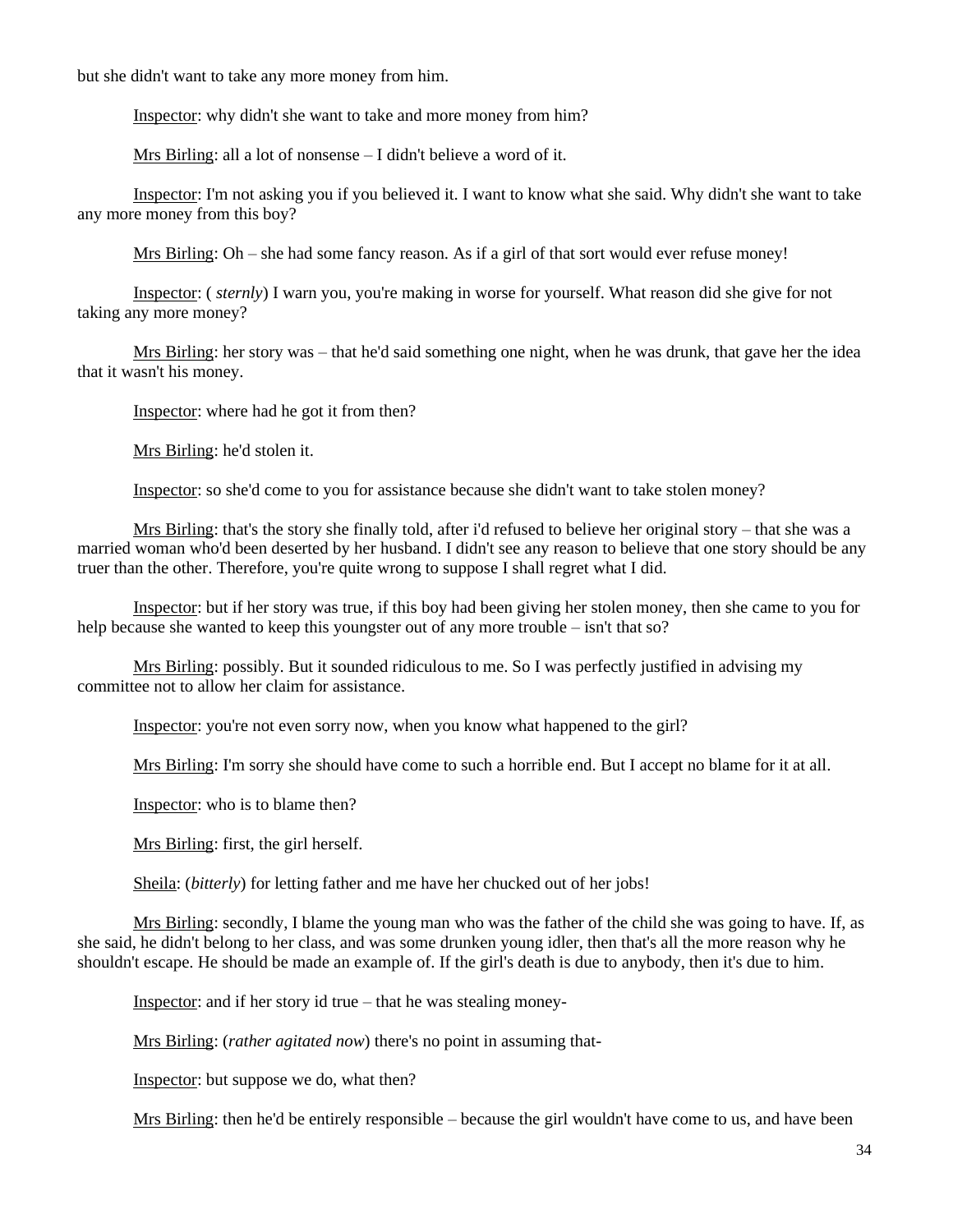but she didn't want to take any more money from him.

Inspector: why didn't she want to take and more money from him?

Mrs Birling: all a lot of nonsense – I didn't believe a word of it.

Inspector: I'm not asking you if you believed it. I want to know what she said. Why didn't she want to take any more money from this boy?

Mrs Birling: Oh – she had some fancy reason. As if a girl of that sort would ever refuse money!

Inspector: ( *sternly*) I warn you, you're making in worse for yourself. What reason did she give for not taking any more money?

Mrs Birling: her story was – that he'd said something one night, when he was drunk, that gave her the idea that it wasn't his money.

Inspector: where had he got it from then?

Mrs Birling: he'd stolen it.

Inspector: so she'd come to you for assistance because she didn't want to take stolen money?

Mrs Birling: that's the story she finally told, after i'd refused to believe her original story – that she was a married woman who'd been deserted by her husband. I didn't see any reason to believe that one story should be any truer than the other. Therefore, you're quite wrong to suppose I shall regret what I did.

Inspector: but if her story was true, if this boy had been giving her stolen money, then she came to you for help because she wanted to keep this youngster out of any more trouble – isn't that so?

Mrs Birling: possibly. But it sounded ridiculous to me. So I was perfectly justified in advising my committee not to allow her claim for assistance.

Inspector: you're not even sorry now, when you know what happened to the girl?

Mrs Birling: I'm sorry she should have come to such a horrible end. But I accept no blame for it at all.

Inspector: who is to blame then?

Mrs Birling: first, the girl herself.

Sheila: (*bitterly*) for letting father and me have her chucked out of her jobs!

Mrs Birling: secondly, I blame the young man who was the father of the child she was going to have. If, as she said, he didn't belong to her class, and was some drunken young idler, then that's all the more reason why he shouldn't escape. He should be made an example of. If the girl's death is due to anybody, then it's due to him.

Inspector: and if her story id true – that he was stealing money-

Mrs Birling: (*rather agitated now*) there's no point in assuming that-

Inspector: but suppose we do, what then?

Mrs Birling: then he'd be entirely responsible – because the girl wouldn't have come to us, and have been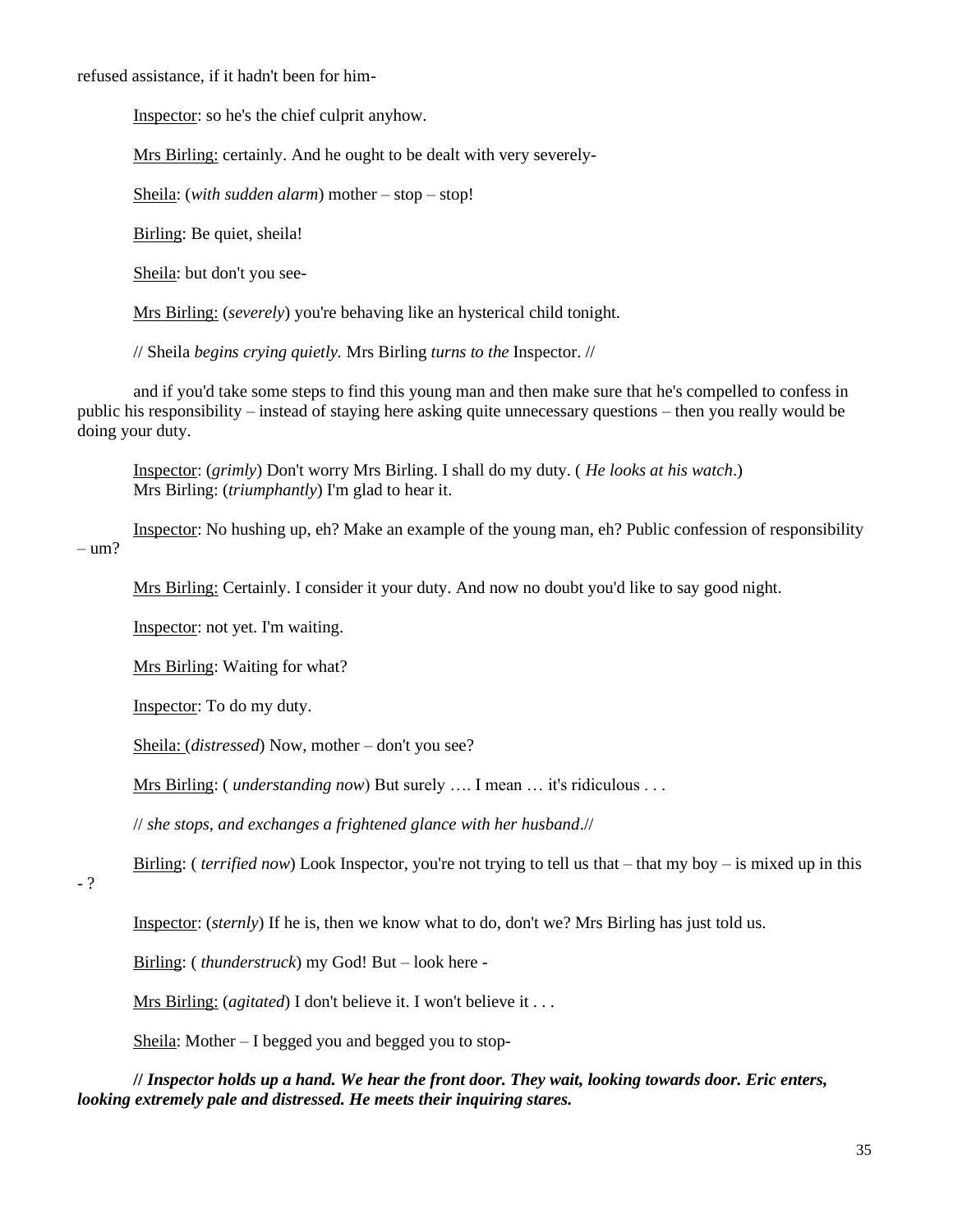refused assistance, if it hadn't been for him-

Inspector: so he's the chief culprit anyhow.

Mrs Birling: certainly. And he ought to be dealt with very severely-

Sheila: (*with sudden alarm*) mother – stop – stop!

Birling: Be quiet, sheila!

Sheila: but don't you see-

Mrs Birling: (*severely*) you're behaving like an hysterical child tonight.

// Sheila *begins crying quietly.* Mrs Birling *turns to the* Inspector. //

and if you'd take some steps to find this young man and then make sure that he's compelled to confess in public his responsibility – instead of staying here asking quite unnecessary questions – then you really would be doing your duty.

Inspector: (*grimly*) Don't worry Mrs Birling. I shall do my duty. ( *He looks at his watch*.) Mrs Birling: (*triumphantly*) I'm glad to hear it.

Inspector: No hushing up, eh? Make an example of the young man, eh? Public confession of responsibility  $–$ um?

Mrs Birling: Certainly. I consider it your duty. And now no doubt you'd like to say good night.

Inspector: not yet. I'm waiting.

Mrs Birling: Waiting for what?

Inspector: To do my duty.

Sheila: (*distressed*) Now, mother – don't you see?

Mrs Birling: ( *understanding now*) But surely …. I mean … it's ridiculous . . .

// *she stops, and exchanges a frightened glance with her husband*.//

Birling: ( *terrified now*) Look Inspector, you're not trying to tell us that – that my boy – is mixed up in this

- ?

Inspector: (*sternly*) If he is, then we know what to do, don't we? Mrs Birling has just told us.

Birling: ( *thunderstruck*) my God! But – look here -

Mrs Birling: (*agitated*) I don't believe it. I won't believe it . . .

Sheila: Mother – I begged you and begged you to stop-

**//** *Inspector holds up a hand. We hear the front door. They wait, looking towards door. Eric enters, looking extremely pale and distressed. He meets their inquiring stares.*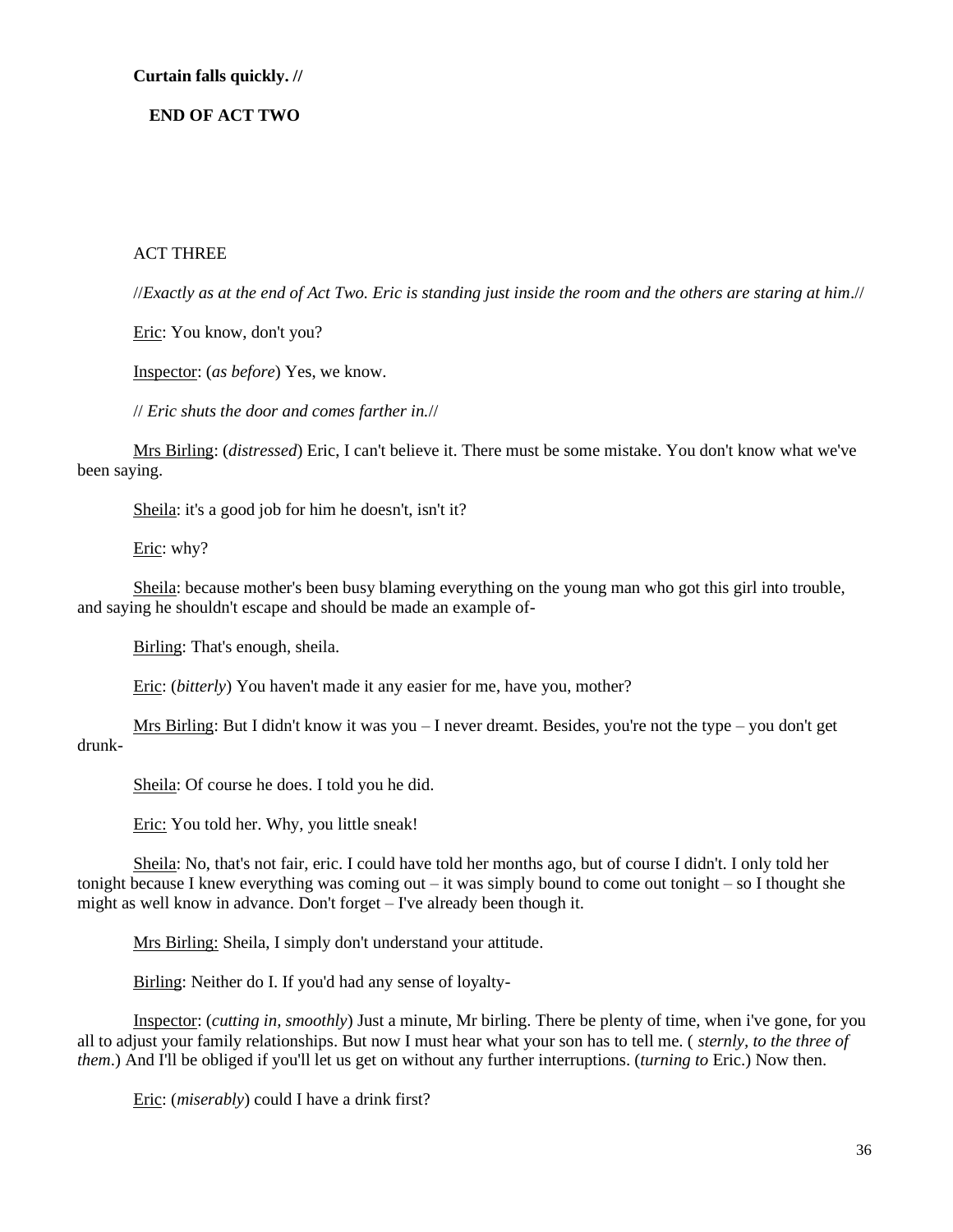### **END OF ACT TWO**

### ACT THREE

//*Exactly as at the end of Act Two. Eric is standing just inside the room and the others are staring at him*.//

Eric: You know, don't you?

Inspector: (*as before*) Yes, we know.

// *Eric shuts the door and comes farther in.*//

Mrs Birling: (*distressed*) Eric, I can't believe it. There must be some mistake. You don't know what we've been saying.

Sheila: it's a good job for him he doesn't, isn't it?

Eric: why?

Sheila: because mother's been busy blaming everything on the young man who got this girl into trouble, and saying he shouldn't escape and should be made an example of-

Birling: That's enough, sheila.

Eric: (*bitterly*) You haven't made it any easier for me, have you, mother?

Mrs Birling: But I didn't know it was you  $-1$  never dreamt. Besides, you're not the type – you don't get drunk-

Sheila: Of course he does. I told you he did.

Eric: You told her. Why, you little sneak!

Sheila: No, that's not fair, eric. I could have told her months ago, but of course I didn't. I only told her tonight because I knew everything was coming out – it was simply bound to come out tonight – so I thought she might as well know in advance. Don't forget – I've already been though it.

Mrs Birling: Sheila, I simply don't understand your attitude.

Birling: Neither do I. If you'd had any sense of loyalty-

Inspector: (*cutting in, smoothly*) Just a minute, Mr birling. There be plenty of time, when i've gone, for you all to adjust your family relationships. But now I must hear what your son has to tell me. ( *sternly, to the three of them*.) And I'll be obliged if you'll let us get on without any further interruptions. (*turning to* Eric.) Now then.

Eric: (*miserably*) could I have a drink first?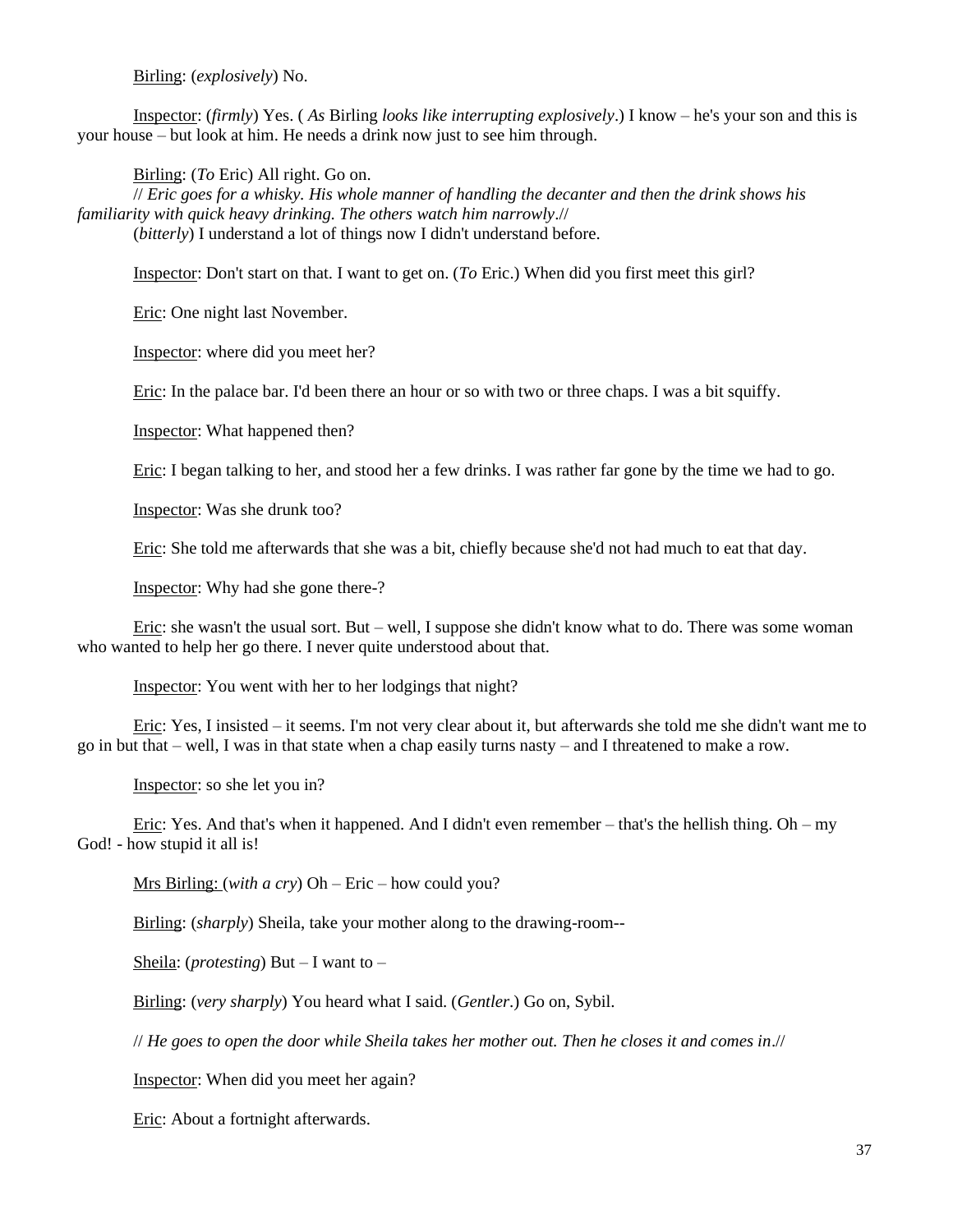Birling: (*explosively*) No.

Inspector: (*firmly*) Yes. ( *As* Birling *looks like interrupting explosively*.) I know – he's your son and this is your house – but look at him. He needs a drink now just to see him through.

Birling: (*To* Eric) All right. Go on.

// *Eric goes for a whisky. His whole manner of handling the decanter and then the drink shows his familiarity with quick heavy drinking. The others watch him narrowly*.// (*bitterly*) I understand a lot of things now I didn't understand before.

Inspector: Don't start on that. I want to get on. (*To* Eric.) When did you first meet this girl?

Eric: One night last November.

Inspector: where did you meet her?

Eric: In the palace bar. I'd been there an hour or so with two or three chaps. I was a bit squiffy.

Inspector: What happened then?

Eric: I began talking to her, and stood her a few drinks. I was rather far gone by the time we had to go.

Inspector: Was she drunk too?

Eric: She told me afterwards that she was a bit, chiefly because she'd not had much to eat that day.

Inspector: Why had she gone there-?

Eric: she wasn't the usual sort. But – well, I suppose she didn't know what to do. There was some woman who wanted to help her go there. I never quite understood about that.

Inspector: You went with her to her lodgings that night?

Eric: Yes, I insisted – it seems. I'm not very clear about it, but afterwards she told me she didn't want me to go in but that – well, I was in that state when a chap easily turns nasty – and I threatened to make a row.

Inspector: so she let you in?

Eric: Yes. And that's when it happened. And I didn't even remember – that's the hellish thing. Oh – my God! - how stupid it all is!

Mrs Birling: (*with a cry*) Oh – Eric – how could you?

Birling: (*sharply*) Sheila, take your mother along to the drawing-room--

Sheila: (*protesting*) But – I want to –

Birling: (*very sharply*) You heard what I said. (*Gentler*.) Go on, Sybil.

// *He goes to open the door while Sheila takes her mother out. Then he closes it and comes in*.//

Inspector: When did you meet her again?

Eric: About a fortnight afterwards.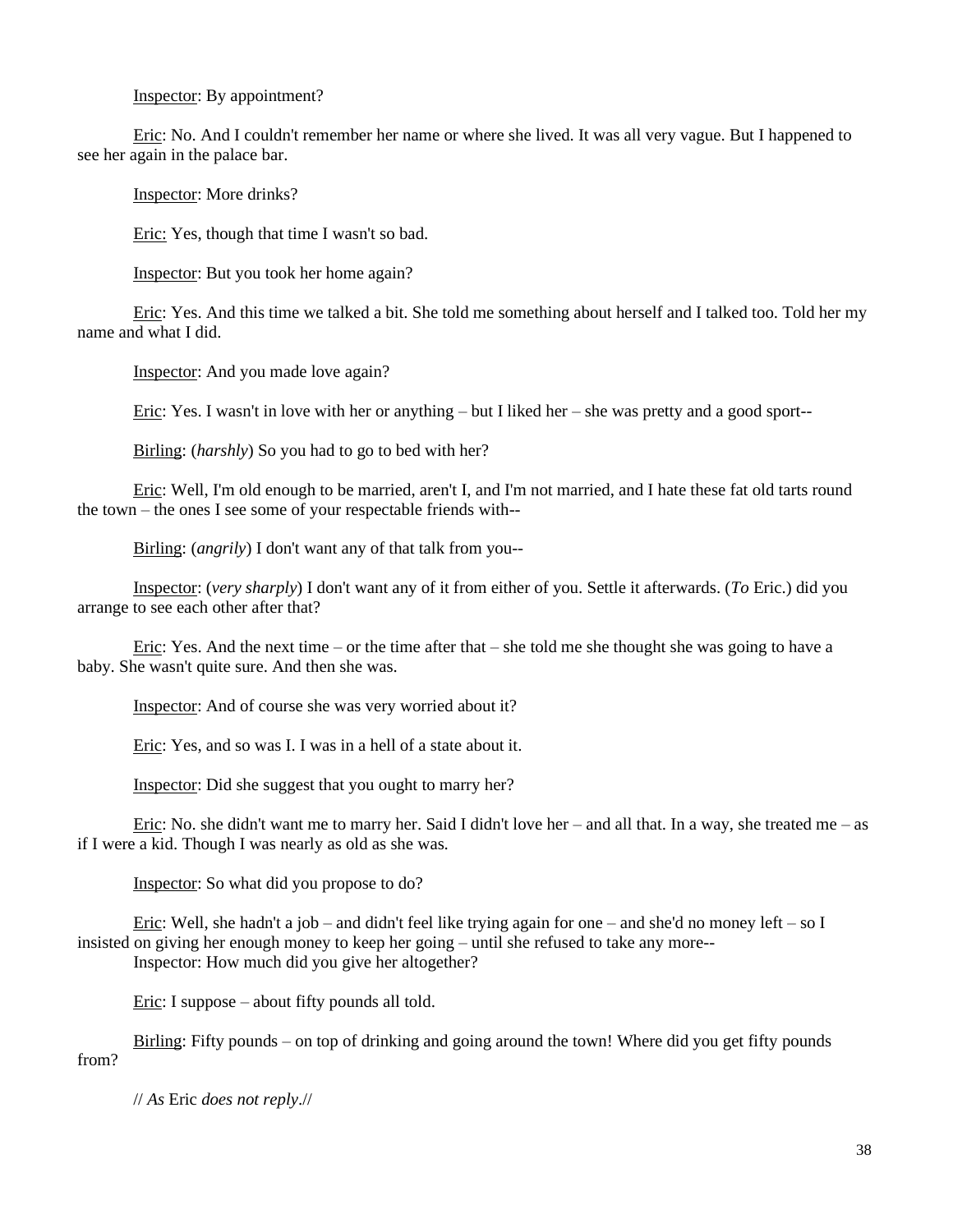Inspector: By appointment?

Eric: No. And I couldn't remember her name or where she lived. It was all very vague. But I happened to see her again in the palace bar.

Inspector: More drinks?

Eric: Yes, though that time I wasn't so bad.

Inspector: But you took her home again?

Eric: Yes. And this time we talked a bit. She told me something about herself and I talked too. Told her my name and what I did.

Inspector: And you made love again?

Eric: Yes. I wasn't in love with her or anything – but I liked her – she was pretty and a good sport--

Birling: *(harshly)* So you had to go to bed with her?

Eric: Well, I'm old enough to be married, aren't I, and I'm not married, and I hate these fat old tarts round the town – the ones I see some of your respectable friends with--

Birling: (*angrily*) I don't want any of that talk from you--

Inspector: (*very sharply*) I don't want any of it from either of you. Settle it afterwards. (*To* Eric.) did you arrange to see each other after that?

Eric: Yes. And the next time – or the time after that – she told me she thought she was going to have a baby. She wasn't quite sure. And then she was.

Inspector: And of course she was very worried about it?

Eric: Yes, and so was I. I was in a hell of a state about it.

Inspector: Did she suggest that you ought to marry her?

Eric: No. she didn't want me to marry her. Said I didn't love her – and all that. In a way, she treated me – as if I were a kid. Though I was nearly as old as she was.

Inspector: So what did you propose to do?

Eric: Well, she hadn't a job – and didn't feel like trying again for one – and she'd no money left – so I insisted on giving her enough money to keep her going – until she refused to take any more-- Inspector: How much did you give her altogether?

Eric: I suppose – about fifty pounds all told.

Birling: Fifty pounds – on top of drinking and going around the town! Where did you get fifty pounds from?

// *As* Eric *does not reply*.//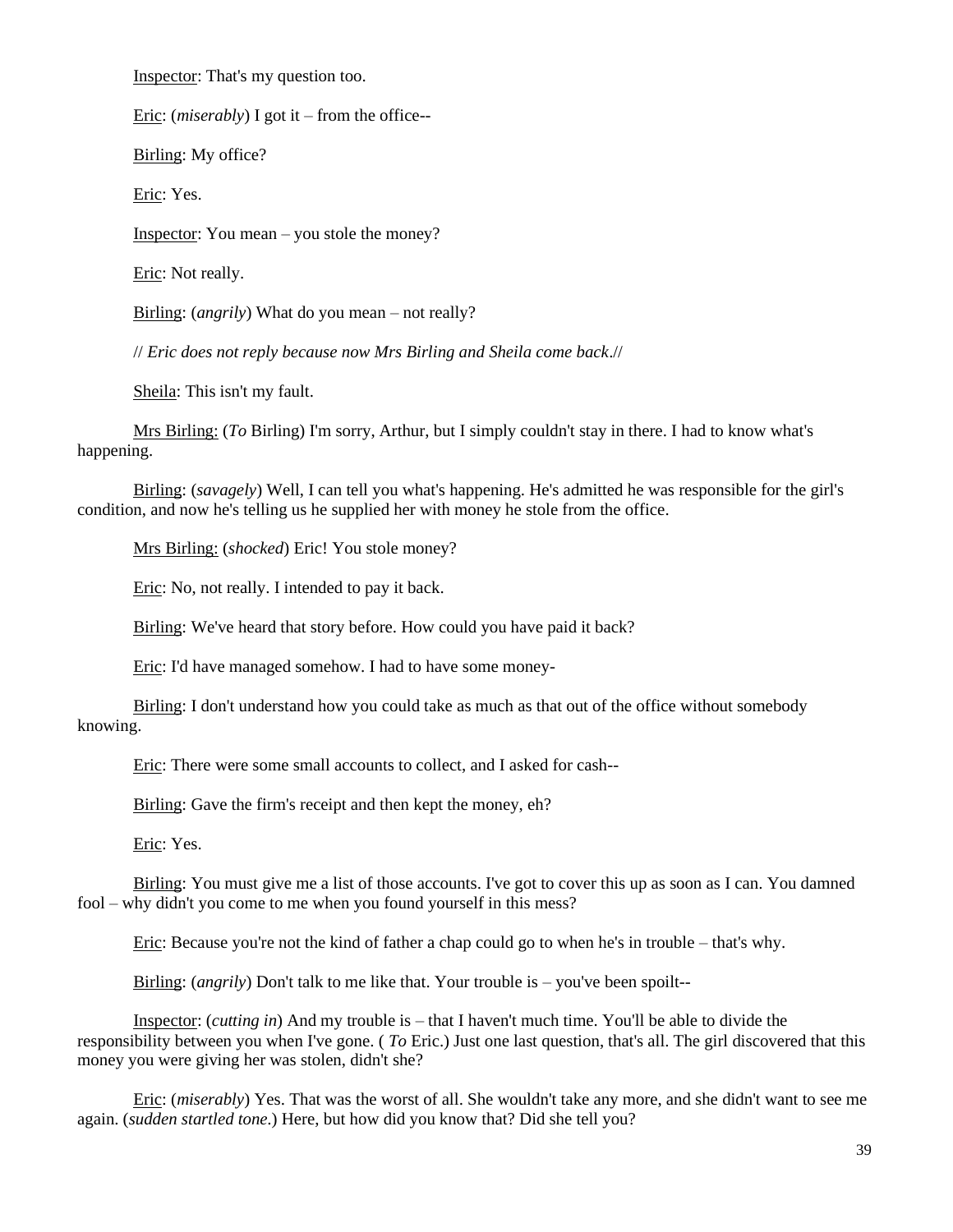Inspector: That's my question too.

Eric: (*miserably*) I got it – from the office--

Birling: My office?

Eric: Yes.

Inspector: You mean – you stole the money?

Eric: Not really.

Birling: (*angrily*) What do you mean – not really?

// *Eric does not reply because now Mrs Birling and Sheila come back*.//

Sheila: This isn't my fault.

Mrs Birling: (*To* Birling) I'm sorry, Arthur, but I simply couldn't stay in there. I had to know what's happening.

Birling: (*savagely*) Well, I can tell you what's happening. He's admitted he was responsible for the girl's condition, and now he's telling us he supplied her with money he stole from the office.

Mrs Birling: (*shocked*) Eric! You stole money?

Eric: No, not really. I intended to pay it back.

Birling: We've heard that story before. How could you have paid it back?

Eric: I'd have managed somehow. I had to have some money-

Birling: I don't understand how you could take as much as that out of the office without somebody knowing.

Eric: There were some small accounts to collect, and I asked for cash--

Birling: Gave the firm's receipt and then kept the money, eh?

Eric: Yes.

Birling: You must give me a list of those accounts. I've got to cover this up as soon as I can. You damned fool – why didn't you come to me when you found yourself in this mess?

Eric: Because you're not the kind of father a chap could go to when he's in trouble – that's why.

Birling: (*angrily*) Don't talk to me like that. Your trouble is – you've been spoilt--

Inspector: (*cutting in*) And my trouble is – that I haven't much time. You'll be able to divide the responsibility between you when I've gone. ( *To* Eric.) Just one last question, that's all. The girl discovered that this money you were giving her was stolen, didn't she?

Eric: (*miserably*) Yes. That was the worst of all. She wouldn't take any more, and she didn't want to see me again. (*sudden startled tone*.) Here, but how did you know that? Did she tell you?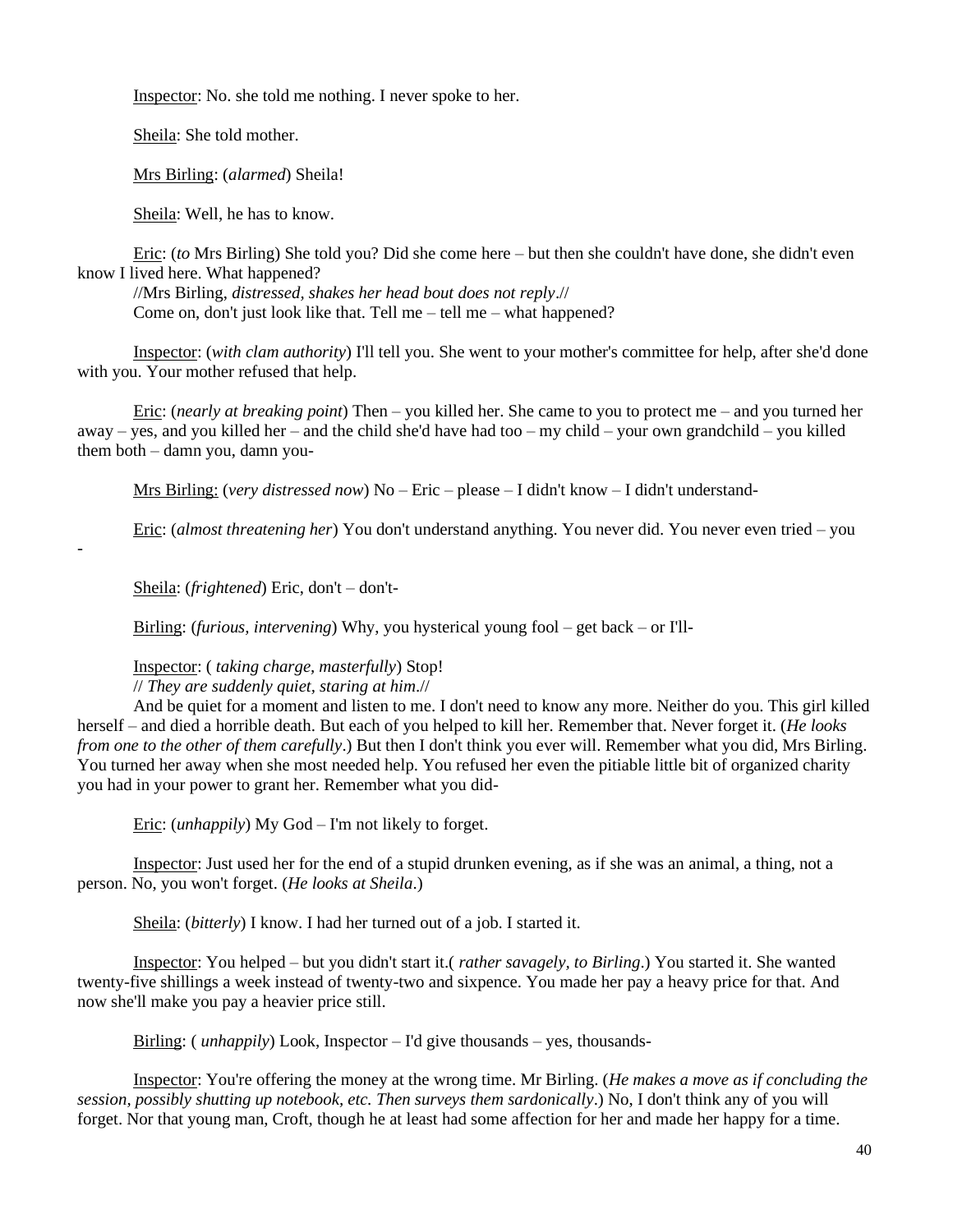Inspector: No. she told me nothing. I never spoke to her.

Sheila: She told mother.

Mrs Birling: (*alarmed*) Sheila!

Sheila: Well, he has to know.

Eric: (*to* Mrs Birling) She told you? Did she come here – but then she couldn't have done, she didn't even know I lived here. What happened?

//Mrs Birling, *distressed, shakes her head bout does not reply*.// Come on, don't just look like that. Tell me – tell me – what happened?

Inspector: (*with clam authority*) I'll tell you. She went to your mother's committee for help, after she'd done with you. Your mother refused that help.

Eric: (*nearly at breaking point*) Then – you killed her. She came to you to protect me – and you turned her away – yes, and you killed her – and the child she'd have had too – my child – your own grandchild – you killed them both – damn you, damn you-

Mrs Birling: (*very distressed now*) No – Eric – please – I didn't know – I didn't understand-

Eric: (*almost threatening her*) You don't understand anything. You never did. You never even tried – you

Sheila: (*frightened*) Eric, don't – don't-

-

Birling: (*furious, intervening*) Why, you hysterical young fool – get back – or I'll-

# Inspector: ( *taking charge, masterfully*) Stop!

// *They are suddenly quiet, staring at him*.//

And be quiet for a moment and listen to me. I don't need to know any more. Neither do you. This girl killed herself – and died a horrible death. But each of you helped to kill her. Remember that. Never forget it. (*He looks from one to the other of them carefully*.) But then I don't think you ever will. Remember what you did, Mrs Birling. You turned her away when she most needed help. You refused her even the pitiable little bit of organized charity you had in your power to grant her. Remember what you did-

Eric: (*unhappily*) My God – I'm not likely to forget.

Inspector: Just used her for the end of a stupid drunken evening, as if she was an animal, a thing, not a person. No, you won't forget. (*He looks at Sheila*.)

Sheila: (*bitterly*) I know. I had her turned out of a job. I started it.

Inspector: You helped – but you didn't start it.( *rather savagely, to Birling*.) You started it. She wanted twenty-five shillings a week instead of twenty-two and sixpence. You made her pay a heavy price for that. And now she'll make you pay a heavier price still.

Birling: ( *unhappily*) Look, Inspector – I'd give thousands – yes, thousands-

Inspector: You're offering the money at the wrong time. Mr Birling. (*He makes a move as if concluding the session, possibly shutting up notebook, etc. Then surveys them sardonically*.) No, I don't think any of you will forget. Nor that young man, Croft, though he at least had some affection for her and made her happy for a time.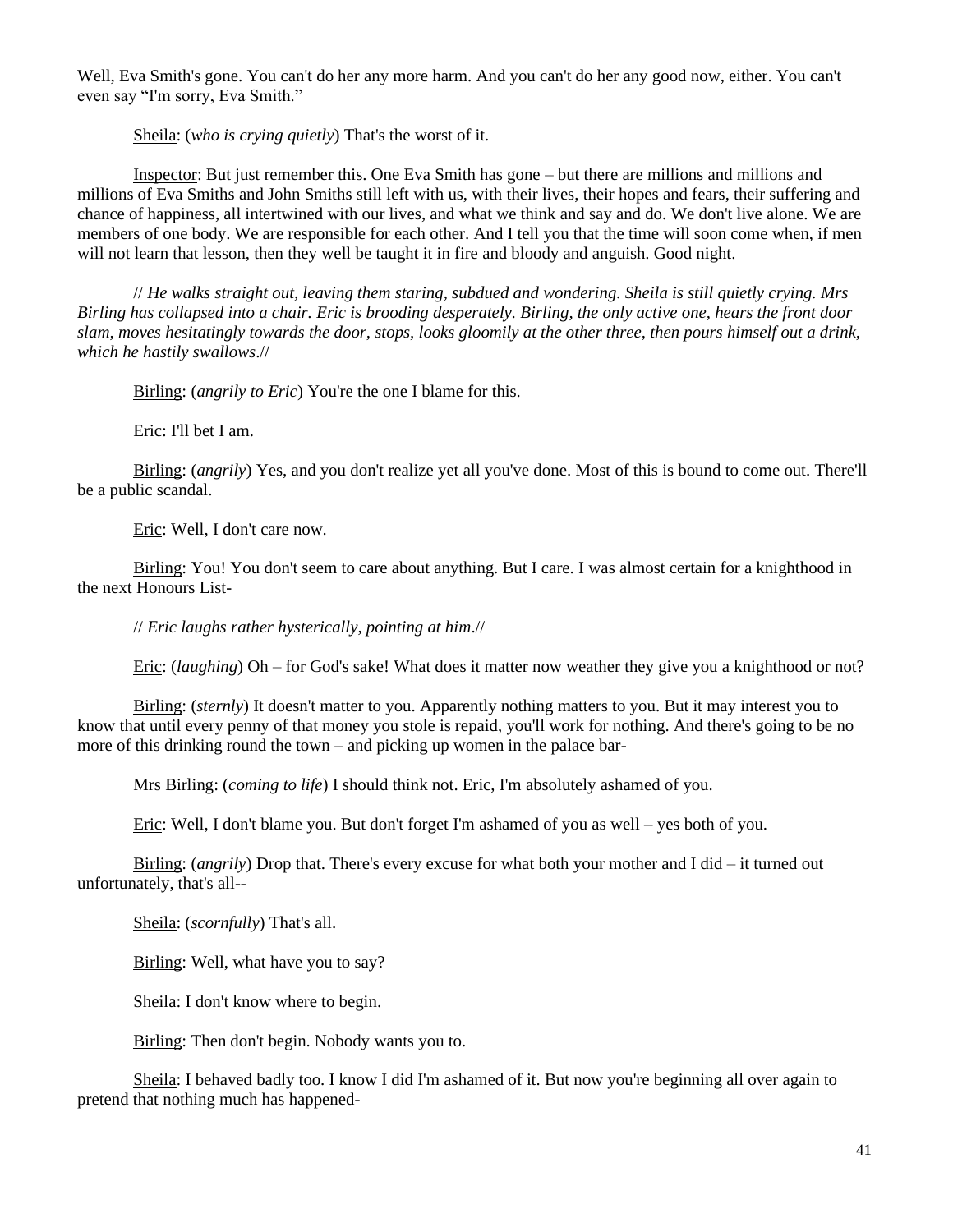Well, Eva Smith's gone. You can't do her any more harm. And you can't do her any good now, either. You can't even say "I'm sorry, Eva Smith."

Sheila: (*who is crying quietly*) That's the worst of it.

Inspector: But just remember this. One Eva Smith has gone – but there are millions and millions and millions of Eva Smiths and John Smiths still left with us, with their lives, their hopes and fears, their suffering and chance of happiness, all intertwined with our lives, and what we think and say and do. We don't live alone. We are members of one body. We are responsible for each other. And I tell you that the time will soon come when, if men will not learn that lesson, then they well be taught it in fire and bloody and anguish. Good night.

// *He walks straight out, leaving them staring, subdued and wondering. Sheila is still quietly crying. Mrs Birling has collapsed into a chair. Eric is brooding desperately. Birling, the only active one, hears the front door slam, moves hesitatingly towards the door, stops, looks gloomily at the other three, then pours himself out a drink, which he hastily swallows*.//

Birling: (*angrily to Eric*) You're the one I blame for this.

Eric: I'll bet I am.

Birling: (*angrily*) Yes, and you don't realize yet all you've done. Most of this is bound to come out. There'll be a public scandal.

Eric: Well, I don't care now.

Birling: You! You don't seem to care about anything. But I care. I was almost certain for a knighthood in the next Honours List-

// *Eric laughs rather hysterically, pointing at him*.//

Eric: (*laughing*) Oh – for God's sake! What does it matter now weather they give you a knighthood or not?

Birling: (*sternly*) It doesn't matter to you. Apparently nothing matters to you. But it may interest you to know that until every penny of that money you stole is repaid, you'll work for nothing. And there's going to be no more of this drinking round the town – and picking up women in the palace bar-

Mrs Birling: (*coming to life*) I should think not. Eric, I'm absolutely ashamed of you.

Eric: Well, I don't blame you. But don't forget I'm ashamed of you as well – yes both of you.

Birling: (*angrily*) Drop that. There's every excuse for what both your mother and I did – it turned out unfortunately, that's all--

Sheila: (*scornfully*) That's all.

Birling: Well, what have you to say?

Sheila: I don't know where to begin.

Birling: Then don't begin. Nobody wants you to.

Sheila: I behaved badly too. I know I did I'm ashamed of it. But now you're beginning all over again to pretend that nothing much has happened-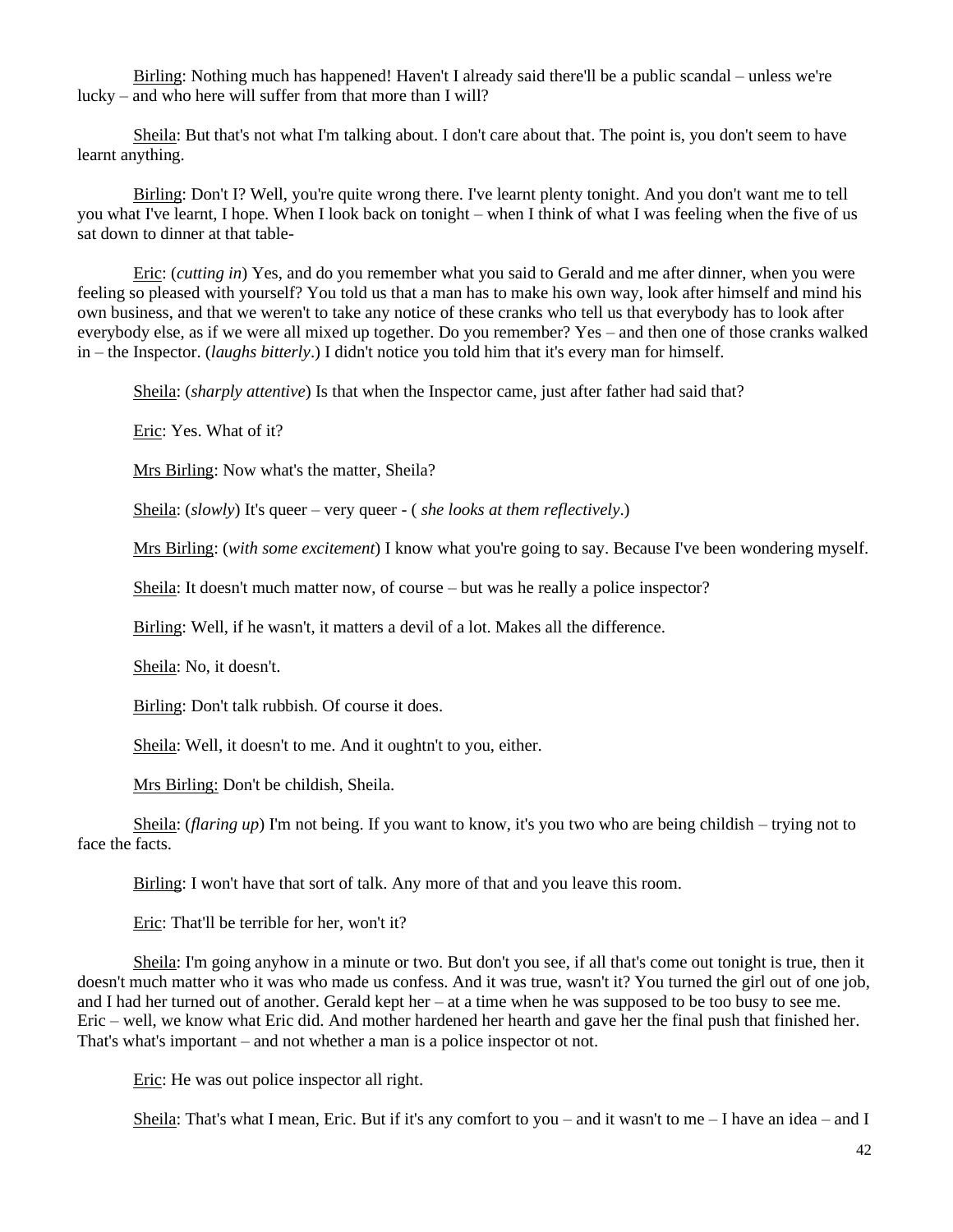Birling: Nothing much has happened! Haven't I already said there'll be a public scandal – unless we're lucky – and who here will suffer from that more than I will?

Sheila: But that's not what I'm talking about. I don't care about that. The point is, you don't seem to have learnt anything.

Birling: Don't I? Well, you're quite wrong there. I've learnt plenty tonight. And you don't want me to tell you what I've learnt, I hope. When I look back on tonight – when I think of what I was feeling when the five of us sat down to dinner at that table-

Eric: (*cutting in*) Yes, and do you remember what you said to Gerald and me after dinner, when you were feeling so pleased with yourself? You told us that a man has to make his own way, look after himself and mind his own business, and that we weren't to take any notice of these cranks who tell us that everybody has to look after everybody else, as if we were all mixed up together. Do you remember? Yes – and then one of those cranks walked in – the Inspector. (*laughs bitterly*.) I didn't notice you told him that it's every man for himself.

Sheila: (*sharply attentive*) Is that when the Inspector came, just after father had said that?

Eric: Yes. What of it?

Mrs Birling: Now what's the matter, Sheila?

Sheila: (*slowly*) It's queer – very queer - ( *she looks at them reflectively*.)

Mrs Birling: (*with some excitement*) I know what you're going to say. Because I've been wondering myself.

Sheila: It doesn't much matter now, of course – but was he really a police inspector?

Birling: Well, if he wasn't, it matters a devil of a lot. Makes all the difference.

Sheila: No, it doesn't.

Birling: Don't talk rubbish. Of course it does.

Sheila: Well, it doesn't to me. And it oughtn't to you, either.

Mrs Birling: Don't be childish, Sheila.

Sheila: (*flaring up*) I'm not being. If you want to know, it's you two who are being childish – trying not to face the facts.

Birling: I won't have that sort of talk. Any more of that and you leave this room.

Eric: That'll be terrible for her, won't it?

Sheila: I'm going anyhow in a minute or two. But don't you see, if all that's come out tonight is true, then it doesn't much matter who it was who made us confess. And it was true, wasn't it? You turned the girl out of one job, and I had her turned out of another. Gerald kept her – at a time when he was supposed to be too busy to see me. Eric – well, we know what Eric did. And mother hardened her hearth and gave her the final push that finished her. That's what's important – and not whether a man is a police inspector ot not.

Eric: He was out police inspector all right.

Sheila: That's what I mean, Eric. But if it's any comfort to you – and it wasn't to me – I have an idea – and I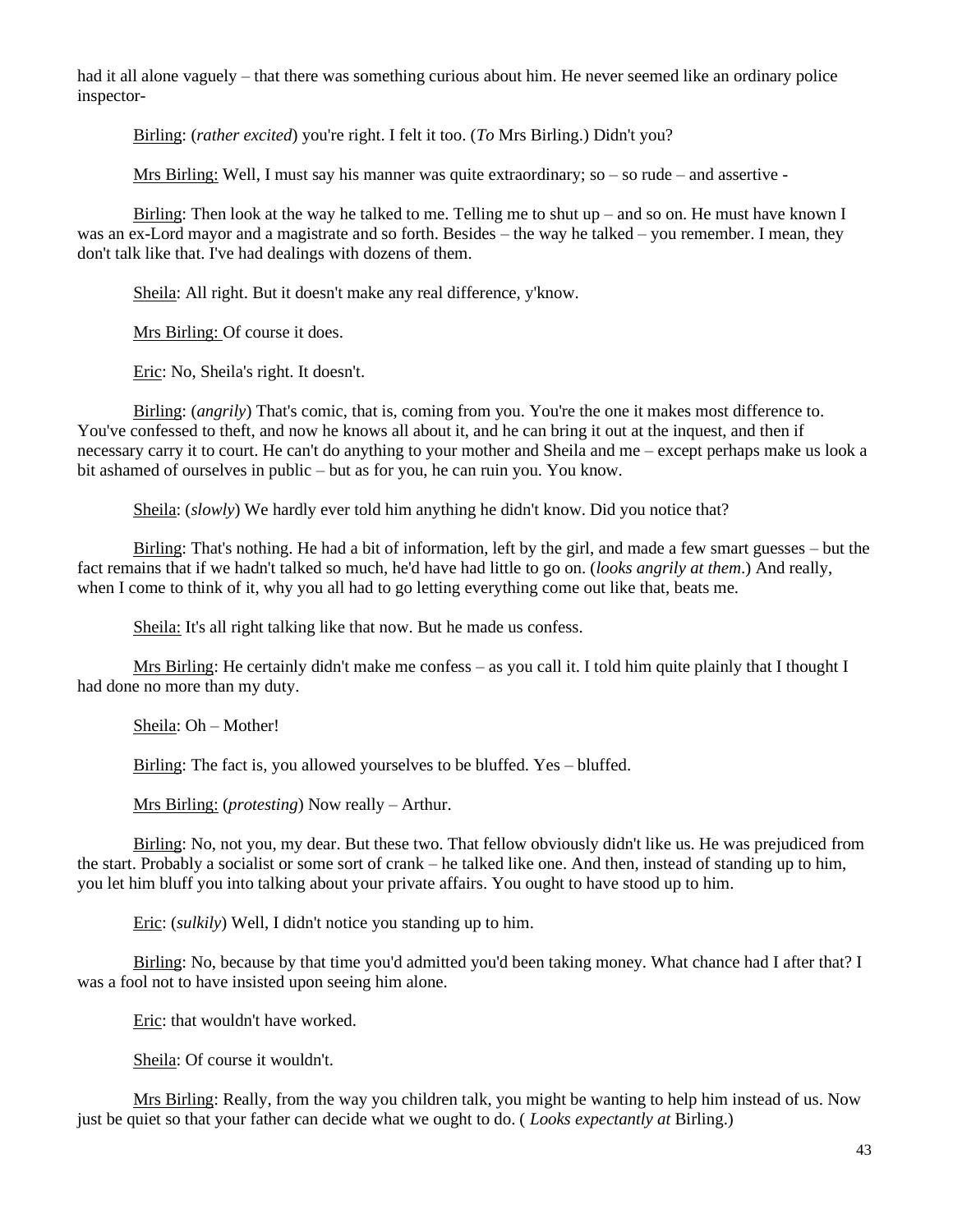had it all alone vaguely – that there was something curious about him. He never seemed like an ordinary police inspector-

Birling: (*rather excited*) you're right. I felt it too. (*To* Mrs Birling.) Didn't you?

Mrs Birling: Well, I must say his manner was quite extraordinary; so – so rude – and assertive -

Birling: Then look at the way he talked to me. Telling me to shut up – and so on. He must have known I was an ex-Lord mayor and a magistrate and so forth. Besides – the way he talked – you remember. I mean, they don't talk like that. I've had dealings with dozens of them.

Sheila: All right. But it doesn't make any real difference, y'know.

Mrs Birling: Of course it does.

Eric: No, Sheila's right. It doesn't.

Birling: *(angrily)* That's comic, that is, coming from you. You're the one it makes most difference to. You've confessed to theft, and now he knows all about it, and he can bring it out at the inquest, and then if necessary carry it to court. He can't do anything to your mother and Sheila and me – except perhaps make us look a bit ashamed of ourselves in public – but as for you, he can ruin you. You know.

Sheila: (*slowly*) We hardly ever told him anything he didn't know. Did you notice that?

Birling: That's nothing. He had a bit of information, left by the girl, and made a few smart guesses – but the fact remains that if we hadn't talked so much, he'd have had little to go on. (*looks angrily at them*.) And really, when I come to think of it, why you all had to go letting everything come out like that, beats me.

Sheila: It's all right talking like that now. But he made us confess.

Mrs Birling: He certainly didn't make me confess – as you call it. I told him quite plainly that I thought I had done no more than my duty.

Sheila: Oh – Mother!

Birling: The fact is, you allowed yourselves to be bluffed. Yes – bluffed.

Mrs Birling: (*protesting*) Now really – Arthur.

Birling: No, not you, my dear. But these two. That fellow obviously didn't like us. He was prejudiced from the start. Probably a socialist or some sort of crank – he talked like one. And then, instead of standing up to him, you let him bluff you into talking about your private affairs. You ought to have stood up to him.

Eric: (*sulkily*) Well, I didn't notice you standing up to him.

Birling: No, because by that time you'd admitted you'd been taking money. What chance had I after that? I was a fool not to have insisted upon seeing him alone.

Eric: that wouldn't have worked.

Sheila: Of course it wouldn't.

Mrs Birling: Really, from the way you children talk, you might be wanting to help him instead of us. Now just be quiet so that your father can decide what we ought to do. ( *Looks expectantly at* Birling.)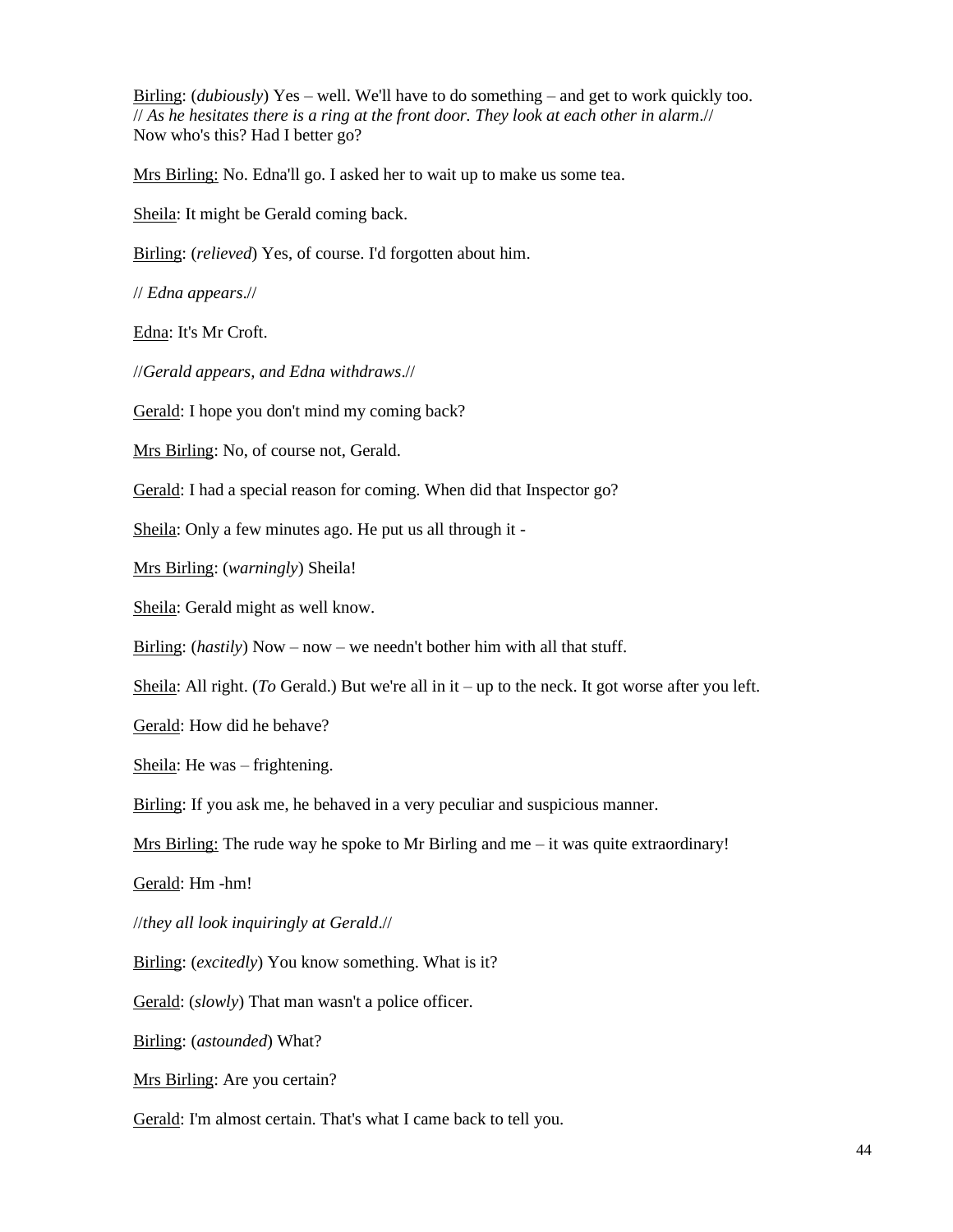Birling: (*dubiously*) Yes – well. We'll have to do something – and get to work quickly too. // *As he hesitates there is a ring at the front door. They look at each other in alarm*.// Now who's this? Had I better go?

Mrs Birling: No. Edna'll go. I asked her to wait up to make us some tea.

Sheila: It might be Gerald coming back.

Birling: (*relieved*) Yes, of course. I'd forgotten about him.

// *Edna appears*.//

Edna: It's Mr Croft.

//*Gerald appears, and Edna withdraws*.//

Gerald: I hope you don't mind my coming back?

Mrs Birling: No, of course not, Gerald.

Gerald: I had a special reason for coming. When did that Inspector go?

Sheila: Only a few minutes ago. He put us all through it -

Mrs Birling: (*warningly*) Sheila!

Sheila: Gerald might as well know.

Birling: (*hastily*) Now – now – we needn't bother him with all that stuff.

Sheila: All right. (*To* Gerald.) But we're all in it – up to the neck. It got worse after you left.

Gerald: How did he behave?

Sheila: He was – frightening.

Birling: If you ask me, he behaved in a very peculiar and suspicious manner.

Mrs Birling: The rude way he spoke to Mr Birling and me  $-$  it was quite extraordinary!

Gerald: Hm -hm!

//*they all look inquiringly at Gerald*.//

Birling: (*excitedly*) You know something. What is it?

Gerald: (*slowly*) That man wasn't a police officer.

Birling: (*astounded*) What?

Mrs Birling: Are you certain?

Gerald: I'm almost certain. That's what I came back to tell you.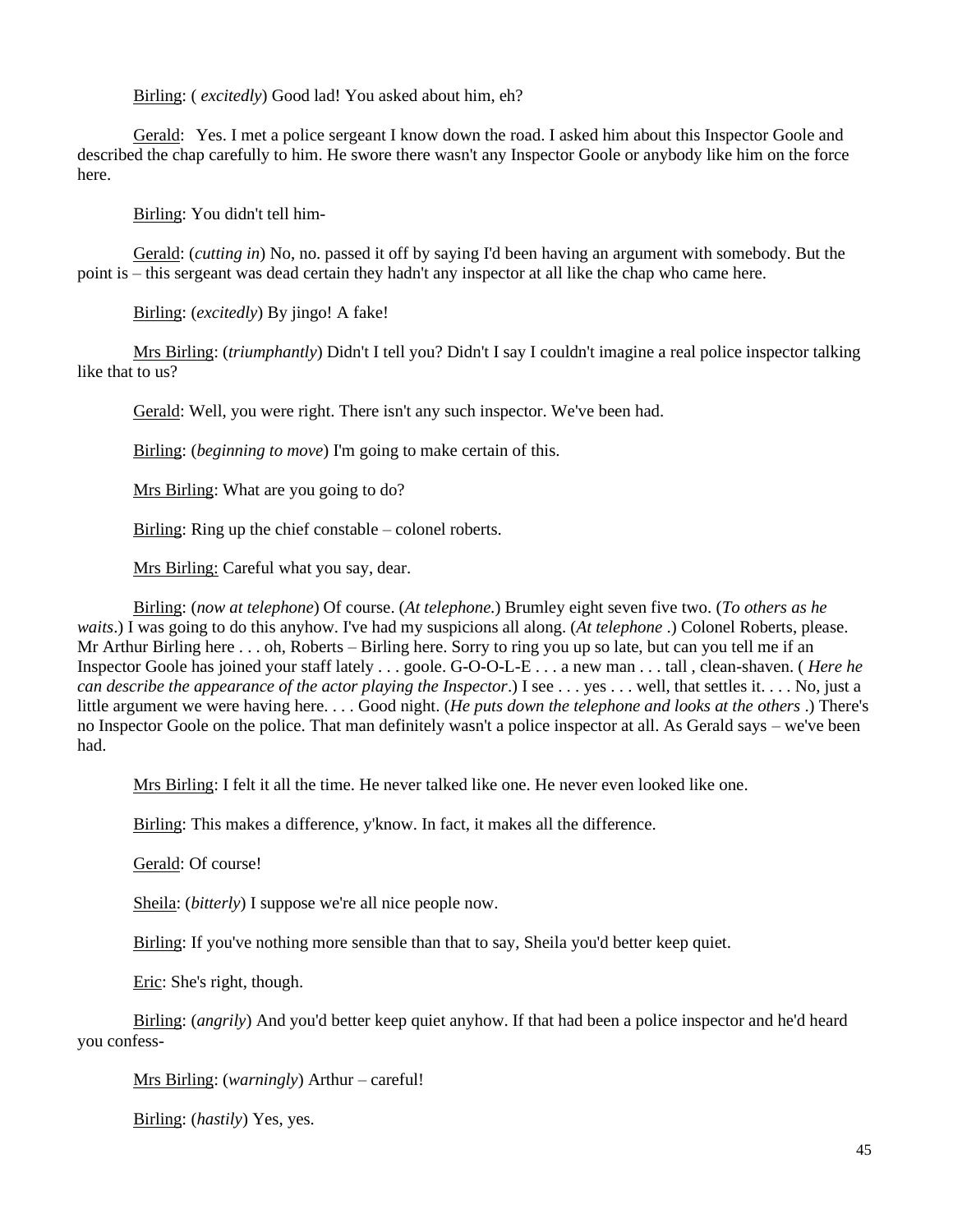Birling: ( *excitedly*) Good lad! You asked about him, eh?

Gerald: Yes. I met a police sergeant I know down the road. I asked him about this Inspector Goole and described the chap carefully to him. He swore there wasn't any Inspector Goole or anybody like him on the force here.

Birling: You didn't tell him-

Gerald: (*cutting in*) No, no. passed it off by saying I'd been having an argument with somebody. But the point is – this sergeant was dead certain they hadn't any inspector at all like the chap who came here.

Birling: (*excitedly*) By jingo! A fake!

Mrs Birling: (*triumphantly*) Didn't I tell you? Didn't I say I couldn't imagine a real police inspector talking like that to us?

Gerald: Well, you were right. There isn't any such inspector. We've been had.

Birling: (*beginning to move*) I'm going to make certain of this.

Mrs Birling: What are you going to do?

Birling: Ring up the chief constable – colonel roberts.

Mrs Birling: Careful what you say, dear.

Birling: (*now at telephone*) Of course. (*At telephone.*) Brumley eight seven five two. (*To others as he waits*.) I was going to do this anyhow. I've had my suspicions all along. (*At telephone* .) Colonel Roberts, please. Mr Arthur Birling here . . . oh, Roberts – Birling here. Sorry to ring you up so late, but can you tell me if an Inspector Goole has joined your staff lately . . . goole. G-O-O-L-E . . . a new man . . . tall , clean-shaven. ( *Here he can describe the appearance of the actor playing the Inspector*.) I see . . . yes . . . well, that settles it. . . . No, just a little argument we were having here. . . . Good night. (*He puts down the telephone and looks at the others* .) There's no Inspector Goole on the police. That man definitely wasn't a police inspector at all. As Gerald says – we've been had.

Mrs Birling: I felt it all the time. He never talked like one. He never even looked like one.

Birling: This makes a difference, y'know. In fact, it makes all the difference.

Gerald: Of course!

Sheila: (*bitterly*) I suppose we're all nice people now.

Birling: If you've nothing more sensible than that to say, Sheila you'd better keep quiet.

Eric: She's right, though.

Birling: *(angrily)* And you'd better keep quiet anyhow. If that had been a police inspector and he'd heard you confess-

Mrs Birling: (*warningly*) Arthur – careful!

Birling: (*hastily*) Yes, yes.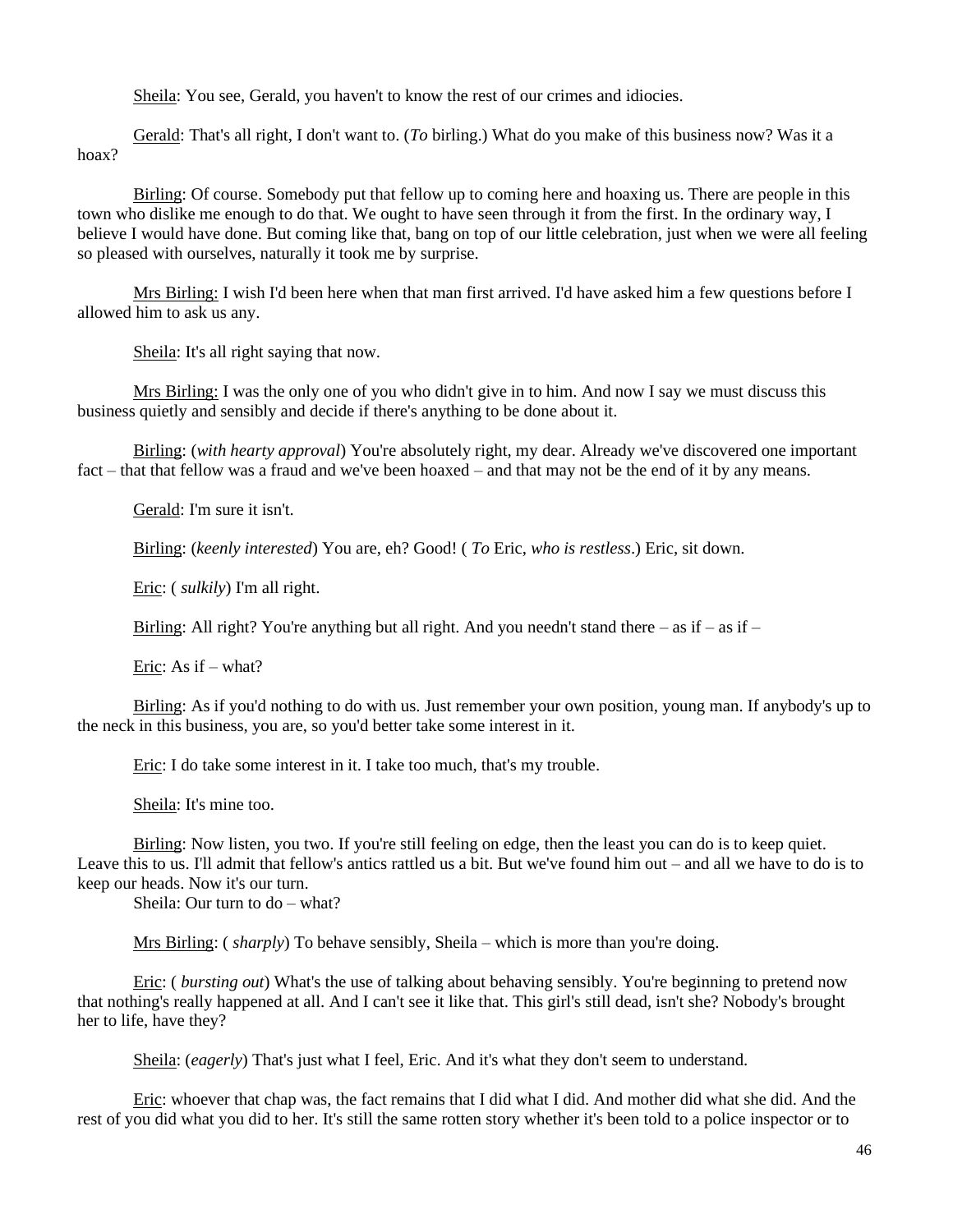Sheila: You see, Gerald, you haven't to know the rest of our crimes and idiocies.

Gerald: That's all right, I don't want to. (*To* birling.) What do you make of this business now? Was it a hoax?

Birling: Of course. Somebody put that fellow up to coming here and hoaxing us. There are people in this town who dislike me enough to do that. We ought to have seen through it from the first. In the ordinary way, I believe I would have done. But coming like that, bang on top of our little celebration, just when we were all feeling so pleased with ourselves, naturally it took me by surprise.

Mrs Birling: I wish I'd been here when that man first arrived. I'd have asked him a few questions before I allowed him to ask us any.

Sheila: It's all right saying that now.

Mrs Birling: I was the only one of you who didn't give in to him. And now I say we must discuss this business quietly and sensibly and decide if there's anything to be done about it.

Birling: (*with hearty approval*) You're absolutely right, my dear. Already we've discovered one important fact – that that fellow was a fraud and we've been hoaxed – and that may not be the end of it by any means.

Gerald: I'm sure it isn't.

Birling: (*keenly interested*) You are, eh? Good! ( *To* Eric, *who is restless*.) Eric, sit down.

Eric: ( *sulkily*) I'm all right.

Birling: All right? You're anything but all right. And you needn't stand there – as if – as if –

Eric: As if – what?

Birling: As if you'd nothing to do with us. Just remember your own position, young man. If anybody's up to the neck in this business, you are, so you'd better take some interest in it.

Eric: I do take some interest in it. I take too much, that's my trouble.

Sheila: It's mine too.

Birling: Now listen, you two. If you're still feeling on edge, then the least you can do is to keep quiet. Leave this to us. I'll admit that fellow's antics rattled us a bit. But we've found him out – and all we have to do is to keep our heads. Now it's our turn.

Sheila: Our turn to do – what?

Mrs Birling: (*sharply*) To behave sensibly, Sheila – which is more than you're doing.

Eric: ( *bursting out*) What's the use of talking about behaving sensibly. You're beginning to pretend now that nothing's really happened at all. And I can't see it like that. This girl's still dead, isn't she? Nobody's brought her to life, have they?

Sheila: (*eagerly*) That's just what I feel, Eric. And it's what they don't seem to understand.

Eric: whoever that chap was, the fact remains that I did what I did. And mother did what she did. And the rest of you did what you did to her. It's still the same rotten story whether it's been told to a police inspector or to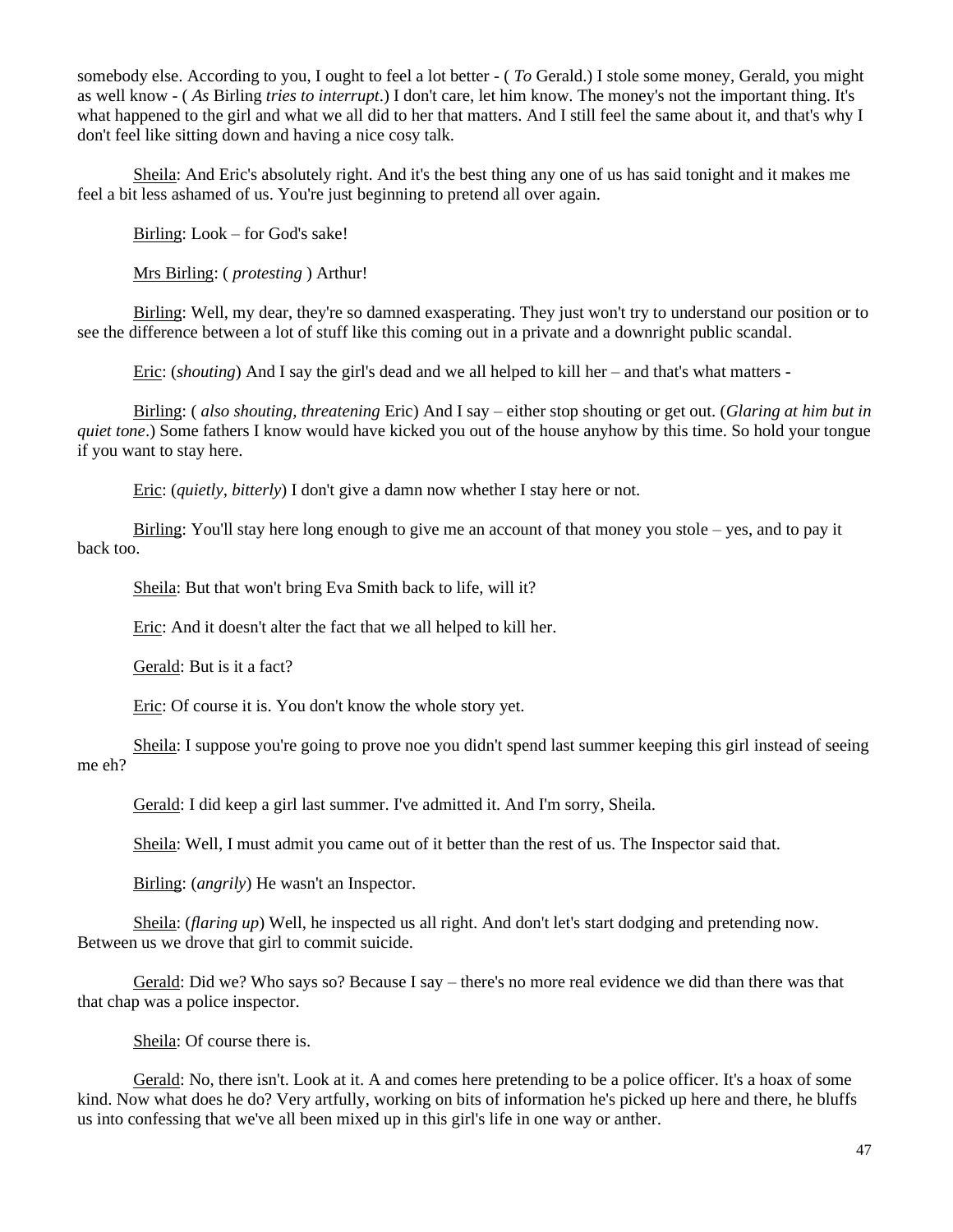somebody else. According to you, I ought to feel a lot better - ( *To* Gerald.) I stole some money, Gerald, you might as well know - ( *As* Birling *tries to interrupt*.) I don't care, let him know. The money's not the important thing. It's what happened to the girl and what we all did to her that matters. And I still feel the same about it, and that's why I don't feel like sitting down and having a nice cosy talk.

Sheila: And Eric's absolutely right. And it's the best thing any one of us has said tonight and it makes me feel a bit less ashamed of us. You're just beginning to pretend all over again.

Birling: Look – for God's sake!

Mrs Birling: ( *protesting* ) Arthur!

Birling: Well, my dear, they're so damned exasperating. They just won't try to understand our position or to see the difference between a lot of stuff like this coming out in a private and a downright public scandal.

Eric: (*shouting*) And I say the girl's dead and we all helped to kill her – and that's what matters -

Birling: ( *also shouting, threatening* Eric) And I say – either stop shouting or get out. (*Glaring at him but in quiet tone*.) Some fathers I know would have kicked you out of the house anyhow by this time. So hold your tongue if you want to stay here.

Eric: (*quietly, bitterly*) I don't give a damn now whether I stay here or not.

Birling: You'll stay here long enough to give me an account of that money you stole – yes, and to pay it back too.

Sheila: But that won't bring Eva Smith back to life, will it?

Eric: And it doesn't alter the fact that we all helped to kill her.

Gerald: But is it a fact?

Eric: Of course it is. You don't know the whole story yet.

Sheila: I suppose you're going to prove noe you didn't spend last summer keeping this girl instead of seeing me eh?

Gerald: I did keep a girl last summer. I've admitted it. And I'm sorry, Sheila.

Sheila: Well, I must admit you came out of it better than the rest of us. The Inspector said that.

Birling: (*angrily*) He wasn't an Inspector.

Sheila: (*flaring up*) Well, he inspected us all right. And don't let's start dodging and pretending now. Between us we drove that girl to commit suicide.

Gerald: Did we? Who says so? Because I say – there's no more real evidence we did than there was that that chap was a police inspector.

Sheila: Of course there is.

Gerald: No, there isn't. Look at it. A and comes here pretending to be a police officer. It's a hoax of some kind. Now what does he do? Very artfully, working on bits of information he's picked up here and there, he bluffs us into confessing that we've all been mixed up in this girl's life in one way or anther.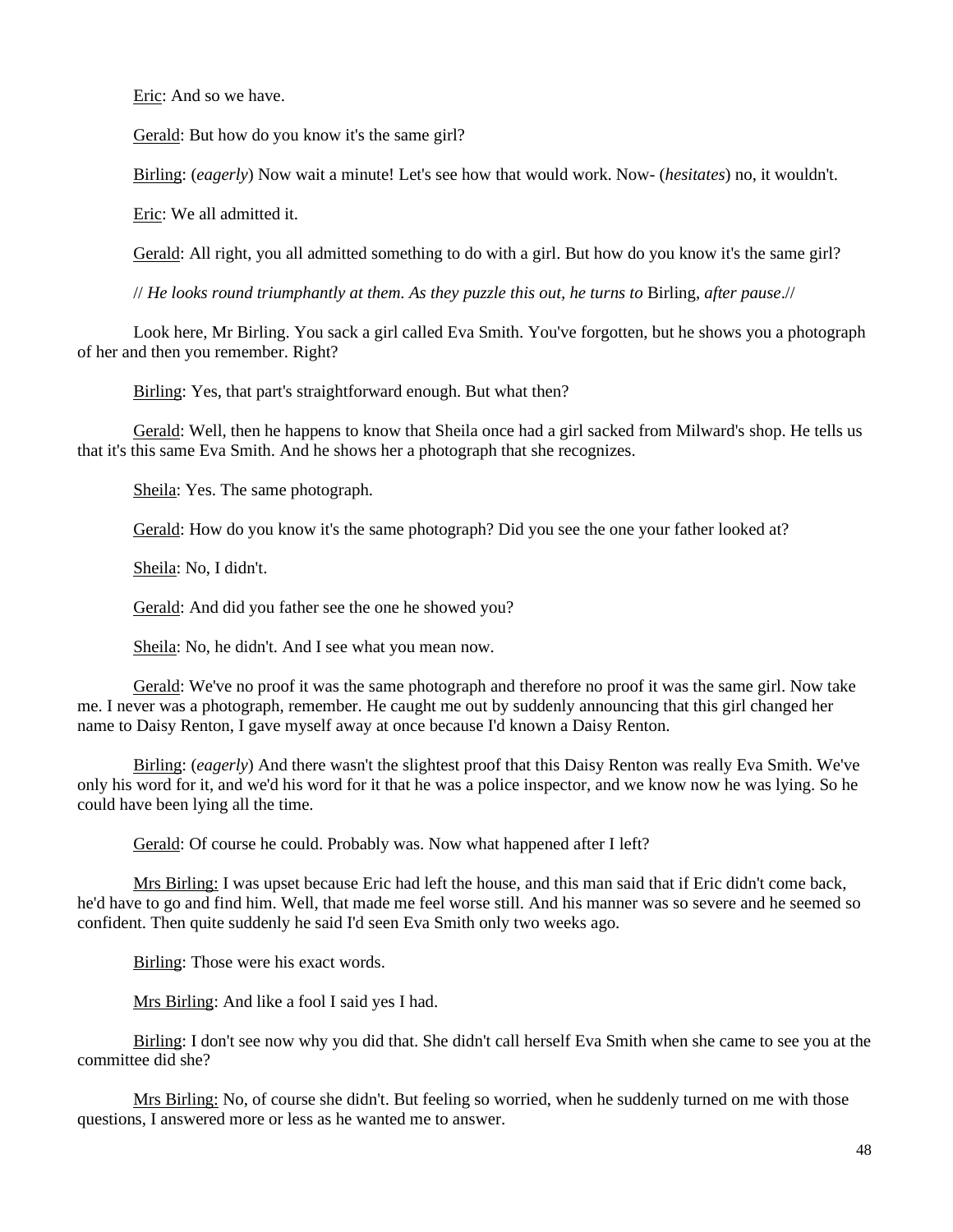Eric: And so we have.

Gerald: But how do you know it's the same girl?

Birling: (*eagerly*) Now wait a minute! Let's see how that would work. Now- (*hesitates*) no, it wouldn't.

Eric: We all admitted it.

Gerald: All right, you all admitted something to do with a girl. But how do you know it's the same girl?

// *He looks round triumphantly at them. As they puzzle this out, he turns to* Birling, *after pause*.//

Look here, Mr Birling. You sack a girl called Eva Smith. You've forgotten, but he shows you a photograph of her and then you remember. Right?

Birling: Yes, that part's straightforward enough. But what then?

Gerald: Well, then he happens to know that Sheila once had a girl sacked from Milward's shop. He tells us that it's this same Eva Smith. And he shows her a photograph that she recognizes.

Sheila: Yes. The same photograph.

Gerald: How do you know it's the same photograph? Did you see the one your father looked at?

Sheila: No, I didn't.

Gerald: And did you father see the one he showed you?

Sheila: No, he didn't. And I see what you mean now.

Gerald: We've no proof it was the same photograph and therefore no proof it was the same girl. Now take me. I never was a photograph, remember. He caught me out by suddenly announcing that this girl changed her name to Daisy Renton, I gave myself away at once because I'd known a Daisy Renton.

Birling: (*eagerly*) And there wasn't the slightest proof that this Daisy Renton was really Eva Smith. We've only his word for it, and we'd his word for it that he was a police inspector, and we know now he was lying. So he could have been lying all the time.

Gerald: Of course he could. Probably was. Now what happened after I left?

Mrs Birling: I was upset because Eric had left the house, and this man said that if Eric didn't come back, he'd have to go and find him. Well, that made me feel worse still. And his manner was so severe and he seemed so confident. Then quite suddenly he said I'd seen Eva Smith only two weeks ago.

Birling: Those were his exact words.

Mrs Birling: And like a fool I said yes I had.

Birling: I don't see now why you did that. She didn't call herself Eva Smith when she came to see you at the committee did she?

Mrs Birling: No, of course she didn't. But feeling so worried, when he suddenly turned on me with those questions, I answered more or less as he wanted me to answer.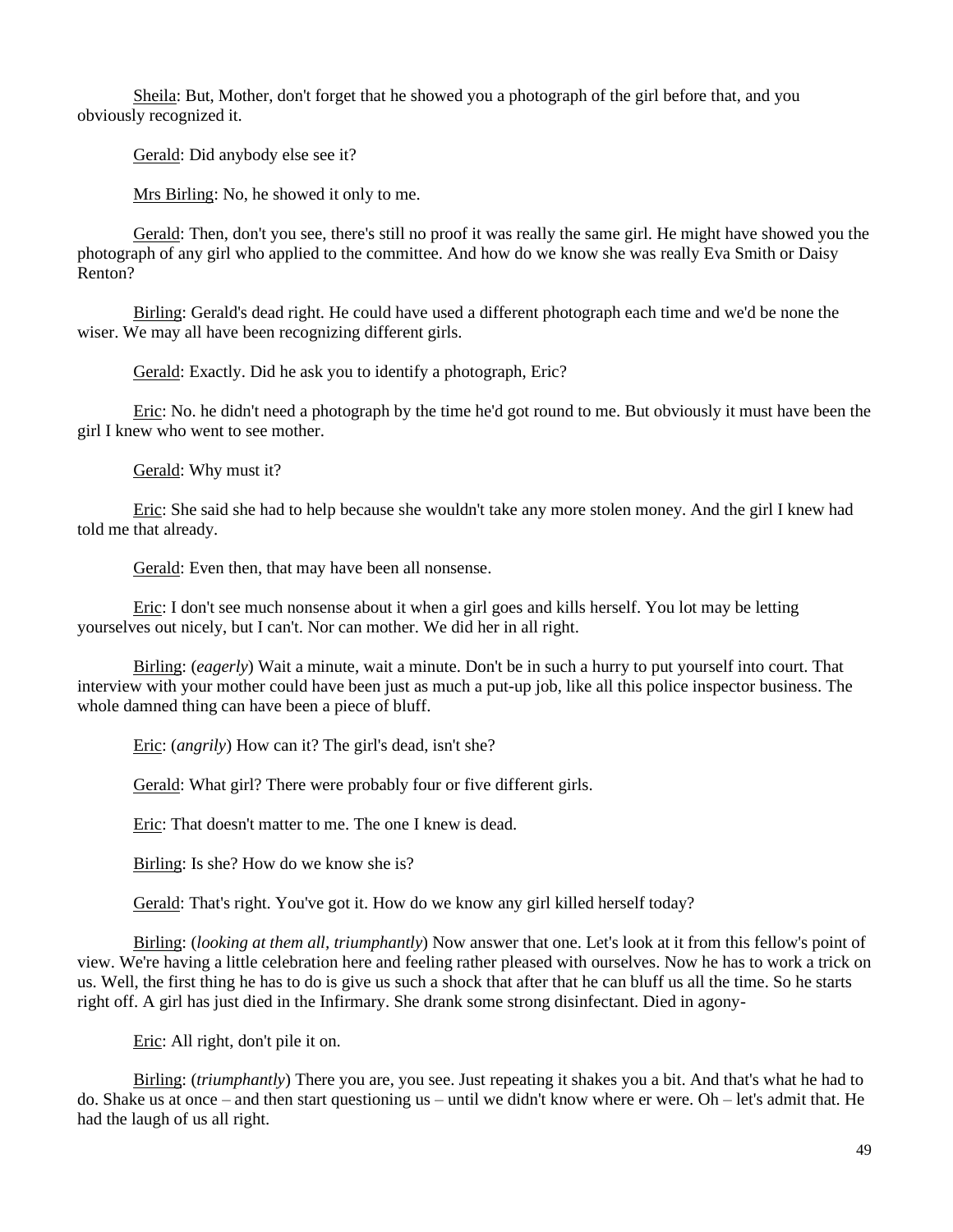Sheila: But, Mother, don't forget that he showed you a photograph of the girl before that, and you obviously recognized it.

Gerald: Did anybody else see it?

Mrs Birling: No, he showed it only to me.

Gerald: Then, don't you see, there's still no proof it was really the same girl. He might have showed you the photograph of any girl who applied to the committee. And how do we know she was really Eva Smith or Daisy Renton?

Birling: Gerald's dead right. He could have used a different photograph each time and we'd be none the wiser. We may all have been recognizing different girls.

Gerald: Exactly. Did he ask you to identify a photograph, Eric?

Eric: No. he didn't need a photograph by the time he'd got round to me. But obviously it must have been the girl I knew who went to see mother.

Gerald: Why must it?

Eric: She said she had to help because she wouldn't take any more stolen money. And the girl I knew had told me that already.

Gerald: Even then, that may have been all nonsense.

Eric: I don't see much nonsense about it when a girl goes and kills herself. You lot may be letting yourselves out nicely, but I can't. Nor can mother. We did her in all right.

Birling: (*eagerly*) Wait a minute, wait a minute. Don't be in such a hurry to put yourself into court. That interview with your mother could have been just as much a put-up job, like all this police inspector business. The whole damned thing can have been a piece of bluff.

Eric: (*angrily*) How can it? The girl's dead, isn't she?

Gerald: What girl? There were probably four or five different girls.

Eric: That doesn't matter to me. The one I knew is dead.

Birling: Is she? How do we know she is?

Gerald: That's right. You've got it. How do we know any girl killed herself today?

Birling: (*looking at them all, triumphantly*) Now answer that one. Let's look at it from this fellow's point of view. We're having a little celebration here and feeling rather pleased with ourselves. Now he has to work a trick on us. Well, the first thing he has to do is give us such a shock that after that he can bluff us all the time. So he starts right off. A girl has just died in the Infirmary. She drank some strong disinfectant. Died in agony-

Eric: All right, don't pile it on.

Birling: (*triumphantly*) There you are, you see. Just repeating it shakes you a bit. And that's what he had to do. Shake us at once – and then start questioning us – until we didn't know where er were. Oh – let's admit that. He had the laugh of us all right.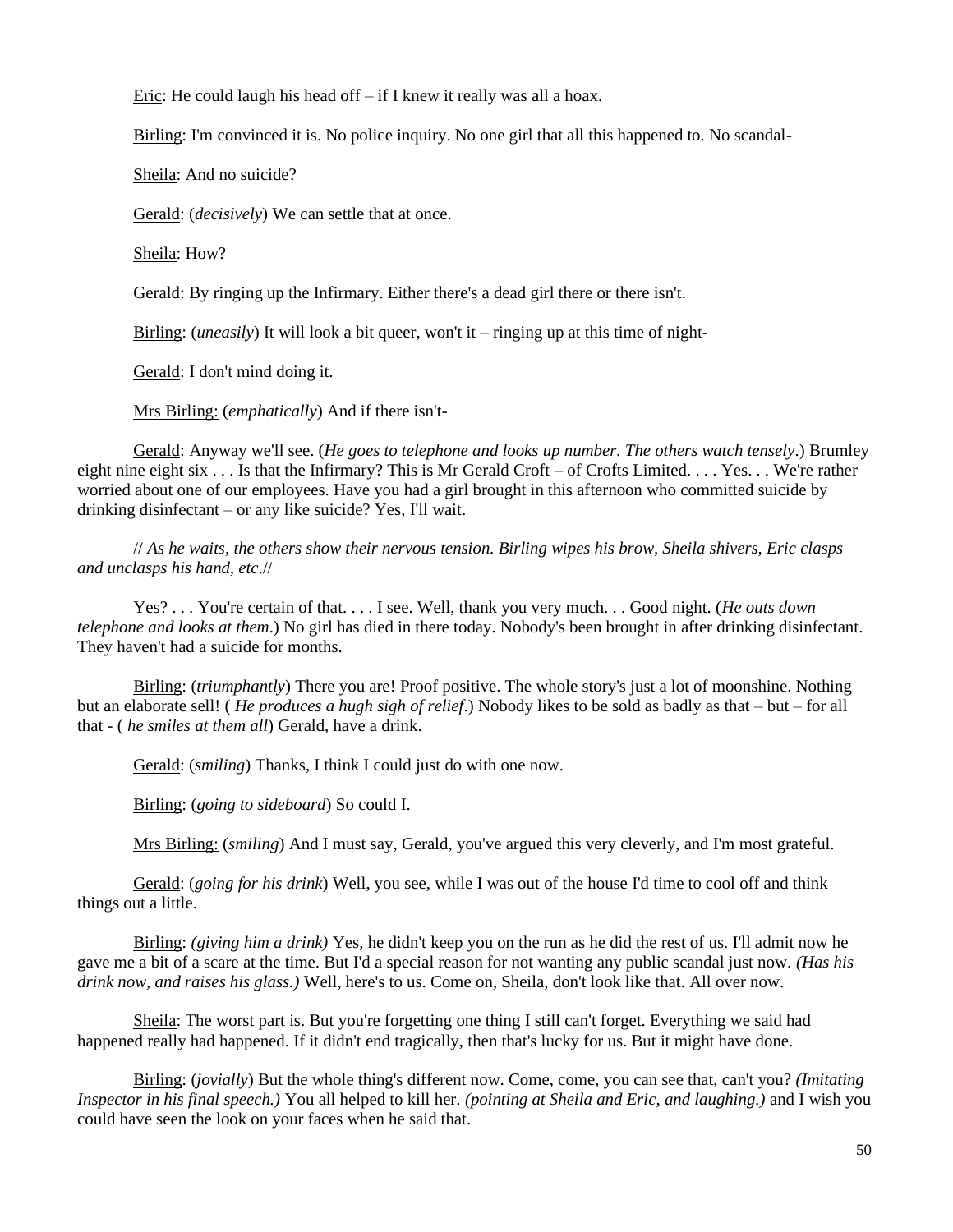Eric: He could laugh his head off – if I knew it really was all a hoax.

Birling: I'm convinced it is. No police inquiry. No one girl that all this happened to. No scandal-

Sheila: And no suicide?

Gerald: (*decisively*) We can settle that at once.

Sheila: How?

Gerald: By ringing up the Infirmary. Either there's a dead girl there or there isn't.

Birling: (*uneasily*) It will look a bit queer, won't it – ringing up at this time of night-

Gerald: I don't mind doing it.

Mrs Birling: (*emphatically*) And if there isn't-

Gerald: Anyway we'll see. (*He goes to telephone and looks up number. The others watch tensely*.) Brumley eight nine eight six . . . Is that the Infirmary? This is Mr Gerald Croft – of Crofts Limited. . . . Yes. . . We're rather worried about one of our employees. Have you had a girl brought in this afternoon who committed suicide by drinking disinfectant – or any like suicide? Yes, I'll wait.

// *As he waits, the others show their nervous tension. Birling wipes his brow, Sheila shivers, Eric clasps and unclasps his hand, etc*.//

Yes? . . . You're certain of that. . . . I see. Well, thank you very much. . . Good night. (*He outs down*) *telephone and looks at them*.) No girl has died in there today. Nobody's been brought in after drinking disinfectant. They haven't had a suicide for months.

Birling: (*triumphantly*) There you are! Proof positive. The whole story's just a lot of moonshine. Nothing but an elaborate sell! ( *He produces a hugh sigh of relief*.) Nobody likes to be sold as badly as that – but – for all that - ( *he smiles at them all*) Gerald, have a drink.

Gerald: (*smiling*) Thanks, I think I could just do with one now.

Birling: (*going to sideboard*) So could I.

Mrs Birling: (*smiling*) And I must say, Gerald, you've argued this very cleverly, and I'm most grateful.

Gerald: (*going for his drink*) Well, you see, while I was out of the house I'd time to cool off and think things out a little.

Birling: *(giving him a drink)* Yes, he didn't keep you on the run as he did the rest of us. I'll admit now he gave me a bit of a scare at the time. But I'd a special reason for not wanting any public scandal just now. *(Has his drink now, and raises his glass.)* Well, here's to us. Come on, Sheila, don't look like that. All over now.

Sheila: The worst part is. But you're forgetting one thing I still can't forget. Everything we said had happened really had happened. If it didn't end tragically, then that's lucky for us. But it might have done.

Birling: (*jovially*) But the whole thing's different now. Come, come, you can see that, can't you? *(Imitating Inspector in his final speech.)* You all helped to kill her. *(pointing at Sheila and Eric, and laughing.)* and I wish you could have seen the look on your faces when he said that.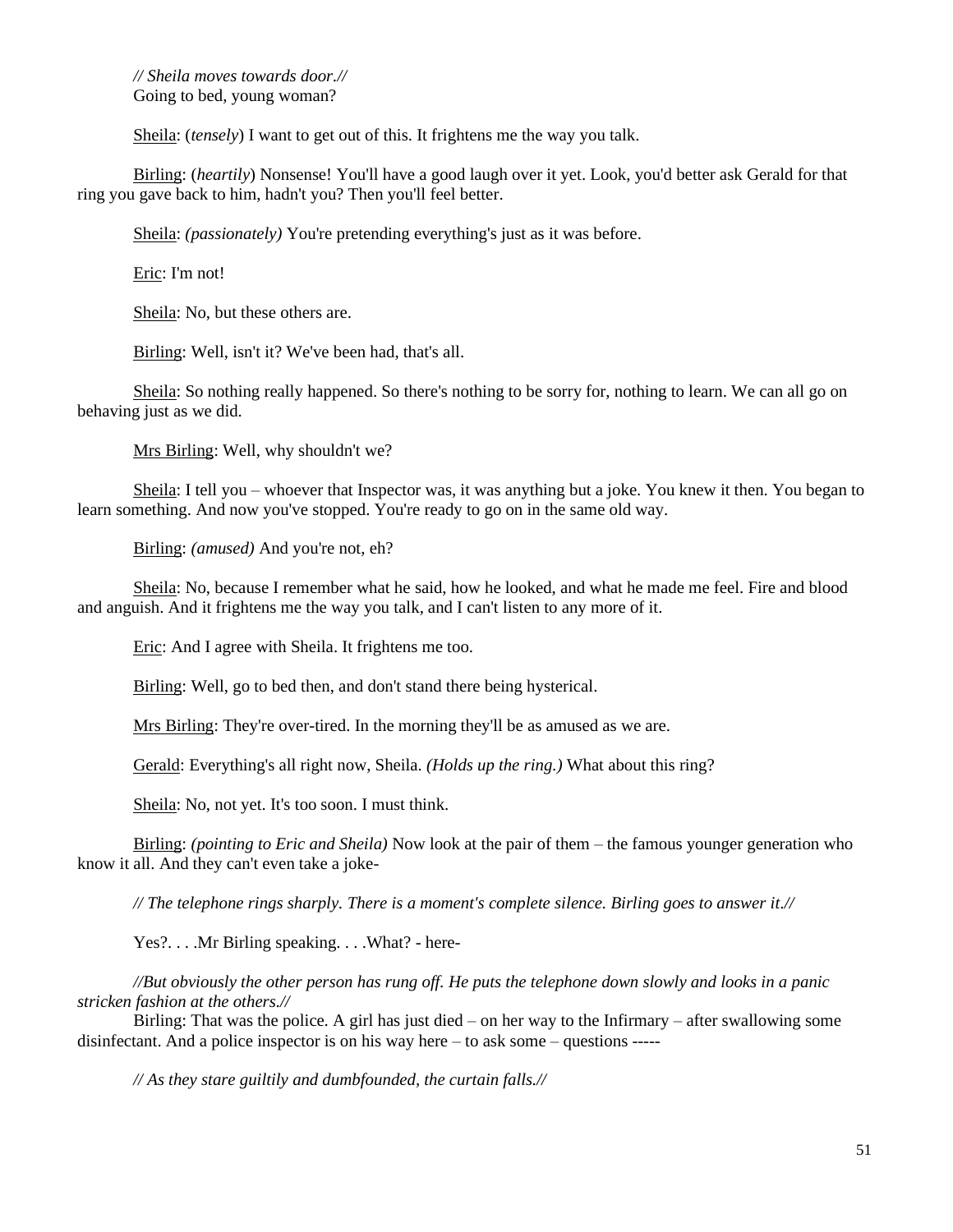*// Sheila moves towards door.//* Going to bed, young woman?

Sheila: (*tensely*) I want to get out of this. It frightens me the way you talk.

Birling: (*heartily*) Nonsense! You'll have a good laugh over it yet. Look, you'd better ask Gerald for that ring you gave back to him, hadn't you? Then you'll feel better.

Sheila: *(passionately)* You're pretending everything's just as it was before.

Eric: I'm not!

Sheila: No, but these others are.

Birling: Well, isn't it? We've been had, that's all.

Sheila: So nothing really happened. So there's nothing to be sorry for, nothing to learn. We can all go on behaving just as we did.

Mrs Birling: Well, why shouldn't we?

Sheila: I tell you – whoever that Inspector was, it was anything but a joke. You knew it then. You began to learn something. And now you've stopped. You're ready to go on in the same old way.

Birling: *(amused)* And you're not, eh?

Sheila: No, because I remember what he said, how he looked, and what he made me feel. Fire and blood and anguish. And it frightens me the way you talk, and I can't listen to any more of it.

Eric: And I agree with Sheila. It frightens me too.

Birling: Well, go to bed then, and don't stand there being hysterical.

Mrs Birling: They're over-tired. In the morning they'll be as amused as we are.

Gerald: Everything's all right now, Sheila. *(Holds up the ring.)* What about this ring?

Sheila: No, not yet. It's too soon. I must think.

Birling: *(pointing to Eric and Sheila)* Now look at the pair of them – the famous younger generation who know it all. And they can't even take a joke-

*// The telephone rings sharply. There is a moment's complete silence. Birling goes to answer it.//*

Yes?. . . . Mr Birling speaking. . . . What? - here-

*//But obviously the other person has rung off. He puts the telephone down slowly and looks in a panic stricken fashion at the others.//*

Birling: That was the police. A girl has just died – on her way to the Infirmary – after swallowing some disinfectant. And a police inspector is on his way here – to ask some – questions -----

*// As they stare guiltily and dumbfounded, the curtain falls.//*